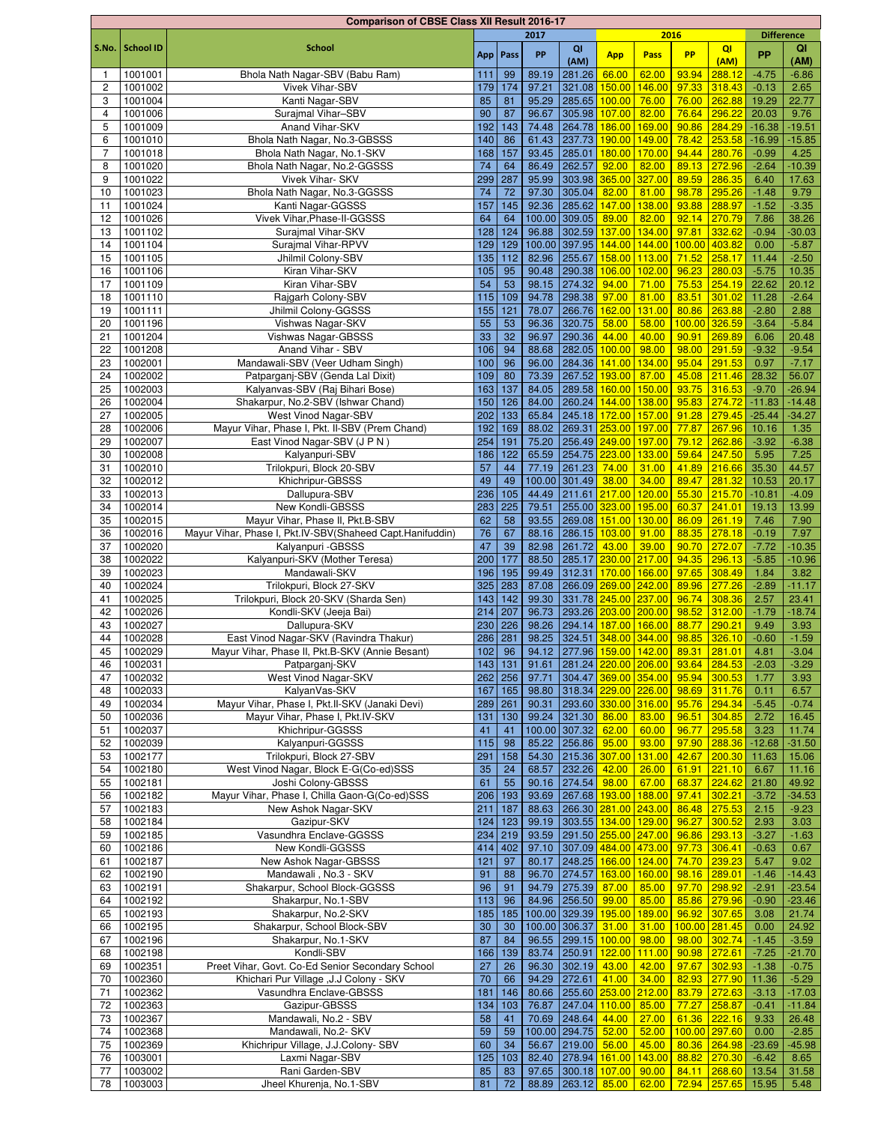|                |                  | <b>Comparison of CBSE Class XII Result 2016-17</b>        |     |            |       |                            |                    |                                         |               |                |                   |          |
|----------------|------------------|-----------------------------------------------------------|-----|------------|-------|----------------------------|--------------------|-----------------------------------------|---------------|----------------|-------------------|----------|
|                |                  |                                                           |     |            | 2017  |                            |                    | 2016                                    |               |                | <b>Difference</b> |          |
| S.No.          | <b>School ID</b> | <b>School</b>                                             |     | App   Pass | PP    | QI                         | <b>App</b>         | Pass                                    | <b>PP</b>     | QI             | <b>PP</b>         | QI       |
|                |                  |                                                           |     |            |       | (AM)                       |                    |                                         |               | (AM)           |                   | (AM)     |
| $\overline{1}$ | 1001001          | Bhola Nath Nagar-SBV (Babu Ram)                           | 111 | 99         | 89.19 | 281.26                     | 66.00              | 62.00                                   | 93.94         | 288.12         | $-4.75$           | $-6.86$  |
| 2              | 1001002          | <b>Vivek Vihar-SBV</b>                                    | 179 | 174        | 97.21 | 321.08                     | 150.00             | 146.00                                  | 97.33         | 318.43         | $-0.13$           | 2.65     |
| 3              | 1001004          | Kanti Nagar-SBV                                           | 85  | 81         | 95.29 | 285.65 100.00              |                    | 76.00                                   | 76.00         | 262.88         | 19.29             | 22.77    |
| 4              | 1001006          | Suraimal Vihar-SBV                                        | 90  | 87         | 96.67 | 305.98                     | 107.00             | 82.00                                   | 76.64         | 296.22         | 20.03             | 9.76     |
| 5              | 1001009          | Anand Vihar-SKV                                           | 192 | 143        | 74.48 | 264.78                     | 186.00             | 169.00                                  | 90.86         | 284.29         | $-16.38$          | $-19.51$ |
| 6              | 1001010          | Bhola Nath Nagar, No.3-GBSSS                              | 140 | 86         | 61.43 | 237.73                     | 190.00             | 149.00                                  | 78.42         | 253.58         | $-16.99$          | $-15.85$ |
| $\overline{7}$ | 1001018          | Bhola Nath Nagar, No.1-SKV                                | 168 | 157        | 93.45 | 285.01                     | 180.00             | 170.00                                  | 94.44         | 280.76         | $-0.99$           | 4.25     |
| 8              | 1001020          | Bhola Nath Nagar, No.2-GGSSS                              | 74  | 64         | 86.49 | 262.57                     | 92.00              | 82.00                                   |               | 89.13 272.96   | $-2.64$           | $-10.39$ |
| 9              | 1001022          | Vivek Vihar- SKV                                          | 299 | 287        | 95.99 | 303.98                     | 365.00             | 327.00                                  | 89.59 286.35  |                | 6.40              | 17.63    |
| 10             | 1001023          | Bhola Nath Nagar, No.3-GGSSS                              | 74  | 72         | 97.30 | 305.04                     | 82.00              | 81.00                                   |               | 98.78 295.26   | $-1.48$           | 9.79     |
| 11             | 1001024          | Kanti Nagar-GGSSS                                         | 157 | 145        | 92.36 | 285.62                     | 147.00             | 138.00                                  | 93.88         | 288.97         | $-1.52$           | $-3.35$  |
| 12             | 1001026          | Vivek Vihar.Phase-II-GGSSS                                | 64  | 64         |       | 100.00 309.05              | 89.00              | 82.00                                   |               | 92.14 270.79   | 7.86              | 38.26    |
| 13             | 1001102          | Surajmal Vihar-SKV                                        | 128 | 124        | 96.88 | 302.59                     | 137.00             | 134.00                                  | 97.81         | 332.62         | $-0.94$           | $-30.03$ |
| 14             | 1001104          | Surajmal Vihar-RPVV                                       | 129 | 129        |       | 100.00 397.95              | 144.00             | 144.00                                  | 100.00        | 403.82         | 0.00              | $-5.87$  |
| 15             | 1001105          | Jhilmil Colony-SBV                                        | 135 | 112        | 82.96 | 255.67                     | 158.00             | 113.00                                  | 71.52         | 258.17         | 11.44             | $-2.50$  |
| 16             | 1001106          | Kiran Vihar-SKV                                           | 105 | 95         | 90.48 | 290.38 106.00              |                    | 102.00                                  | 96.23         | 280.03         | $-5.75$           | 10.35    |
| 17             | 1001109          | Kiran Vihar-SBV                                           | 54  | 53         | 98.15 | 274.32                     | 94.00              | 71.00                                   | 75.53         | 254.19         | 22.62             | 20.12    |
| 18             | 1001110          | Rajgarh Colony-SBV                                        | 115 | 109        | 94.78 | 298.38                     | 97.00              | 81.00                                   | 83.51         | 301.02         | 11.28             | $-2.64$  |
| 19             | 1001111          | Jhilmil Colony-GGSSS                                      | 155 | 121        | 78.07 | 266.76                     | 162.00             | 131.00                                  | 80.86         | 263.88         | $-2.80$           | 2.88     |
|                |                  |                                                           |     |            |       |                            |                    |                                         |               |                |                   |          |
| 20             | 1001196          | Vishwas Nagar-SKV                                         | 55  | 53         | 96.36 | 320.75                     | 58.00              | 58.00                                   | 100.00 326.59 |                | $-3.64$           | $-5.84$  |
| 21             | 1001204          | Vishwas Nagar-GBSSS                                       | 33  | 32         | 96.97 | 290.36                     | 44.00              | 40.00                                   | 90.91         | 269.89         | 6.06              | 20.48    |
| 22             | 1001208          | Anand Vihar - SBV                                         | 106 | 94         | 88.68 | 282.05 100.00              |                    | 98.00                                   | 98.00         | 291.59         | $-9.32$           | $-9.54$  |
| 23             | 1002001          | Mandawali-SBV (Veer Udham Singh)                          | 100 | 96         | 96.00 | 284.36 141.00              |                    | 134.00                                  |               | 95.04 291.53   | 0.97              | $-7.17$  |
| 24             | 1002002          | Patparganj-SBV (Genda Lal Dixit)                          | 109 | 80         | 73.39 | 267.52 193.00              |                    | 87.00                                   |               | 45.08 211.46   | 28.32             | 56.07    |
| 25             | 1002003          | Kalyanvas-SBV (Raj Bihari Bose)                           | 163 | 137        | 84.05 | 289.58                     | 160.00             | 150.00                                  |               | 93.75 316.53   | $-9.70$           | $-26.94$ |
| 26             | 1002004          | Shakarpur, No.2-SBV (Ishwar Chand)                        | 150 | 126        | 84.00 | 260.24                     | 144.00             | 138.00                                  | 95.83 274.72  |                | $-11.83$          | $-14.48$ |
| 27             | 1002005          | West Vinod Nagar-SBV                                      | 202 | 133        | 65.84 | 245.18 172.00              |                    | 157.00                                  |               | 91.28 279.45   | $-25.44$          | $-34.27$ |
| 28             | 1002006          | Mayur Vihar, Phase I, Pkt. II-SBV (Prem Chand)            | 192 | 169        | 88.02 | 269.31 253.00 197.00       |                    |                                         | 77.87         | 267.96         | 10.16             | 1.35     |
| 29             | 1002007          | East Vinod Nagar-SBV (J P N)                              | 254 | 191        | 75.20 | 256.49 249.00              |                    | 197.00                                  |               | 79.12 262.86   | $-3.92$           | $-6.38$  |
| 30             | 1002008          | Kalyanpuri-SBV                                            | 186 | 122        | 65.59 | 254.75 223.00              |                    | 133.00                                  | 59.64         | 247.50         | 5.95              | 7.25     |
| 31             | 1002010          | Trilokpuri, Block 20-SBV                                  | 57  | 44         | 77.19 | 261.23                     | 74.00              | 31.00                                   | 41.89         | 216.66         | 35.30             | 44.57    |
| 32             | 1002012          | Khichripur-GBSSS                                          | 49  | 49         |       | 100.00 301.49              | 38.00              | 34.00                                   | 89.47         | 281.32         | 10.53             | 20.17    |
| 33             | 1002013          | Dallupura-SBV                                             | 236 | 105        | 44.49 | 211.61 217.00              |                    | 120.00                                  | 55.30 215.70  |                | $-10.81$          | $-4.09$  |
| 34             | 1002014          | New Kondli-GBSSS                                          | 283 | 225        | 79.51 | 255.00 323.00              |                    |                                         | 60.37         | 241.01         | 19.13             |          |
|                |                  |                                                           |     |            |       |                            |                    | 195.00                                  |               |                |                   | 13.99    |
| 35             | 1002015          | Mayur Vihar, Phase II, Pkt.B-SBV                          | 62  | 58         | 93.55 | 269.08 151.00              |                    | 130.00                                  |               | 86.09 261.19   | 7.46              | 7.90     |
| 36             | 1002016          | Mayur Vihar, Phase I, Pkt.IV-SBV(Shaheed Capt.Hanifuddin) | 76  | 67         | 88.16 | 286.15 103.00              |                    | 91.00                                   |               | 88.35 278.18   | $-0.19$           | 7.97     |
| 37             | 1002020          | Kalyanpuri - GBSSS                                        | 47  | 39         | 82.98 | 261.72                     | 43.00              | 39.00                                   | 90.70 272.07  |                | $-7.72$           | $-10.35$ |
| 38             | 1002022          | Kalyanpuri-SKV (Mother Teresa)                            | 200 | 177        | 88.50 | 285.17 230.00              |                    | 217.00                                  |               | 94.35 296.13   | $-5.85$           | $-10.96$ |
| 39             | 1002023          | Mandawali-SKV                                             | 196 | 195        | 99.49 | 312.31                     | 170.00 166.00      |                                         | 97.65         | 308.49         | 1.84              | 3.82     |
| 40             | 1002024          | Trilokpuri, Block 27-SKV                                  | 325 | 283        | 87.08 | 266.09 269.00              |                    | 242.00                                  | 89.96         | 277.26         | $-2.89$           | $-11.17$ |
| 41             | 1002025          | Trilokpuri, Block 20-SKV (Sharda Sen)                     | 143 | 142        | 99.30 | 331.78 245.00 237.00       |                    |                                         | 96.74 308.36  |                | 2.57              | 23.41    |
| 42             | 1002026          | Kondli-SKV (Jeeja Bai)                                    | 214 | 207        | 96.73 | 293.26 203.00 200.00       |                    |                                         |               | 98.52 312.00   | $-1.79$           | $-18.74$ |
| 43             | 1002027          | Dallupura-SKV                                             | 230 | 226        | 98.26 | 294.14                     | 187.00             | 166.00                                  | 88.77         | 290.21         | 9.49              | 3.93     |
| 44             | 1002028          | East Vinod Nagar-SKV (Ravindra Thakur)                    |     | 286 281    |       | 98.25 324.51 348.00 344.00 |                    |                                         | 98.85 326.10  |                | $-0.60$           | $-1.59$  |
| 45             | 1002029          | Mayur Vihar, Phase II, Pkt.B-SKV (Annie Besant)           |     | $102$ 96   |       |                            |                    | 94.12 277.96 159.00 142.00 89.31 281.01 |               |                | 4.81              | $-3.04$  |
| 46             | 1002031          | Patparganj-SKV                                            | 143 | 131        | 91.61 | 281.24 220.00 206.00       |                    |                                         | 93.64         | 284.53         | $-2.03$           | $-3.29$  |
| 47             | 1002032          | West Vinod Nagar-SKV                                      |     | 262 256    | 97.71 | 304.47 369.00 354.00       |                    |                                         | 95.94         | 300.53         | 1.77              | 3.93     |
| 48             | 1002033          | KalyanVas-SKV                                             | 167 | 165        | 98.80 | 318.34 229.00 226.00       |                    |                                         |               | 98.69 311.76   | 0.11              | 6.57     |
| 49             | 1002034          | Mayur Vihar, Phase I, Pkt.II-SKV (Janaki Devi)            | 289 | 261        | 90.31 | 293.60 330.00 316.00       |                    |                                         |               | 95.76 294.34   | $-5.45$           | $-0.74$  |
| 50             | 1002036          | Mayur Vihar, Phase I, Pkt.IV-SKV                          | 131 | 130        | 99.24 | 321.30                     | 86.00              | 83.00                                   | 96.51         | 304.85         | 2.72              | 16.45    |
|                |                  |                                                           |     |            |       |                            |                    |                                         |               |                |                   |          |
| 51             | 1002037          | Khichripur-GGSSS                                          | 41  | 41         |       | 100.00 307.32              | 62.00              | 60.00                                   | 96.77         | 295.58         | 3.23              | 11.74    |
| 52             | 1002039          | Kalyanpuri-GGSSS                                          | 115 | 98         | 85.22 | 256.86                     | 95.00              | 93.00                                   |               | 97.90 288.36   | $-12.68$          | $-31.50$ |
| 53             | 1002177          | Trilokpuri, Block 27-SBV                                  | 291 | 158        | 54.30 | 215.36 307.00              |                    | 131.00                                  |               | 42.67 200.30   | 11.63             | 15.06    |
| 54             | 1002180          | West Vinod Nagar, Block E-G(Co-ed)SSS                     | 35  | 24         | 68.57 | 232.26                     | 42.00              | 26.00                                   |               | $61.91$ 221.10 | 6.67              | 11.16    |
| 55             | 1002181          | Joshi Colony-GBSSS                                        | 61  | 55         | 90.16 | 274.54                     | 98.00              | 67.00                                   |               | 68.37 224.62   | 21.80             | 49.92    |
| 56             | 1002182          | Mayur Vihar, Phase I, Chilla Gaon-G(Co-ed)SSS             | 206 | 193        | 93.69 | 267.68                     | 193.00             | 188.00                                  | 97.41         | 302.21         | $-3.72$           | $-34.53$ |
| 57             | 1002183          | New Ashok Nagar-SKV                                       | 211 | 187        | 88.63 | 266.30 281.00              |                    | 243.00                                  | 86.48         | 275.53         | 2.15              | $-9.23$  |
| 58             | 1002184          | Gazipur-SKV                                               | 124 | 123        | 99.19 | 303.55 134.00              |                    | 129.00                                  | 96.27         | 300.52         | 2.93              | 3.03     |
| 59             | 1002185          | Vasundhra Enclave-GGSSS                                   | 234 | 219        | 93.59 | 291.50 255.00 247.00       |                    |                                         | 96.86 293.13  |                | $-3.27$           | $-1.63$  |
| 60             | 1002186          | New Kondli-GGSSS                                          | 414 | 402        | 97.10 | 307.09 484.00 473.00       |                    |                                         | 97.73 306.41  |                | $-0.63$           | 0.67     |
| 61             | 1002187          | New Ashok Nagar-GBSSS                                     | 121 | 97         | 80.17 | 248.25 166.00              |                    | 124.00                                  | 74.70 239.23  |                | 5.47              | 9.02     |
| 62             | 1002190          | Mandawali, No.3 - SKV                                     | 91  | 88         | 96.70 | 274.57 163.00              |                    | 160.00                                  | 98.16 289.01  |                | $-1.46$           | $-14.43$ |
| 63             | 1002191          | Shakarpur, School Block-GGSSS                             | 96  | 91         | 94.79 | 275.39                     | 87.00              | 85.00                                   | 97.70 298.92  |                | $-2.91$           | $-23.54$ |
| 64             | 1002192          | Shakarpur, No.1-SBV                                       | 113 | 96         | 84.96 | 256.50                     | 99.00              | 85.00                                   |               | 85.86 279.96   | $-0.90$           | $-23.46$ |
| 65             | 1002193          | Shakarpur, No.2-SKV                                       | 185 | 185        |       | 100.00 329.39 195.00       |                    | 189.00                                  |               | 96.92 307.65   | 3.08              | 21.74    |
| 66             | 1002195          | Shakarpur, School Block-SBV                               | 30  | 30         |       | 100.00 306.37              | 31.00              | 31.00                                   | 100.00 281.45 |                | 0.00              | 24.92    |
|                |                  |                                                           |     |            |       |                            |                    |                                         |               |                |                   |          |
| 67             | 1002196          | Shakarpur, No.1-SKV                                       | 87  | 84         | 96.55 | 299.15                     | 100.00             | 98.00                                   |               | 98.00 302.74   | $-1.45$           | $-3.59$  |
| 68             | 1002198          | Kondli-SBV                                                | 166 | 139        | 83.74 | 250.91                     | 122.00             | 111.00                                  | 90.98 272.61  |                | $-7.25$           | $-21.70$ |
| 69             | 1002351          | Preet Vihar, Govt. Co-Ed Senior Secondary School          | 27  | 26         | 96.30 | 302.19                     | 43.00              | 42.00                                   | 97.67         | 302.93         | $-1.38$           | $-0.75$  |
| 70             | 1002360          | Khichari Pur Village , J.J Colony - SKV                   | 70  | 66         | 94.29 | 272.61                     | 41.00              | 34.00                                   | 82.93         | 277.90         | 11.36             | $-5.29$  |
| 71             | 1002362          | Vasundhra Enclave-GBSSS                                   | 181 | 146        | 80.66 | 255.60 253.00              |                    | 212.00                                  | 83.79 272.63  |                | $-3.13$           | $-17.03$ |
| 72             | 1002363          | Gazipur-GBSSS                                             | 134 | 103        | 76.87 | 247.04 110.00              |                    | 85.00                                   | 77.27         | 258.87         | $-0.41$           | $-11.84$ |
| 73             | 1002367          | Mandawali, No.2 - SBV                                     | 58  | 41         | 70.69 | 248.64                     | 44.00              | 27.00                                   |               | 61.36 222.16   | 9.33              | 26.48    |
| 74             | 1002368          | Mandawali, No.2- SKV                                      | 59  | 59         |       | 100.00 294.75              | 52.00              | 52.00                                   | 100.00 297.60 |                | 0.00              | $-2.85$  |
| 75             | 1002369          | Khichripur Village, J.J.Colony- SBV                       | 60  | 34         | 56.67 | 219.00                     | 56.00              | 45.00                                   |               | 80.36 264.98   | $-23.69$          | $-45.98$ |
| 76             | 1003001          | Laxmi Nagar-SBV                                           | 125 | 103        | 82.40 | 278.94 161.00              |                    | 143.00                                  |               | 88.82 270.30   | $-6.42$           | 8.65     |
| 77             | 1003002          | Rani Garden-SBV                                           | 85  | 83         |       | 97.65 300.18 107.00 90.00  |                    |                                         |               | 84.11 268.60   | 13.54             | 31.58    |
| 78             | 1003003          | Jheel Khurenja, No.1-SBV                                  | 81  | 72         |       |                            | 88.89 263.12 85.00 | 62.00                                   |               | 72.94 257.65   | 15.95             | 5.48     |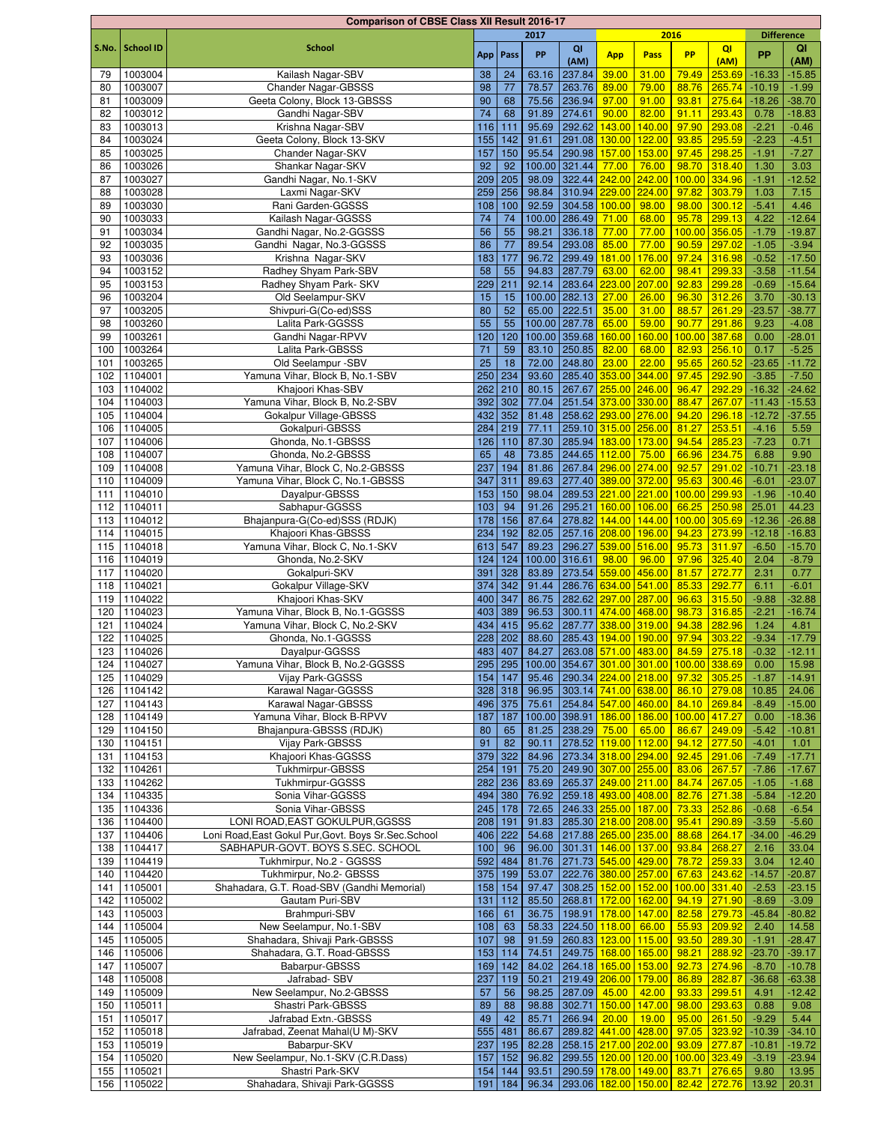|            |                    | <b>Comparison of CBSE Class XII Result 2016-17</b>         |          |                |                |                                       |                      |                                         |                                           |                  |                      |                      |
|------------|--------------------|------------------------------------------------------------|----------|----------------|----------------|---------------------------------------|----------------------|-----------------------------------------|-------------------------------------------|------------------|----------------------|----------------------|
|            |                    |                                                            |          |                | 2017           |                                       |                      |                                         | 2016                                      |                  | <b>Difference</b>    |                      |
| S.No.      | <b>School ID</b>   | <b>School</b>                                              |          | App   Pass     | PP             | QI                                    | <b>App</b>           | Pass                                    | <b>PP</b>                                 | QI               | PP                   | QI                   |
|            |                    |                                                            |          |                |                | (AM)<br>237.84                        | 39.00                |                                         |                                           | (AM)<br>253.69   | $-16.33$             | (AM)<br>$-15.85$     |
| 79         | 1003004            | Kailash Nagar-SBV                                          | 38       | 24             | 63.16          | 263.76                                | 89.00                | 31.00<br>79.00                          | 79.49<br>88.76                            |                  |                      |                      |
| 80<br>81   | 1003007<br>1003009 | <b>Chander Nagar-GBSSS</b><br>Geeta Colony, Block 13-GBSSS | 98<br>90 | 77<br>68       | 78.57<br>75.56 | 236.94                                | 97.00                | 91.00                                   | 93.81                                     | 265.74<br>275.64 | $-10.19$<br>$-18.26$ | $-1.99$<br>$-38.70$  |
| 82         | 1003012            | Gandhi Nagar-SBV                                           | 74       | 68             | 91.89          | 274.61                                | 90.00                | 82.00                                   | 91.11                                     | 293.43           | 0.78                 | $-18.83$             |
| 83         | 1003013            | Krishna Nagar-SBV                                          | 116      | 111            | 95.69          | 292.62                                | 143.00               | 140.00                                  | 97.90                                     | 293.08           | $-2.21$              | $-0.46$              |
| 84         | 1003024            | Geeta Colony, Block 13-SKV                                 | 155      | 142            | 91.61          | 291.08                                | 130.00               | 122.00                                  | 93.85                                     | 295.59           | $-2.23$              | $-4.51$              |
| 85         | 1003025            | Chander Nagar-SKV                                          | 157      | 150            | 95.54          | 290.98                                | 157.00               | 153.00                                  |                                           | 97.45 298.25     | $-1.91$              | $-7.27$              |
| 86         | 1003026            | Shankar Nagar-SKV                                          | 92       | 92             | 100.00         | 321.44                                | 77.00                | 76.00                                   | 98.70                                     | 318.40           | 1.30                 | 3.03                 |
| 87         | 1003027            | Gandhi Nagar, No.1-SKV                                     | 209      | 205            | 98.09          | 322.44                                | 242.00               | 242.00                                  | 100.00                                    | 334.96           | $-1.91$              | $-12.52$             |
| 88         | 1003028            | Laxmi Nagar-SKV                                            | 259      | 256            | 98.84          | 310.94                                | 229.00               | 224.00                                  | 97.82                                     | 303.79           | 1.03                 | 7.15                 |
| 89         | 1003030            | Rani Garden-GGSSS                                          | 108      | 100            | 92.59          | 304.58                                | 100.00               | 98.00                                   |                                           | $98.00$ 300.12   | $-5.41$              | 4.46                 |
| 90         | 1003033            | Kailash Nagar-GGSSS                                        | 74       | 74             |                | 100.00 286.49                         | 71.00                | 68.00                                   |                                           | 95.78 299.13     | 4.22                 | $-12.64$             |
| 91         | 1003034            | Gandhi Nagar, No.2-GGSSS                                   | 56       | 55             | 98.21          | 336.18                                | 77.00                | 77.00                                   | 100.00 356.05                             |                  | $-1.79$              | $-19.87$             |
| 92         | 1003035            | Gandhi Nagar, No.3-GGSSS                                   | 86       | 77             | 89.54          | 293.08                                | 85.00                | 77.00                                   |                                           | 90.59 297.02     | $-1.05$              | $-3.94$              |
| 93         | 1003036            | Krishna Nagar-SKV                                          | 183      | 177            | 96.72          | 299.49                                | 181.00               | 176.00                                  | 97.24                                     | 316.98           | $-0.52$              | $-17.50$             |
| 94         | 1003152            | Radhey Shyam Park-SBV                                      | 58       | 55             | 94.83          | 287.79                                | 63.00                | 62.00                                   | 98.41                                     | 299.33           | $-3.58$              | $-11.54$             |
| 95         | 1003153            | Radhey Shyam Park- SKV                                     | 229      | 211            | 92.14          | 283.64                                | 223.00               | 207.00                                  | 92.83                                     | 299.28           | $-0.69$              | $-15.64$             |
| 96         | 1003204            | Old Seelampur-SKV                                          | 15       | 15             |                | 100.00 282.13                         | 27.00                | 26.00                                   | 96.30                                     | 312.26           | 3.70                 | $-30.13$             |
| 97         | 1003205            | Shivpuri-G(Co-ed)SSS                                       | 80       | 52             | 65.00          | 222.51                                | 35.00                | 31.00                                   | 88.57                                     | 261.29           | $-23.57$             | $-38.77$             |
| 98         | 1003260            | Lalita Park-GGSSS                                          | 55       | 55             |                | 100.00 287.78                         | 65.00                | 59.00                                   | 90.77                                     | 291.86           | 9.23                 | $-4.08$              |
| 99         | 1003261            | Gandhi Nagar-RPVV                                          | 120      | 120            |                | 100.00 359.68                         | 160.00               | 160.00                                  | 100.00                                    | 387.68           | 0.00                 | $-28.01$             |
| 100        | 1003264            | Lalita Park-GBSSS                                          | 71       | 59             | 83.10          | 250.85                                | 82.00                | 68.00                                   | 82.93                                     | 256.10           | 0.17                 | $-5.25$              |
| 101        | 1003265            | Old Seelampur -SBV                                         | 25       | 18             | 72.00          | 248.80                                | 23.00                | 22.00                                   | 95.65                                     | 260.52           | $-23.65$             | $-11.72$             |
| 102        | 1104001            | Yamuna Vihar, Block B, No.1-SBV                            | 250      | 234            | 93.60          | 285.40 353.00                         |                      | 344.00                                  | 97.45                                     | 292.90           | $-3.85$              | $-7.50$              |
| 103        | 1104002            | Khajoori Khas-SBV                                          | 262      | 210            | 80.15          | 267.67                                | 255.00 246.00        |                                         | 96.47                                     | 292.29           | $-16.32$             | $-24.62$             |
| 104        | 1104003            | Yamuna Vihar, Block B, No.2-SBV                            | 392      | 302            | 77.04          | 251.54                                | 373.00 330.00        |                                         | 88.47                                     | 267.07           | $-11.43$             | $-15.53$             |
| 105        | 1104004            | Gokalpur Village-GBSSS                                     | 432      | 352            | 81.48          | 258.62                                | 293.00               | 276.00                                  | 94.20                                     | 296.18           | $-12.72$             | $-37.55$             |
| 106        | 1104005            | Gokalpuri-GBSSS                                            | 284      | 219            | 77.11          |                                       | 259.10 315.00 256.00 |                                         | 81.27                                     | 253.51           | $-4.16$              | 5.59                 |
| 107        | 1104006            | Ghonda, No.1-GBSSS                                         | 126      | 110            | 87.30          | 285.94                                | 183.00               | 173.00                                  | 94.54                                     | 285.23           | $-7.23$              | 0.71                 |
| 108        | 1104007            | Ghonda, No.2-GBSSS                                         | 65       | 48             | 73.85          | 244.65                                | 112.00               | 75.00                                   | 66.96                                     | 234.75           | 6.88                 | 9.90                 |
| 109        | 1104008            | Yamuna Vihar, Block C, No.2-GBSSS                          | 237      | 194            | 81.86          | 267.84                                | 296.00               | 274.00                                  | 92.57                                     | 291.02           | $-10.71$             | $-23.18$             |
| 110        | 1104009            | Yamuna Vihar, Block C, No.1-GBSSS                          | 347      | 311            | 89.63          | 277.40                                | 389.00               | 372.00                                  | 95.63                                     | 300.46           | $-6.01$              | $-23.07$             |
| 111        | 1104010            | Dayalpur-GBSSS                                             | 153      | 150            | 98.04          | 289.53                                | 221.00 221.00        |                                         | 100.00                                    | 299.93           | $-1.96$              | $-10.40$             |
| 112        | 1104011            | Sabhapur-GGSSS                                             | 103      | 94             | 91.26          | 295.21                                | 160.00               | 106.00                                  | 66.25                                     | 250.98           | 25.01                | 44.23                |
| 113        | 1104012            | Bhajanpura-G(Co-ed)SSS (RDJK)                              | 178      | 156            | 87.64          | 278.82                                | 144.00               | 144.00                                  | 100.00 305.69                             |                  | $-12.36$             | $-26.88$             |
| 114        | 1104015            | Khajoori Khas-GBSSS                                        | 234      | 192            | 82.05          | 257.16 208.00                         |                      | 196.00                                  | 94.23                                     | 273.99           | $-12.18$             | $-16.83$             |
| 115        | 1104018            | Yamuna Vihar, Block C, No.1-SKV                            | 613      | 547            | 89.23          | 296.27                                | 539.00 516.00        |                                         |                                           | 95.73 311.97     | $-6.50$              | $-15.70$             |
| 116        | 1104019            | Ghonda, No.2-SKV                                           | 124      | 124            | 100.00         | 316.61                                | 98.00                | 96.00                                   |                                           | 97.96 325.40     | 2.04                 | $-8.79$              |
| 117        | 1104020            | Gokalpuri-SKV                                              | 391      | 328            | 83.89          | 273.54                                | 559.00               | 456.00                                  | 81.57                                     | 272.77           | 2.31                 | 0.77                 |
| 118        | 1104021            | Gokalpur Village-SKV                                       | 374      | 342            | 91.44          | 286.76                                | 634.00               | 541.00                                  | 85.33                                     | 292.77           | 6.11                 | $-6.01$              |
| 119        | 1104022            | Khajoori Khas-SKV                                          | 400      | 347            | 86.75          |                                       | 282.62 297.00        | 287.00                                  | 96.63                                     | 315.50           | $-9.88$              | $-32.88$             |
| 120        | 1104023            | Yamuna Vihar, Block B, No.1-GGSSS                          | 403      | 389            | 96.53          | 300.11                                | 474.00               | 468.00                                  |                                           | 98.73 316.85     | $-2.21$              | $-16.74$             |
| 121        | 1104024            | Yamuna Vihar, Block C, No.2-SKV                            | 434      | 415            | 95.62          | 287.77                                | 338.00               | 319.00                                  | 94.38                                     | 282.96           | 1.24                 | 4.81                 |
| 122        | 1104025            | Ghonda, No.1-GGSSS                                         | 228      | 202            | 88.60          | 285.43                                | 194.00 190.00        |                                         | 97.94 303.22                              |                  | $-9.34$              | $-17.79$             |
|            | 123 1104026        | Dayalpur-GGSSS                                             |          | 483 407        |                | 84.27 263.08 571.00 483.00            |                      |                                         |                                           | 84.59 275.18     | $-0.32$              | $-12.11$             |
| 124        | 1104027            | Yamuna Vihar, Block B, No.2-GGSSS                          |          | 295 295        |                |                                       |                      |                                         | 100.00 354.67 301.00 301.00 100.00 338.69 |                  | 0.00                 | 15.98                |
| 125        | 1104029            | Vijay Park-GGSSS                                           | 154      | 147            |                | 95.46 290.34 224.00 218.00            |                      |                                         |                                           | 97.32 305.25     | $-1.87$              | $-14.91$             |
| 126        | 1104142            | Karawal Nagar-GGSSS                                        |          | $328$ 318      |                | 96.95 303.14 741.00 638.00            |                      |                                         |                                           | 86.10 279.08     | 10.85                | 24.06                |
|            | 127 1104143        | Karawal Nagar-GBSSS                                        |          | 496 375        | 75.61          | 254.84 547.00 460.00                  |                      |                                         | 84.10 269.84                              |                  | $-8.49$              | $-15.00$             |
| 128        | 1104149            | Yamuna Vihar, Block B-RPVV                                 | 187      | 187            |                | 100.00 398.91                         | 186.00               | 186.00                                  | 100.00 417.27                             |                  | 0.00                 | $-18.36$             |
|            | 129 1104150        | Bhajanpura-GBSSS (RDJK)                                    | 80       | 65             |                | 81.25 238.29                          | 75.00                | 65.00                                   | 94.12 277.50                              | 86.67 249.09     | $-5.42$              | $-10.81$             |
|            | 130 1104151        | Vijay Park-GBSSS<br>Khajoori Khas-GGSSS                    | 91       | 82             | 90.11<br>84.96 | 278.52 119.00 112.00                  |                      | 294.00                                  |                                           | 92.45 291.06     | $-4.01$              | 1.01                 |
| 131<br>132 | 1104153<br>1104261 | Tukhmirpur-GBSSS                                           | 254      | 379 322<br>191 | 75.20          | 273.34 318.00<br>249.90 307.00 255.00 |                      |                                         | 83.06 267.57                              |                  | $-7.49$<br>$-7.86$   | $-17.71$<br>$-17.67$ |
| 133        | 1104262            | Tukhmirpur-GGSSS                                           |          | 282 236        | 83.69          | 265.37 249.00 211.00                  |                      |                                         |                                           | 84.74 267.05     | $-1.05$              | $-1.68$              |
| 134        | 1104335            | Sonia Vihar-GGSSS                                          |          | 494 380        | 76.92          | 259.18 493.00 408.00                  |                      |                                         |                                           | 82.76 271.38     | $-5.84$              | $-12.20$             |
|            | 135 1104336        | Sonia Vihar-GBSSS                                          | 245      | 178            | 72.65          | $246.33$ $255.00$                     |                      | 187.00                                  | 73.33                                     | 252.86           | $-0.68$              | $-6.54$              |
| 136        | 1104400            | LONI ROAD, EAST GOKULPUR, GGSSS                            | 208      | 191            | 91.83          | 285.30 218.00                         |                      | 208.00                                  | 95.41                                     | 290.89           | $-3.59$              | $-5.60$              |
| 137        | 1104406            | Loni Road, East Gokul Pur, Govt. Boys Sr. Sec. School      |          | 406 222        | 54.68          | 217.88 265.00 235.00                  |                      |                                         | 88.68                                     | 264.17           | $-34.00$             | $-46.29$             |
| 138        | 1104417            | SABHAPUR-GOVT. BOYS S.SEC. SCHOOL                          | 100      | 96             | 96.00          | 301.31                                | 146.00 137.00        |                                         | 93.84                                     | 268.27           | 2.16                 | 33.04                |
| 139        | 1104419            | Tukhmirpur, No.2 - GGSSS                                   |          | 592 484        | 81.76          | 271.73 545.00 429.00                  |                      |                                         |                                           | 78.72 259.33     | 3.04                 | 12.40                |
|            | 140 1104420        | Tukhmirpur, No.2- GBSSS                                    | 375      | 199            | 53.07          | 222.76 380.00 257.00                  |                      |                                         | 67.63 243.62                              |                  | $-14.57$             | $-20.87$             |
|            | 141 1105001        | Shahadara, G.T. Road-SBV (Gandhi Memorial)                 | 158      | 154            | 97.47          | 308.25 152.00 152.00                  |                      |                                         | 100.00 331.40                             |                  | $-2.53$              | $-23.15$             |
|            | 142 1105002        | Gautam Puri-SBV                                            | 131      | 112            | 85.50          | 268.81 172.00 162.00                  |                      |                                         |                                           | 94.19 271.90     | $-8.69$              | $-3.09$              |
| 143        | 1105003            | Brahmpuri-SBV                                              | 166      | 61             | 36.75          | 198.91                                | 178.00 147.00        |                                         |                                           | 82.58 279.73     | $-45.84$             | $-80.82$             |
| 144        | 1105004            | New Seelampur, No.1-SBV                                    | 108      | 63             |                | 58.33 224.50 118.00                   |                      | 66.00                                   |                                           | 55.93 209.92     | 2.40                 | 14.58                |
|            | 145 1105005        | Shahadara, Shivaji Park-GBSSS                              | 107      | 98             | 91.59          | 260.83 123.00 115.00                  |                      |                                         |                                           | 93.50 289.30     | $-1.91$              | $-28.47$             |
|            | 146 1105006        | Shahadara, G.T. Road-GBSSS                                 | 153      | $114$          | 74.51          | 249.75 168.00 165.00                  |                      |                                         |                                           | 98.21 288.92     | $-23.70$             | $-39.17$             |
| 147        | 1105007            | Babarpur-GBSSS                                             | 169      | 142            | 84.02          | 264.18 165.00                         |                      | 153.00                                  |                                           | 92.73 274.96     | $-8.70$              | $-10.78$             |
| 148        | 1105008            | Jafrabad- SBV                                              | 237      | 119            | 50.21          | 219.49 206.00                         |                      | 179.00                                  | 86.89 282.87                              |                  | $-36.68$             | $-63.38$             |
| 149        | 1105009            | New Seelampur, No.2-GBSSS                                  | 57       | 56             | 98.25          | 287.09                                | 45.00                | 42.00                                   | 93.33 299.51                              |                  | 4.91                 | $-12.42$             |
| 150        | 1105011            | Shastri Park-GBSSS                                         | 89       | 88             | 98.88          | 302.71                                | 150.00               | 147.00                                  |                                           | 98.00 293.63     | 0.88                 | 9.08                 |
| 151        | 1105017            | Jafrabad Extn.-GBSSS                                       | 49       | 42             | 85.71          | 266.94                                | 20.00                | 19.00                                   | 95.00 261.50                              |                  | $-9.29$              | 5.44                 |
| 152        | 1105018            | Jafrabad, Zeenat Mahal(U M)-SKV                            | 555      | 481            | 86.67          | 289.82 441.00 428.00                  |                      |                                         | 97.05 323.92                              |                  | $-10.39$             | $-34.10$             |
|            | 153 1105019        | Babarpur-SKV                                               | 237      | 195            | 82.28          | 258.15 217.00 202.00                  |                      |                                         | 93.09 277.87                              |                  | $-10.81$             | $-19.72$             |
|            | 154 1105020        | New Seelampur, No.1-SKV (C.R.Dass)                         | 157      | 152            | 96.82          | 299.55 120.00 120.00                  |                      |                                         | 100.00 323.49                             |                  | $-3.19$              | $-23.94$             |
|            | 155 1105021        | Shastri Park-SKV                                           | 154      | 144            | 93.51          | 290.59 178.00 149.00                  |                      |                                         | 83.71 276.65                              |                  | 9.80                 | 13.95                |
|            | 156 1105022        | Shahadara, Shivaji Park-GGSSS                              | 191      | 184            |                |                                       |                      | 96.34 293.06 182.00 150.00 82.42 272.76 |                                           |                  | 13.92                | 20.31                |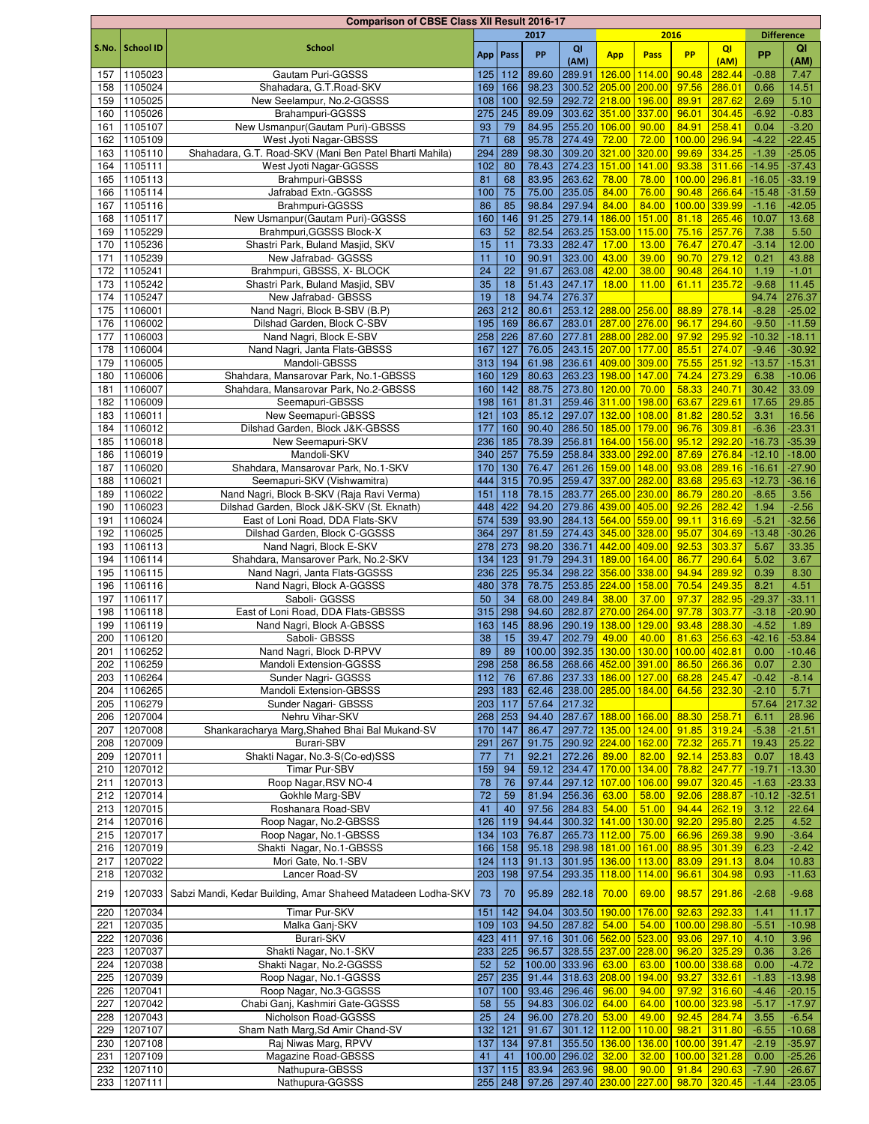|       |                  | <b>Comparison of CBSE Class XII Result 2016-17</b>           |     |            |       |                            |                                         |                                           |                |                  |                   |          |
|-------|------------------|--------------------------------------------------------------|-----|------------|-------|----------------------------|-----------------------------------------|-------------------------------------------|----------------|------------------|-------------------|----------|
|       |                  |                                                              |     |            | 2017  |                            |                                         | 2016                                      |                |                  | <b>Difference</b> |          |
| S.No. | <b>School ID</b> | <b>School</b>                                                |     | App   Pass | PP    | QI                         | <b>App</b>                              | Pass                                      | <b>PP</b>      | QI               | <b>PP</b>         | QI       |
|       |                  |                                                              |     |            |       | (AM)                       |                                         |                                           |                | (AM)             |                   | (AM)     |
| 157   | 1105023          | Gautam Puri-GGSSS                                            | 125 | 112        | 89.60 | 289.91                     | 126.00                                  | 114.00                                    | 90.48          | 282.44           | $-0.88$           | 7.47     |
| 158   | 1105024          | Shahadara, G.T.Road-SKV                                      | 169 | 166        | 98.23 | 300.52                     | 205.00 200.00                           |                                           | 97.56          | 286.01           | 0.66              | 14.51    |
| 159   | 1105025          | New Seelampur, No.2-GGSSS                                    | 108 | 100        | 92.59 |                            | 292.72 218.00                           | 196.00                                    | 89.91          | 287.62           | 2.69              | 5.10     |
| 160   | 1105026          | Brahampuri-GGSSS                                             | 275 | 245        | 89.09 | 303.62                     | 351.00 337.00                           |                                           | 96.01          | 304.45           | $-6.92$           | $-0.83$  |
| 161   | 1105107          | New Usmanpur(Gautam Puri)-GBSSS                              | 93  | 79         | 84.95 | 255.20 106.00              |                                         | 90.00                                     | 84.91          | 258.41           | 0.04              | $-3.20$  |
| 162   | 1105109          | West Jyoti Nagar-GBSSS                                       | 71  | 68         | 95.78 | 274.49                     | 72.00                                   | 72.00                                     | 100.00         | 296.94           | $-4.22$           | $-22.45$ |
| 163   | 1105110          | Shahadara, G.T. Road-SKV (Mani Ben Patel Bharti Mahila)      | 294 | 289        | 98.30 | 309.20                     | 321.00 320.00                           |                                           | 99.69          | 334.25           | $-1.39$           | $-25.05$ |
| 164   | 1105111          | West Jyoti Nagar-GGSSS                                       | 102 | 80         | 78.43 | 274.23                     | 151.00                                  | 141.00                                    | 93.38          | 311.66           | $-14.95$          | $-37.43$ |
| 165   | 1105113          | Brahmpuri-GBSSS                                              | 81  | 68         | 83.95 | 263.62                     | 78.00                                   | 78.00                                     | 100.00 296.81  |                  | $-16.05$          | $-33.19$ |
| 166   | 1105114          | Jafrabad Extn.-GGSSS                                         | 100 | 75         | 75.00 | 235.05                     | 84.00                                   | 76.00                                     | 90.48          | 266.64           | $-15.48$          | $-31.59$ |
| 167   | 1105116          | Brahmpuri-GGSSS                                              | 86  | 85         | 98.84 | 297.94                     | 84.00                                   | 84.00                                     | 100.00 339.99  |                  | $-1.16$           | $-42.05$ |
| 168   | 1105117          | New Usmanpur (Gautam Puri)-GGSSS                             | 160 | 146        | 91.25 | 279.14                     | 186.00                                  | 151.00                                    | 81.18 265.46   |                  | 10.07             | 13.68    |
| 169   | 1105229          | Brahmpuri, GGSSS Block-X                                     | 63  | 52         | 82.54 | 263.25                     | 153.00                                  | 115.00                                    | 75.16 257.76   |                  | 7.38              | 5.50     |
| 170   | 1105236          | Shastri Park, Buland Masjid, SKV                             | 15  | 11         | 73.33 | 282.47                     | 17.00                                   | 13.00                                     | 76.47          | 270.47           | $-3.14$           | 12.00    |
| 171   | 1105239          | New Jafrabad- GGSSS                                          | 11  | 10         | 90.91 | 323.00                     | 43.00                                   | 39.00                                     | 90.70          | 279.12           | 0.21              | 43.88    |
| 172   | 1105241          | Brahmpuri, GBSSS, X- BLOCK                                   | 24  | 22         | 91.67 | 263.08                     | 42.00                                   | 38.00                                     | 90.48          | 264.10           | 1.19              | $-1.01$  |
| 173   | 1105242          | Shastri Park, Buland Masjid, SBV                             | 35  | 18         | 51.43 | 247.17                     | 18.00                                   | 11.00                                     | 61.11          | 235.72           | $-9.68$           | 11.45    |
| 174   | 1105247          | New Jafrabad- GBSSS                                          | 19  | 18         | 94.74 | 276.37                     |                                         |                                           |                |                  | 94.74             | 276.37   |
| 175   | 1106001          | Nand Nagri, Block B-SBV (B.P)                                | 263 | 212        | 80.61 | 253.12 288.00              |                                         | 256.00                                    | 88.89          | 278.14           | $-8.28$           | $-25.02$ |
| 176   | 1106002          | Dilshad Garden, Block C-SBV                                  | 195 | 169        | 86.67 | 283.01                     | 287.00 276.00                           |                                           | 96.17          | 294.60           | $-9.50$           | $-11.59$ |
| 177   | 1106003          | Nand Nagri, Block E-SBV                                      | 258 | 226        | 87.60 | 277.81                     | 288.00 282.00                           |                                           | 97.92          | 295.92           | $-10.32$          | $-18.11$ |
| 178   | 1106004          | Nand Nagri, Janta Flats-GBSSS                                | 167 | 127        | 76.05 | 243.15 207.00              |                                         | 177.00                                    | 85.51          | 274.07           | $-9.46$           | $-30.92$ |
| 179   | 1106005          | Mandoli-GBSSS                                                | 313 | 194        | 61.98 | 236.61 409.00              |                                         | 309.00                                    | 75.55          | 251.92           | $-13.57$          | $-15.31$ |
| 180   | 1106006          | Shahdara, Mansarovar Park, No.1-GBSSS                        | 160 | 129        | 80.63 | 263.23                     | 198.00                                  | 147.00                                    | 74.24          | 273.29           | 6.38              | $-10.06$ |
| 181   | 1106007          | Shahdara, Mansarovar Park, No.2-GBSSS                        | 160 | 142        | 88.75 | 273.80 120.00              |                                         | 70.00                                     | 58.33          | 240.71           | 30.42             | 33.09    |
| 182   | 1106009          | Seemapuri-GBSSS                                              | 198 | 161        | 81.31 | 259.46 311.00              |                                         | 198.00                                    | 63.67          | 229.61           | 17.65             | 29.85    |
| 183   | 1106011          | New Seemapuri-GBSSS                                          | 121 | 103        | 85.12 | 297.07                     | 132.00                                  | 108.00                                    | 81.82          | 280.52           | 3.31              | 16.56    |
| 184   | 1106012          | Dilshad Garden, Block J&K-GBSSS                              | 177 | 160        | 90.40 | 286.50                     | 185.00 179.00                           |                                           | 96.76          | 309.81           | $-6.36$           | $-23.31$ |
| 185   | 1106018          | New Seemapuri-SKV                                            | 236 | 185        | 78.39 | 256.81                     | 164.00                                  | 156.00                                    | 95.12          | 292.20           | $-16.73$          | $-35.39$ |
| 186   | 1106019          | Mandoli-SKV                                                  | 340 | 257        | 75.59 | 258.84                     | 333.00 292.00                           |                                           | 87.69          | 276.84           | $-12.10$          | $-18.00$ |
| 187   | 1106020          | Shahdara, Mansarovar Park, No.1-SKV                          | 170 | 130        | 76.47 | 261.26                     | 159.00 148.00                           |                                           | 93.08          | 289.16           | $-16.61$          | $-27.90$ |
|       | 1106021          |                                                              |     |            | 70.95 | 259.47                     |                                         | 282.00                                    |                |                  | $-12.73$          | $-36.16$ |
| 188   |                  | Seemapuri-SKV (Vishwamitra)                                  | 444 | 315        |       |                            | 337.00                                  |                                           | 83.68          | 295.63           |                   |          |
| 189   | 1106022          | Nand Nagri, Block B-SKV (Raja Ravi Verma)                    | 151 | 118        | 78.15 | 283.77                     | 265.00 230.00                           |                                           | 86.79          | 280.20           | $-8.65$           | 3.56     |
| 190   | 1106023          | Dilshad Garden, Block J&K-SKV (St. Eknath)                   | 448 | 422        | 94.20 | 279.86 439.00 405.00       |                                         |                                           | 92.26          | 282.42           | 1.94              | $-2.56$  |
| 191   | 1106024          | East of Loni Road, DDA Flats-SKV                             | 574 | 539        | 93.90 | 284.13 564.00 559.00       |                                         |                                           | 99.11          | 316.69           | $-5.21$           | $-32.56$ |
| 192   | 1106025          | Dilshad Garden, Block C-GGSSS                                | 364 | 297        | 81.59 | 274.43 345.00 328.00       |                                         |                                           | 95.07          | 304.69           | $-13.48$          | $-30.26$ |
| 193   | 1106113          | Nand Nagri, Block E-SKV                                      | 278 | 273        | 98.20 | 336.71                     | 442.00 409.00                           |                                           | 92.53          | 303.37           | 5.67              | 33.35    |
| 194   | 1106114          | Shahdara, Mansarover Park, No.2-SKV                          | 134 | 123        | 91.79 | 294.31                     | 189.00                                  | 164.00                                    | 86.77          | 290.64           | 5.02              | 3.67     |
| 195   | 1106115          | Nand Nagri, Janta Flats-GGSSS                                | 236 | 225        | 95.34 | 298.22                     | 356.00                                  | 338.00                                    | 94.94          | 289.92           | 0.39              | 8.30     |
| 196   | 1106116          | Nand Nagri, Block A-GGSSS                                    | 480 | 378        | 78.75 | 253.85 224.00              |                                         | 158.00                                    | 70.54          | 249.35           | 8.21              | 4.51     |
| 197   | 1106117          | Saboli- GGSSS                                                | 50  | 34         | 68.00 | 249.84                     | 38.00                                   | 37.00                                     | 97.37          | 282.95           | $-29.37$          | $-33.11$ |
| 198   | 1106118          | East of Loni Road, DDA Flats-GBSSS                           | 315 | 298        | 94.60 | 282.87 270.00 264.00       |                                         |                                           | 97.78          | 303.77           | $-3.18$           | $-20.90$ |
| 199   | 1106119          | Nand Nagri, Block A-GBSSS                                    | 163 | 145        | 88.96 | 290.19                     | 138.00                                  | 129.00                                    | 93.48          | 288.30           | $-4.52$           | 1.89     |
| 200   | 1106120          | Saboli- GBSSS                                                | 38  | 15         | 39.47 | 202.79                     | 49.00                                   | 40.00                                     | 81.63 256.63   |                  | $-42.16$          | $-53.84$ |
|       | 201 1106252      | Nand Nagri, Block D-RPVV                                     | 89  | 89         |       |                            |                                         | 100.00 392.35 130.00 130.00 100.00 402.81 |                |                  | 0.00              | $-10.46$ |
| 202   | 1106259          | Mandoli Extension-GGSSS                                      |     | 298 258    |       | 86.58 268.66 452.00 391.00 |                                         |                                           | 86.50 266.36   |                  | 0.07              | 2.30     |
| 203   | 1106264          | Sunder Nagri- GGSSS                                          | 112 | 76         | 67.86 | 237.33 186.00 127.00       |                                         |                                           | 68.28 245.47   |                  | $-0.42$           | $-8.14$  |
| 204   | 1106265          | Mandoli Extension-GBSSS                                      |     | 293 183    |       | 62.46 238.00 285.00 184.00 |                                         |                                           | 64.56 232.30   |                  | $-2.10$           | 5.71     |
|       | 205 1106279      | Sunder Nagari- GBSSS                                         | 203 | 117        |       | 57.64 217.32               |                                         |                                           |                |                  | 57.64             | 217.32   |
| 206   | 1207004          | Nehru Vihar-SKV                                              |     | 268 253    | 94.40 | 287.67 188.00 166.00       |                                         |                                           | 88.30 258.71   |                  | 6.11              | 28.96    |
| 207   | 1207008          | Shankaracharya Marg, Shahed Bhai Bal Mukand-SV               | 170 | 147        | 86.47 | 297.72 135.00              |                                         | 124.00                                    | 91.85 319.24   |                  | $-5.38$           | $-21.51$ |
| 208   | 1207009          | Burari-SBV                                                   | 291 | 267        | 91.75 | 290.92 224.00 162.00       |                                         |                                           | 72.32          | 265.71           | 19.43             | 25.22    |
| 209   | 1207011          | Shakti Nagar, No.3-S(Co-ed)SSS                               | 77  | 71         | 92.21 | 272.26                     | 89.00                                   | 82.00                                     | 92.14 253.83   |                  | 0.07              | 18.43    |
| 210   | 1207012          | Timar Pur-SBV                                                | 159 | 94         | 59.12 | 234.47 170.00              |                                         | 134.00                                    | 78.82          | 247.77           | $-19.71$          | $-13.30$ |
| 211   | 1207013          | Roop Nagar, RSV NO-4                                         | 78  | 76         | 97.44 | 297.12 107.00              |                                         | 106.00                                    | 99.07          | 320.45           | $-1.63$           | $-23.33$ |
| 212   | 1207014          | Gokhle Marg-SBV                                              | 72  | 59         |       | 81.94 256.36               | 63.00                                   | 58.00                                     | 92.06          | 288.87           | $-10.12$          | $-32.51$ |
| 213   | 1207015          | Roshanara Road-SBV                                           | 41  | 40         | 97.56 | 284.83                     | 54.00                                   | 51.00                                     | 94.44          | 262.19           | 3.12              | 22.64    |
|       | 1207016          | Roop Nagar, No.2-GBSSS                                       | 126 |            | 94.44 |                            |                                         |                                           |                |                  |                   |          |
| 214   | 1207017          | Roop Nagar, No.1-GBSSS                                       |     | 119        | 76.87 | 300.32 141.00              |                                         | 130.00                                    | 92.20          | 295.80<br>269.38 | 2.25              | 4.52     |
| 215   |                  |                                                              | 134 | 103        |       | 265.73 112.00 75.00        |                                         |                                           | 66.96          |                  | 9.90              | $-3.64$  |
| 216   | 1207019          | Shakti Nagar, No.1-GBSSS                                     | 166 | 158        | 95.18 | 298.98 181.00 161.00       |                                         |                                           | 88.95          | 301.39           | 6.23              | $-2.42$  |
| 217   | 1207022          | Mori Gate, No.1-SBV                                          | 124 | $113$      | 91.13 | 301.95 136.00              |                                         | 113.00                                    | 83.09          | 291.13           | 8.04              | 10.83    |
| 218   | 1207032          | Lancer Road-SV                                               | 203 | 198        | 97.54 | 293.35 118.00              |                                         | 114.00                                    | 96.61          | 304.98           | 0.93              | $-11.63$ |
| 219   | 1207033          | Sabzi Mandi, Kedar Building, Amar Shaheed Matadeen Lodha-SKV | 73  | 70         | 95.89 | 282.18                     | 70.00                                   | 69.00                                     | 98.57          | 291.86           | $-2.68$           | $-9.68$  |
|       |                  |                                                              |     |            |       |                            |                                         |                                           |                |                  |                   |          |
| 220   | 1207034          | Timar Pur-SKV                                                | 151 | 142        | 94.04 | 303.50 190.00              |                                         | 176.00                                    | 92.63 292.33   |                  | 1.41              | 11.17    |
| 221   | 1207035          | Malka Ganj-SKV                                               | 109 | 103        | 94.50 | 287.82                     | 54.00                                   | 54.00                                     | 100.00 298.80  |                  | $-5.51$           | $-10.98$ |
| 222   | 1207036          | Burari-SKV                                                   | 423 | 411        | 97.16 | 301.06 562.00 523.00       |                                         |                                           | $93.06$ 297.10 |                  | 4.10              | 3.96     |
| 223   | 1207037          | Shakti Nagar, No.1-SKV                                       |     | $233$ 225  | 96.57 | 328.55 237.00 228.00       |                                         |                                           | 96.20 325.29   |                  | 0.36              | 3.26     |
| 224   | 1207038          | Shakti Nagar, No.2-GGSSS                                     | 52  | 52         |       | 100.00 333.96              | 63.00                                   | 63.00                                     | 100.00 338.68  |                  | 0.00              | $-4.72$  |
| 225   | 1207039          | Roop Nagar, No.1-GGSSS                                       | 257 | 235        |       | 91.44 318.63 208.00        |                                         | 194.00                                    | 93.27          | 332.61           | $-1.83$           | $-13.98$ |
| 226   | 1207041          | Roop Nagar, No.3-GGSSS                                       | 107 | 100        | 93.46 | 296.46                     | 96.00                                   | 94.00                                     | 97.92 316.60   |                  | $-4.46$           | $-20.15$ |
| 227   | 1207042          | Chabi Ganj, Kashmiri Gate-GGSSS                              | 58  | 55         | 94.83 | 306.02                     | 64.00                                   | 64.00                                     | 100.00 323.98  |                  | $-5.17$           | $-17.97$ |
| 228   | 1207043          | Nicholson Road-GGSSS                                         | 25  | 24         | 96.00 | 278.20                     | 53.00                                   | 49.00                                     | 92.45          | 284.74           | 3.55              | $-6.54$  |
| 229   | 1207107          | Sham Nath Marg, Sd Amir Chand-SV                             | 132 | $121$      | 91.67 | 301.12 112.00              |                                         | 110.00                                    | 98.21          | 311.80           | $-6.55$           | $-10.68$ |
| 230   | 1207108          | Raj Niwas Marg, RPVV                                         | 137 | 134        | 97.81 | 355.50 136.00              |                                         | 136.00                                    | 100.00 391.47  |                  | $-2.19$           | $-35.97$ |
| 231   | 1207109          | Magazine Road-GBSSS                                          | 41  | 41         |       | 100.00 296.02 32.00        |                                         | 32.00                                     | 100.00 321.28  |                  | 0.00              | $-25.26$ |
|       | 232 1207110      | Nathupura-GBSSS                                              | 137 | 115        |       | 83.94 263.96 98.00         |                                         | 90.00                                     | $91.84$ 290.63 |                  | $-7.90$           | $-26.67$ |
| 233   | 1207111          | Nathupura-GGSSS                                              |     | $255$ 248  |       |                            | 97.26 297.40 230.00 227.00 98.70 320.45 |                                           |                |                  | $-1.44$           | $-23.05$ |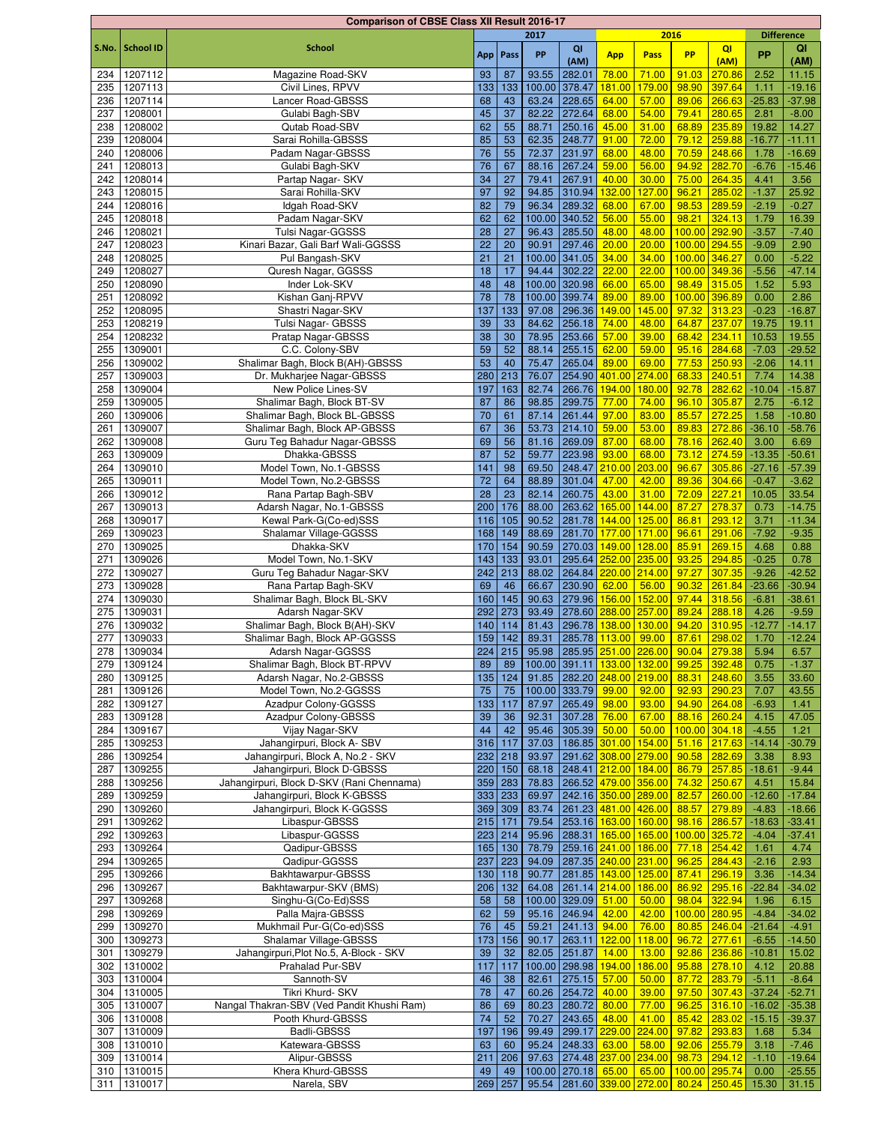|            |                    | <b>Comparison of CBSE Class XII Result 2016-17</b>  |            |            |                |                |                                                 |        |                |                  |                   |                      |
|------------|--------------------|-----------------------------------------------------|------------|------------|----------------|----------------|-------------------------------------------------|--------|----------------|------------------|-------------------|----------------------|
|            |                    |                                                     |            |            | 2017           |                |                                                 | 2016   |                |                  | <b>Difference</b> |                      |
| S.No.      | <b>School ID</b>   | <b>School</b>                                       |            | App   Pass | PP             | QI             | <b>App</b>                                      | Pass   | <b>PP</b>      | QI               | <b>PP</b>         | QI                   |
|            |                    |                                                     |            |            |                | (AM)           |                                                 |        |                | (AM)             |                   | (AM)                 |
| 234        | 1207112            | Magazine Road-SKV                                   | 93         | 87         | 93.55          | 282.01         | 78.00                                           | 71.00  | 91.03          | 270.86           | 2.52              | 11.15                |
| 235        | 1207113            | Civil Lines, RPVV                                   | 133        | 133        |                | 100.00 378.47  | 181.00                                          | 179.00 | 98.90          | 397.64           | 1.11              | $-19.16$             |
| 236        | 1207114            | Lancer Road-GBSSS                                   | 68         | 43         | 63.24          | 228.65         | 64.00                                           | 57.00  | 89.06          | 266.63           | $-25.83$          | $-37.98$             |
| 237        | 1208001            | Gulabi Bagh-SBV                                     | 45         | 37         | 82.22          | 272.64         | 68.00                                           | 54.00  | 79.41          | 280.65           | 2.81              | $-8.00$              |
| 238        | 1208002            | Qutab Road-SBV                                      | 62         | 55         | 88.71          | 250.16         | 45.00                                           | 31.00  | 68.89          | 235.89           | 19.82             | 14.27                |
| 239        | 1208004            | Sarai Rohilla-GBSSS                                 | 85         | 53         | 62.35          | 248.77         | 91.00                                           | 72.00  | 79.12          | 259.88           | $-16.77$          | $-11.11$             |
| 240        | 1208006            | Padam Nagar-GBSSS                                   | 76         | 55         | 72.37          | 231.97         | 68.00                                           | 48.00  | 70.59          | 248.66           | 1.78              | $-16.69$             |
| 241        | 1208013            | Gulabi Bagh-SKV                                     | 76         | 67         | 88.16          | 267.24         | 59.00                                           | 56.00  | 94.92          | 282.70           | $-6.76$           | $-15.46$             |
| 242        | 1208014            | Partap Nagar- SKV                                   | 34         | 27         | 79.41          | 267.91         | 40.00                                           | 30.00  | 75.00          | 264.35           | 4.41              | 3.56                 |
| 243        | 1208015            | Sarai Rohilla-SKV                                   | 97         | 92         | 94.85          | 310.94         | 132.00                                          | 127.00 | 96.21          | 285.02           | $-1.37$           | 25.92                |
| 244        | 1208016            | Idgah Road-SKV                                      | 82         | 79         | 96.34          | 289.32         | 68.00                                           | 67.00  | 98.53          | 289.59           | $-2.19$           | $-0.27$              |
| 245        | 1208018            | Padam Nagar-SKV                                     | 62         | 62         | 100.00         | 340.52         | 56.00                                           | 55.00  | 98.21          | 324.13           | 1.79              | 16.39                |
| 246        | 1208021            | Tulsi Nagar-GGSSS                                   | 28         | 27         | 96.43          | 285.50         | 48.00                                           | 48.00  | 100.00         | 292.90           | $-3.57$           | $-7.40$              |
| 247        | 1208023            | Kinari Bazar, Gali Barf Wali-GGSSS                  | 22         | 20         | 90.91          | 297.46         | 20.00                                           | 20.00  | 100.00         | 294.55           | $-9.09$           | 2.90                 |
| 248        | 1208025            | Pul Bangash-SKV                                     | 21         | 21         |                | 100.00 341.05  | 34.00                                           | 34.00  | 100.00         | 346.27           | 0.00              | $-5.22$              |
| 249        | 1208027            | Quresh Nagar, GGSSS                                 | 18         | 17         | 94.44          | 302.22         | 22.00                                           | 22.00  | 100.00 349.36  |                  | $-5.56$           | $-47.14$             |
| 250        | 1208090            | Inder Lok-SKV                                       | 48         | 48         |                | 100.00 320.98  | 66.00                                           | 65.00  | 98.49          | 315.05           | 1.52              | 5.93                 |
| 251        | 1208092            | Kishan Ganj-RPVV                                    | 78         | 78         |                | 100.00 399.74  | 89.00                                           | 89.00  | 100.00         | 396.89           | 0.00              | 2.86                 |
| 252        | 1208095            | Shastri Nagar-SKV                                   | 137        | 133        | 97.08          | 296.36         | 149.00                                          | 145.00 | 97.32          | 313.23           | $-0.23$           | $-16.87$             |
| 253        | 1208219            | <b>Tulsi Nagar- GBSSS</b>                           | 39         | 33         | 84.62          | 256.18         | 74.00                                           | 48.00  | 64.87          | 237.07           | 19.75             | 19.11                |
| 254        | 1208232            | Pratap Nagar-GBSSS                                  | 38         | 30         | 78.95          | 253.66         | 57.00                                           | 39.00  | 68.42          | 234.11           | 10.53             | 19.55                |
| 255        | 1309001            | C.C. Colony-SBV                                     | 59         | 52         | 88.14          | 255.15         | 62.00                                           | 59.00  | 95.16          | 284.68           | $-7.03$           | $-29.52$             |
| 256        | 1309002            | Shalimar Bagh, Block B(AH)-GBSSS                    | 53         | 40         | 75.47          | 265.04         | 89.00                                           | 69.00  | 77.53          | 250.93           | $-2.06$           | 14.11                |
| 257        | 1309003            | Dr. Mukharjee Nagar-GBSSS                           | 280        | 213        | 76.07          | 254.90         | 401.00 274.00                                   |        | 68.33          | 240.51           | 7.74              | 14.38                |
| 258        | 1309004            | New Police Lines-SV                                 | 197        | 163        | 82.74          |                | 266.76 194.00                                   | 180.00 | 92.78          | 282.62           | $-10.04$          | $-15.87$             |
| 259        | 1309005            | Shalimar Bagh, Block BT-SV                          | 87         | 86         | 98.85          | 299.75         | 77.00                                           | 74.00  | 96.10          | 305.87           | 2.75              | $-6.12$              |
| 260        | 1309006            | Shalimar Bagh, Block BL-GBSSS                       | 70         | 61         | 87.14          | 261.44         | 97.00                                           | 83.00  | 85.57          | 272.25           | 1.58              | $-10.80$             |
| 261        | 1309007            | Shalimar Bagh, Block AP-GBSSS                       | 67         | 36         | 53.73          | 214.10         | 59.00                                           | 53.00  | 89.83          | 272.86           | $-36.10$          | $-58.76$             |
| 262        | 1309008            | Guru Teg Bahadur Nagar-GBSSS                        | 69         | 56         | 81.16          | 269.09         | 87.00                                           | 68.00  | 78.16          | 262.40           | 3.00              | 6.69                 |
| 263        | 1309009            | Dhakka-GBSSS                                        | 87         | 52         | 59.77          | 223.98         | 93.00                                           | 68.00  | 73.12          | 274.59           | $-13.35$          | $-50.61$             |
| 264        | 1309010            | Model Town, No.1-GBSSS                              | 141        | 98         | 69.50          |                | 248.47 210.00                                   | 203.00 | 96.67          | 305.86           | $-27.16$          | $-57.39$             |
| 265        | 1309011            | Model Town, No.2-GBSSS                              | 72         | 64         | 88.89          | 301.04         | 47.00                                           | 42.00  | 89.36          | 304.66           | $-0.47$           | $-3.62$              |
| 266        | 1309012            | Rana Partap Bagh-SBV                                | 28         | 23         | 82.14          | 260.75         | 43.00                                           | 31.00  | 72.09          | 227.21           | 10.05             | 33.54                |
| 267        | 1309013            | Adarsh Nagar, No.1-GBSSS                            | 200        | 176        | 88.00          |                | 263.62 165.00 144.00                            |        | 87.27          | 278.37           | 0.73              | $-14.75$             |
| 268        | 1309017            | Kewal Park-G(Co-ed)SSS                              | 116        | 105        | 90.52          |                | 281.78 144.00 125.00                            |        | 86.81          | 293.12           | 3.71              | $-11.34$             |
| 269        | 1309023            | Shalamar Village-GGSSS                              | 168        | 149        | 88.69          |                | 281.70 177.00 171.00                            |        | 96.61          | 291.06           | $-7.92$           | $-9.35$              |
| 270        | 1309025            | Dhakka-SKV                                          | 170        | 154        | 90.59          | 270.03         | 149.00 128.00                                   |        | 85.91          | 269.15           | 4.68              | 0.88                 |
| 271        | 1309026            | Model Town, No.1-SKV                                | 143        | 133        | 93.01          |                | 295.64 252.00 235.00                            |        | 93.25          | 294.85           | $-0.25$           | 0.78                 |
| 272        | 1309027            | Guru Teg Bahadur Nagar-SKV                          | 242        | 213        | 88.02          |                | 264.84 220.00 214.00                            |        | 97.27          | 307.35           | $-9.26$           | $-42.52$             |
| 273        | 1309028            | Rana Partap Bagh-SKV<br>Shalimar Bagh, Block BL-SKV | 69         | 46         | 66.67          | 230.90         | 62.00                                           | 56.00  | 90.32          | 261.84           | $-23.66$          | $-30.94$             |
| 274        | 1309030            |                                                     | 160        | 145        | 90.63          |                | 279.96 156.00 152.00                            |        | 97.44          | 318.56           | $-6.81$           | $-38.61$             |
| 275        | 1309031            | Adarsh Nagar-SKV                                    | 292        | 273        | 93.49          |                | 278.60 288.00 257.00                            |        | 89.24          | 288.18           | 4.26              | $-9.59$              |
| 276<br>277 | 1309032<br>1309033 | Shalimar Bagh, Block B(AH)-SKV                      | 140<br>159 | 114<br>142 | 81.43<br>89.31 | 296.78         | 138.00<br>285.78 113.00 99.00                   | 130.00 | 94.20          | 310.95<br>298.02 | $-12.77$          | $-14.17$<br>$-12.24$ |
| 278        | 1309034            | Shalimar Bagh, Block AP-GGSSS<br>Adarsh Nagar-GGSSS |            | $224$ 215  |                |                | 95.98 285.95 251.00 226.00 90.04 279.38         |        | 87.61          |                  | 1.70<br>5.94      | 6.57                 |
|            | 1309124            | Shalimar Bagh, Block BT-RPVV                        |            |            |                |                | 100.00 391.11 133.00 132.00                     |        |                | 392.48           |                   |                      |
| 279        |                    |                                                     | 89         | 89         |                |                |                                                 |        | 99.25          |                  | 0.75              | $-1.37$              |
| 280        | 1309125            | Adarsh Nagar, No.2-GBSSS<br>Model Town, No.2-GGSSS  | 135        | 124        | 91.85          | 100.00 333.79  | 282.20 248.00 219.00<br>99.00                   | 92.00  | 88.31          | 248.60           | 3.55              | 33.60                |
| 281        | 1309126<br>1309127 | Azadpur Colony-GGSSS                                | 75<br>133  | 75         | 87.97          | $265.49$ 98.00 |                                                 | 93.00  | 92.93          | 290.23<br>264.08 | 7.07<br>$-6.93$   | 43.55                |
| 282<br>283 | 1309128            | Azadpur Colony-GBSSS                                | 39         | 117<br>36  | 92.31          | 307.28         | 76.00                                           | 67.00  | 94.90<br>88.16 | 260.24           | 4.15              | 1.41<br>47.05        |
|            | 1309167            | Vijay Nagar-SKV                                     | 44         | 42         | 95.46          | 305.39         | 50.00                                           | 50.00  | 100.00 304.18  |                  | $-4.55$           | 1.21                 |
| 284        | 1309253            | Jahangirpuri, Block A- SBV                          |            | 117        | 37.03          |                | 186.85 301.00 154.00                            |        | 51.16          | 217.63           | $-14.14$          | $-30.79$             |
| 285<br>286 | 1309254            | Jahangirpuri, Block A, No.2 - SKV                   | 316        | $232$ 218  | 93.97          |                | 291.62 308.00 279.00                            |        | 90.58          | 282.69           | 3.38              | 8.93                 |
| 287        | 1309255            | Jahangirpuri, Block D-GBSSS                         |            | 220 150    | 68.18          |                | 248.41 212.00 184.00                            |        | 86.79          | 257.85           | $-18.61$          | $-9.44$              |
| 288        | 1309256            | Jahangirpuri, Block D-SKV (Rani Chennama)           |            | 359 283    | 78.83          |                | 266.52 479.00 356.00                            |        | 74.32          | 250.67           | 4.51              | 15.84                |
| 289        | 1309259            | Jahangirpuri, Block K-GBSSS                         |            | 333   233  | 69.97          |                | 242.16 350.00 289.00                            |        | 82.57          | 260.00           | $-12.60$          | $-17.84$             |
| 290        | 1309260            | Jahangirpuri, Block K-GGSSS                         |            | $369$ 309  | 83.74          |                | 261.23 481.00 426.00                            |        | 88.57          | 279.89           | $-4.83$           | $-18.66$             |
| 291        | 1309262            | Libaspur-GBSSS                                      |            | $215$ 171  | 79.54          |                | 253.16 163.00 160.00                            |        | 98.16          | 286.57           | $-18.63$          | $-33.41$             |
| 292        | 1309263            | Libaspur-GGSSS                                      |            | $223$ 214  | 95.96          |                | 288.31 <mark>165.00 165.00 100.00 325.72</mark> |        |                |                  | $-4.04$           | $-37.41$             |
| 293        | 1309264            | Qadipur-GBSSS                                       |            | 165 130    | 78.79          |                | 259.16 241.00 186.00                            |        | 77.18          | 254.42           | 1.61              | 4.74                 |
| 294        | 1309265            | Qadipur-GGSSS                                       | 237        | 223        | 94.09          |                | 287.35 240.00 231.00                            |        | 96.25          | 284.43           | $-2.16$           | 2.93                 |
| 295        | 1309266            | Bakhtawarpur-GBSSS                                  | 130        | 118        | 90.77          |                | 281.85 143.00 125.00                            |        | 87.41          | 296.19           | 3.36              | $-14.34$             |
| 296        | 1309267            | Bakhtawarpur-SKV (BMS)                              | 206        | 132        | 64.08          |                | 261.14 214.00 186.00                            |        | 86.92          | 295.16           | $-22.84$          | $-34.02$             |
| 297        | 1309268            | Singhu-G(Co-Ed)SSS                                  | 58         | 58         |                | 100.00 329.09  | 51.00                                           | 50.00  | 98.04          | 322.94           | 1.96              | 6.15                 |
| 298        | 1309269            | Palla Majra-GBSSS                                   | 62         | 59         | 95.16          | 246.94         | 42.00                                           | 42.00  | 100.00 280.95  |                  | $-4.84$           | $-34.02$             |
| 299        | 1309270            | Mukhmail Pur-G(Co-ed)SSS                            | 76         | 45         | 59.21          | 241.13 94.00   |                                                 | 76.00  |                | 80.85 246.04     | $-21.64$          | $-4.91$              |
|            | 300 1309273        | Shalamar Village-GBSSS                              | 173        | 156        | 90.17          |                | 263.11 122.00                                   | 118.00 | 96.72          | 277.61           | $-6.55$           | $-14.50$             |
| 301        | 1309279            | Jahangirpuri, Plot No.5, A-Block - SKV              | 39         | 32         | 82.05          | 251.87         | 14.00                                           | 13.00  | 92.86          | 236.86           | $-10.81$          | 15.02                |
| 302        | 1310002            | Prahalad Pur-SBV                                    | 117        | 117        |                | 100.00 298.98  | 194.00                                          | 186.00 | 95.88          | 278.10           | 4.12              | 20.88                |
| 303        | 1310004            | Sannoth-SV                                          | 46         | $38\,$     | 82.61          | 275.15         | 57.00                                           | 50.00  | 87.72          | 283.79           | $-5.11$           | $-8.64$              |
| 304        | 1310005            | Tikri Khurd- SKV                                    | 78         | 47         | 60.26          | 254.72         | 40.00                                           | 39.00  | 97.50          | 307.43           | $-37.24$          | $-52.71$             |
| 305        | 1310007            | Nangal Thakran-SBV (Ved Pandit Khushi Ram)          | 86         | 69         | 80.23          | 280.72         | 80.00                                           | 77.00  | 96.25          | 316.10           | $-16.02$          | $-35.38$             |
|            | 306 1310008        | Pooth Khurd-GBSSS                                   | 74         | 52         | 70.27          | 243.65         | 48.00                                           | 41.00  | 85.42          | 283.02           | $-15.15$          | $-39.37$             |
| 307        | 1310009            | Badli-GBSSS                                         | 197        | 196        | 99.49          |                | 299.17 229.00 224.00                            |        | 97.82          | 293.83           | 1.68              | 5.34                 |
|            | 308 1310010        | Katewara-GBSSS                                      | 63         | 60         | 95.24          | 248.33         | 63.00                                           | 58.00  | 92.06          | 255.79           | 3.18              | $-7.46$              |
|            | 309 1310014        | Alipur-GBSSS                                        | 211        | 206        | 97.63          |                | 274.48 237.00 234.00                            |        | 98.73          | 294.12           | $-1.10$           | $-19.64$             |
|            | 310 1310015        | Khera Khurd-GBSSS                                   | 49         | 49         |                |                | 100.00 270.18 65.00 65.00                       |        | 100.00 295.74  |                  | 0.00              | $-25.55$             |
|            | 311 1310017        | Narela, SBV                                         | 269        | 257        |                |                | 95.54 281.60 339.00 272.00 80.24 250.45         |        |                |                  | 15.30             | 31.15                |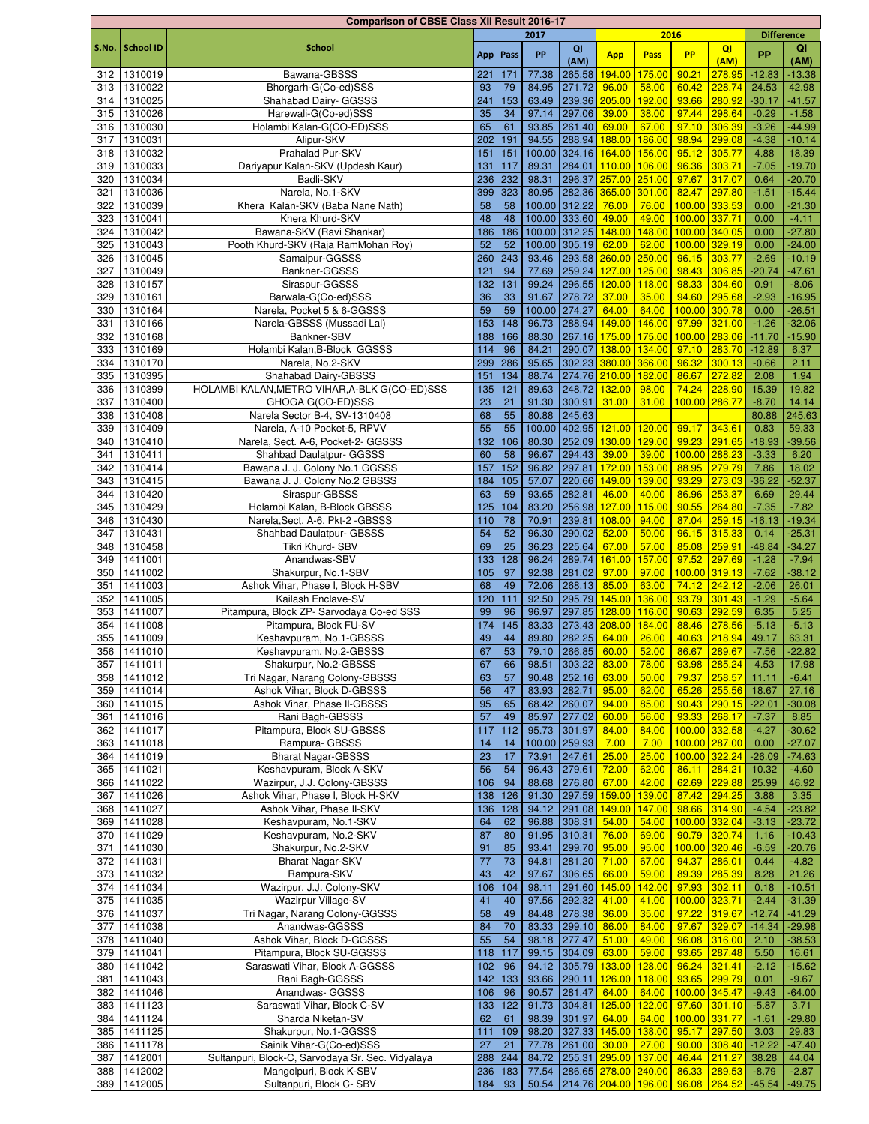|       |                  | <b>Comparison of CBSE Class XII Result 2016-17</b> |     |          |       |               |                                   |               |               |                |                   |          |
|-------|------------------|----------------------------------------------------|-----|----------|-------|---------------|-----------------------------------|---------------|---------------|----------------|-------------------|----------|
|       |                  |                                                    |     |          | 2017  |               |                                   | 2016          |               |                | <b>Difference</b> |          |
| S.No. | <b>School ID</b> | <b>School</b>                                      |     | App Pass | PP    | QI            | <b>App</b>                        | Pass          | <b>PP</b>     | QI             | <b>PP</b>         | QI       |
|       |                  |                                                    |     |          |       | (AM)          |                                   |               |               | (AM)           |                   | (AM)     |
| 312   | 1310019          | Bawana-GBSSS                                       | 221 | 171      | 77.38 | 265.58        | 194.00                            | 175.00        | 90.21         | 278.95         | $-12.83$          | $-13.38$ |
| 313   | 1310022          | Bhorgarh-G(Co-ed)SSS                               | 93  | 79       | 84.95 | 271.72        | 96.00                             | 58.00         | 60.42         | 228.74         | 24.53             | 42.98    |
| 314   | 1310025          | Shahabad Dairy- GGSSS                              | 241 | 153      | 63.49 |               | 239.36 205.00                     | 192.00        | 93.66         | 280.92         | $-30.17$          | $-41.57$ |
| 315   | 1310026          | Harewali-G(Co-ed)SSS                               | 35  | 34       | 97.14 | 297.06        | 39.00                             | 38.00         | 97.44         | 298.64         | $-0.29$           | $-1.58$  |
| 316   | 1310030          | Holambi Kalan-G(CO-ED)SSS                          | 65  | 61       | 93.85 | 261.40        | 69.00                             | 67.00         | 97.10         | 306.39         | $-3.26$           | $-44.99$ |
| 317   | 1310031          | Alipur-SKV                                         | 202 | 191      | 94.55 | 288.94        | 188.00                            | 186.00        | 98.94         | 299.08         | $-4.38$           | $-10.14$ |
| 318   | 1310032          | Prahalad Pur-SKV                                   | 151 | 151      |       |               | 100.00 324.16 164.00 156.00       |               | 95.12         | 305.77         | 4.88              | 18.39    |
| 319   | 1310033          | Dariyapur Kalan-SKV (Updesh Kaur)                  | 131 | 117      | 89.31 |               | 284.01 110.00 106.00              |               | 96.36         | 303.71         | $-7.05$           | $-19.70$ |
|       |                  |                                                    |     |          |       | 296.37        |                                   |               |               |                |                   |          |
| 320   | 1310034          | Badli-SKV                                          | 236 | 232      | 98.31 |               | 257.00 251.00                     |               | 97.67         | 317.07         | 0.64              | $-20.70$ |
| 321   | 1310036          | Narela, No.1-SKV                                   | 399 | 323      | 80.95 |               | 282.36 365.00 301.00              |               | 82.47         | 297.80         | $-1.51$           | $-15.44$ |
| 322   | 1310039          | Khera Kalan-SKV (Baba Nane Nath)                   | 58  | 58       |       | 100.00 312.22 | 76.00                             | 76.00         | 100.00 333.53 |                | 0.00              | $-21.30$ |
| 323   | 1310041          | Khera Khurd-SKV                                    | 48  | 48       |       | 100.00 333.60 | 49.00                             | 49.00         | 100.00 337.71 |                | 0.00              | $-4.11$  |
| 324   | 1310042          | Bawana-SKV (Ravi Shankar)                          | 186 | 186      |       | 100.00 312.25 |                                   | 148.00 148.00 | 100.00 340.05 |                | 0.00              | $-27.80$ |
| 325   | 1310043          | Pooth Khurd-SKV (Raja RamMohan Roy)                | 52  | 52       |       | 100.00 305.19 | 62.00                             | 62.00         | 100.00 329.19 |                | 0.00              | $-24.00$ |
| 326   | 1310045          | Samaipur-GGSSS                                     | 260 | 243      | 93.46 |               | 293.58 260.00 250.00              |               | 96.15         | 303.77         | $-2.69$           | $-10.19$ |
| 327   | 1310049          | Bankner-GGSSS                                      | 121 | 94       | 77.69 |               | 259.24 127.00 125.00              |               | 98.43         | 306.85         | $-20.74$          | $-47.61$ |
| 328   | 1310157          | Siraspur-GGSSS                                     | 132 | 131      | 99.24 |               | 296.55 120.00 118.00              |               | 98.33         | 304.60         | 0.91              | $-8.06$  |
| 329   | 1310161          | Barwala-G(Co-ed)SSS                                | 36  | 33       | 91.67 | 278.72        | 37.00                             | 35.00         | 94.60         | 295.68         | $-2.93$           | $-16.95$ |
| 330   | 1310164          | Narela, Pocket 5 & 6-GGSSS                         | 59  | 59       |       | 100.00 274.27 | 64.00                             | 64.00         | 100.00        | 300.78         | 0.00              | $-26.51$ |
| 331   | 1310166          | Narela-GBSSS (Mussadi Lal)                         | 153 | 148      | 96.73 | 288.94        | 149.00 146.00                     |               | 97.99         | 321.00         | $-1.26$           | $-32.06$ |
| 332   | 1310168          | Bankner-SBV                                        | 188 | 166      | 88.30 |               | 267.16 175.00 175.00              |               | 100.00        | 283.06         | $-11.70$          | $-15.90$ |
|       |                  |                                                    | 114 | 96       | 84.21 | 290.07        | 138.00 134.00                     |               |               | 283.70         |                   |          |
| 333   | 1310169          | Holambi Kalan, B-Block GGSSS                       |     |          |       |               |                                   |               | 97.10         |                | $-12.89$          | 6.37     |
| 334   | 1310170          | Narela, No.2-SKV                                   | 299 | 286      | 95.65 |               | 302.23 380.00 366.00              |               | 96.32         | 300.13         | $-0.66$           | 2.11     |
| 335   | 1310395          | Shahabad Dairy-GBSSS                               | 151 | 134      | 88.74 |               | 274.76 210.00 182.00              |               | 86.67         | 272.82         | 2.08              | 1.94     |
| 336   | 1310399          | HOLAMBI KALAN, METRO VIHAR, A-BLK G(CO-ED)SSS      | 135 | 121      | 89.63 |               | 248.72 132.00 98.00               |               | 74.24         | 228.90         | 15.39             | 19.82    |
| 337   | 1310400          | GHOGA G(CO-ED)SSS                                  | 23  | 21       | 91.30 | 300.91        | 31.00                             | 31.00         | 100.00        | 286.77         | $-8.70$           | 14.14    |
| 338   | 1310408          | Narela Sector B-4, SV-1310408                      | 68  | 55       | 80.88 | 245.63        |                                   |               |               |                | 80.88             | 245.63   |
| 339   | 1310409          | Narela, A-10 Pocket-5, RPVV                        | 55  | 55       |       |               | 100.00 402.95 121.00 120.00       |               | 99.17         | 343.61         | 0.83              | 59.33    |
| 340   | 1310410          | Narela, Sect. A-6, Pocket-2- GGSSS                 | 132 | 106      | 80.30 | 252.09        | 130.00 129.00                     |               | 99.23         | 291.65         | $-18.93$          | $-39.56$ |
| 341   | 1310411          | Shahbad Daulatpur- GGSSS                           | 60  | 58       | 96.67 | 294.43        | 39.00                             | 39.00         | 100.00 288.23 |                | $-3.33$           | 6.20     |
| 342   | 1310414          | Bawana J. J. Colony No.1 GGSSS                     | 157 | 152      | 96.82 | 297.81        | 172.00 153.00                     |               | 88.95         | 279.79         | 7.86              | 18.02    |
| 343   | 1310415          | Bawana J. J. Colony No.2 GBSSS                     | 184 | 105      | 57.07 | 220.66        | 149.00                            | 139.00        | 93.29         | 273.03         | $-36.22$          | $-52.37$ |
| 344   | 1310420          | Siraspur-GBSSS                                     | 63  | 59       | 93.65 | 282.81        | 46.00                             | 40.00         | 86.96         | 253.37         | 6.69              | 29.44    |
| 345   | 1310429          | Holambi Kalan, B-Block GBSSS                       | 125 | 104      | 83.20 | 256.98        | 127.00                            | 115.00        | 90.55         | 264.80         | $-7.35$           | $-7.82$  |
| 346   | 1310430          | Narela, Sect. A-6, Pkt-2 - GBSSS                   | 110 | 78       | 70.91 | 239.81        | 108.00                            | 94.00         | 87.04         | 259.15         | $-16.13$          | $-19.34$ |
| 347   | 1310431          | Shahbad Daulatpur- GBSSS                           | 54  | 52       | 96.30 | 290.02        | 52.00                             | 50.00         | 96.15         | 315.33         | 0.14              | $-25.31$ |
|       |                  |                                                    |     |          |       |               |                                   |               |               |                |                   |          |
| 348   | 1310458          | Tikri Khurd- SBV                                   | 69  | 25       | 36.23 | 225.64        | 67.00                             | 57.00         | 85.08         | 259.91         | $-48.84$          | $-34.27$ |
| 349   | 1411001          | Anandwas-SBV                                       | 133 | 128      | 96.24 | 289.74        | 161.00                            | 157.00        | 97.52         | 297.69         | $-1.28$           | $-7.94$  |
| 350   | 1411002          | Shakurpur, No.1-SBV                                | 105 | 97       | 92.38 | 281.02        | 97.00                             | 97.00         | 100.00 319.13 |                | $-7.62$           | $-38.12$ |
| 351   | 1411003          | Ashok Vihar, Phase I, Block H-SBV                  | 68  | 49       | 72.06 | 268.13        | 85.00                             | 63.00         | 74.12         | 242.12         | $-2.06$           | 26.01    |
| 352   | 1411005          | Kailash Enclave-SV                                 | 120 | 111      | 92.50 | 295.79        | 145.00                            | 136.00        | 93.79         | 301.43         | $-1.29$           | $-5.64$  |
| 353   | 1411007          | Pitampura, Block ZP- Sarvodaya Co-ed SSS           | 99  | 96       | 96.97 |               | 297.85 128.00 116.00              |               | 90.63         | 292.59         | 6.35              | 5.25     |
| 354   | 1411008          | Pitampura, Block FU-SV                             | 174 | 145      | 83.33 |               | 273.43 208.00                     | 184.00        | 88.46         | 278.56         | $-5.13$           | $-5.13$  |
| 355   | 1411009          | Keshavpuram, No.1-GBSSS                            | 49  | 44       | 89.80 | 282.25        | 64.00                             | 26.00         |               | 40.63 218.94   | 49.17             | 63.31    |
|       | 356 1411010      | Keshavpuram, No.2-GBSSS                            | 67  | 53       | 79.10 |               | 266.85 60.00 52.00                |               |               | 86.67 289.67   | $-7.56$           | $-22.82$ |
| 357   | 1411011          | Shakurpur, No.2-GBSSS                              | 67  | 66       | 98.51 | 303.22        | 83.00                             | 78.00         | 93.98         | 285.24         | 4.53              | 17.98    |
| 358   | 1411012          | Tri Nagar, Narang Colony-GBSSS                     | 63  | 57       | 90.48 | 252.16        | 63.00                             | 50.00         | 79.37         | 258.57         | 11.11             | $-6.41$  |
| 359   | 1411014          | Ashok Vihar, Block D-GBSSS                         | 56  | 47       | 83.93 | 282.71        | 95.00                             | 62.00         | 65.26         | 255.56         | 18.67             | 27.16    |
|       | 360 1411015      | Ashok Vihar, Phase II-GBSSS                        | 95  | 65       | 68.42 | 260.07        | 94.00                             | 85.00         |               | $90.43$ 290.15 | $-22.01$          | $-30.08$ |
| 361   | 1411016          | Rani Bagh-GBSSS                                    | 57  | 49       | 85.97 | 277.02        | 60.00                             | 56.00         | 93.33         | 268.17         | $-7.37$           | 8.85     |
| 362   | 1411017          | Pitampura, Block SU-GBSSS                          | 117 | 112      | 95.73 | 301.97        | 84.00                             | 84.00         | 100.00 332.58 |                | $-4.27$           | $-30.62$ |
|       | 1411018          | Rampura- GBSSS                                     | 14  | 14       |       | 100.00 259.93 | 7.00                              | 7.00          | 100.00 287.00 |                | 0.00              | $-27.07$ |
| 363   | 1411019          | <b>Bharat Nagar-GBSSS</b>                          | 23  | 17       | 73.91 | 247.61        | 25.00                             | 25.00         | 100.00        | 322.24         | $-26.09$          | $-74.63$ |
| 364   |                  |                                                    |     |          |       |               |                                   |               |               |                |                   |          |
| 365   | 1411021          | Keshavpuram, Block A-SKV                           | 56  | 54       | 96.43 | 279.61        | 72.00                             | 62.00         | 86.11         | 284.21         | 10.32             | $-4.60$  |
| 366   | 1411022          | Wazirpur, J.J. Colony-GBSSS                        | 106 | 94       | 88.68 | 276.80        | 67.00                             | 42.00         | 62.69         | 229.88         | 25.99             | 46.92    |
| 367   | 1411026          | Ashok Vihar, Phase I, Block H-SKV                  | 138 | 126      | 91.30 | 297.59        | 159.00                            | 139.00        | 87.42         | 294.25         | 3.88              | 3.35     |
| 368   | 1411027          | Ashok Vihar, Phase II-SKV                          | 136 | 128      | 94.12 | 291.08        | 149.00                            | 147.00        | 98.66         | 314.90         | $-4.54$           | $-23.82$ |
| 369   | 1411028          | Keshavpuram, No.1-SKV                              | 64  | 62       | 96.88 | 308.31        | 54.00                             | 54.00         | 100.00        | 332.04         | $-3.13$           | $-23.72$ |
| 370   | 1411029          | Keshavpuram, No.2-SKV                              | 87  | 80       | 91.95 | 310.31        | 76.00                             | 69.00         | 90.79         | 320.74         | 1.16              | $-10.43$ |
| 371   | 1411030          | Shakurpur, No.2-SKV                                | 91  | 85       | 93.41 | 299.70        | 95.00                             | 95.00         | 100.00 320.46 |                | $-6.59$           | $-20.76$ |
| 372   | 1411031          | <b>Bharat Nagar-SKV</b>                            | 77  | 73       | 94.81 | 281.20        | 71.00                             | 67.00         | 94.37         | 286.01         | 0.44              | $-4.82$  |
| 373   | 1411032          | Rampura-SKV                                        | 43  | 42       | 97.67 | 306.65        | 66.00                             | 59.00         | 89.39         | 285.39         | 8.28              | 21.26    |
| 374   | 1411034          | Wazirpur, J.J. Colony-SKV                          | 106 | 104      | 98.11 | 291.60        | 145.00                            | 142.00        | 97.93         | 302.11         | 0.18              | $-10.51$ |
| 375   | 1411035          | Wazirpur Village-SV                                | 41  | 40       | 97.56 | 292.32        | 41.00                             | 41.00         | 100.00 323.71 |                | $-2.44$           | $-31.39$ |
| 376   | 1411037          | Tri Nagar, Narang Colony-GGSSS                     | 58  | 49       | 84.48 | 278.38        | 36.00                             | 35.00         | 97.22         | 319.67         | $-12.74$          | $-41.29$ |
| 377   | 1411038          | Anandwas-GGSSS                                     | 84  | 70       | 83.33 | 299.10        | 86.00                             | 84.00         | 97.67         | 329.07         | $-14.34$          | $-29.98$ |
| 378   | 1411040          | Ashok Vihar, Block D-GGSSS                         | 55  | 54       | 98.18 | 277.47        | 51.00                             | 49.00         | 96.08         | 316.00         | 2.10              | $-38.53$ |
| 379   | 1411041          | Pitampura, Block SU-GGSSS                          | 118 | 117      | 99.15 | 304.09        | 63.00                             | 59.00         | 93.65         | 287.48         | 5.50              | 16.61    |
| 380   | 1411042          | Saraswati Vihar, Block A-GGSSS                     | 102 | 96       | 94.12 | 305.79        | 133.00                            | 128.00        | 96.24         | 321.41         | $-2.12$           | $-15.62$ |
| 381   | 1411043          | Rani Bagh-GGSSS                                    | 142 | 133      | 93.66 | 290.11        | 126.00                            | 118.00        | 93.65         | 299.79         | 0.01              | $-9.67$  |
|       | 1411046          |                                                    |     | 96       | 90.57 | 281.47        | 64.00                             |               |               |                |                   |          |
| 382   |                  | Anandwas- GGSSS                                    | 106 | 122      |       |               |                                   | 64.00         | 100.00 345.47 | 301.10         | $-9.43$           | $-64.00$ |
| 383   | 1411123          | Saraswati Vihar, Block C-SV                        | 133 |          | 91.73 | 304.81        | 125.00 122.00                     |               | 97.60         |                | $-5.87$           | 3.71     |
| 384   | 1411124          | Sharda Niketan-SV                                  | 62  | 61       | 98.39 | 301.97        | 64.00                             | 64.00         | 100.00 331.77 |                | $-1.61$           | $-29.80$ |
| 385   | 1411125          | Shakurpur, No.1-GGSSS                              | 111 | 109      | 98.20 |               | 327.33 145.00 138.00              |               | 95.17         | 297.50         | 3.03              | 29.83    |
| 386   | 1411178          | Sainik Vihar-G(Co-ed)SSS                           | 27  | 21       | 77.78 | 261.00        | 30.00                             | 27.00         | 90.00         | 308.40         | $-12.22$          | $-47.40$ |
| 387   | 1412001          | Sultanpuri, Block-C, Sarvodaya Sr. Sec. Vidyalaya  | 288 | 244      | 84.72 |               | 255.31 295.00 137.00              |               | 46.44         | 211.27         | 38.28             | 44.04    |
| 388   | 1412002          | Mangolpuri, Block K-SBV                            | 236 | 183      | 77.54 |               | 286.65 278.00 240.00              |               |               | 86.33 289.53   | $-8.79$           | $-2.87$  |
| 389   | 1412005          | Sultanpuri, Block C- SBV                           | 184 | 93       | 50.54 |               | 214.76 204.00 196.00 96.08 264.52 |               |               |                | $-45.54$          | $-49.75$ |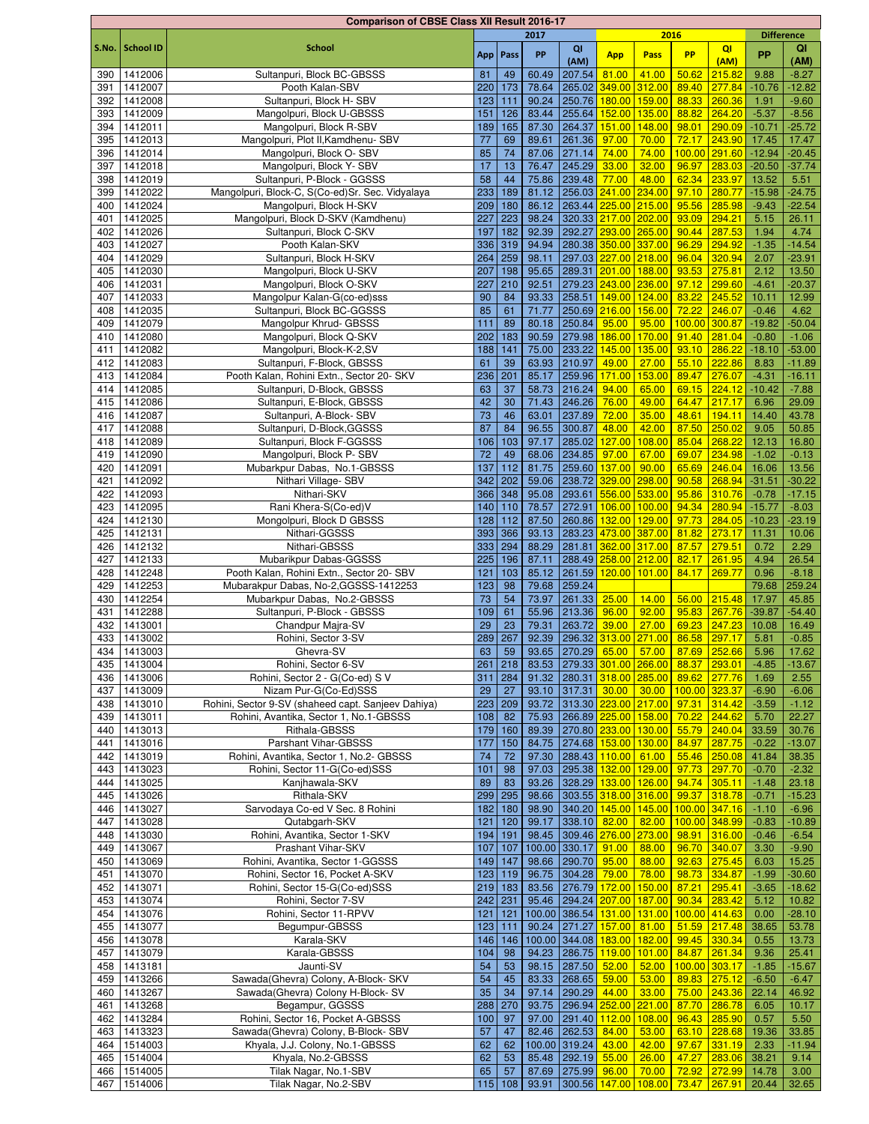|              |                  | <b>Comparison of CBSE Class XII Result 2016-17</b>                          |     |           |       |                  |                                                        |        |                        |                           |                   |          |
|--------------|------------------|-----------------------------------------------------------------------------|-----|-----------|-------|------------------|--------------------------------------------------------|--------|------------------------|---------------------------|-------------------|----------|
|              |                  |                                                                             |     |           | 2017  |                  |                                                        | 2016   |                        |                           | <b>Difference</b> |          |
| S.No.        | <b>School ID</b> | <b>School</b>                                                               |     | App Pass  | PP    | QI               | <b>App</b>                                             | Pass   | <b>PP</b>              | QI                        | <b>PP</b>         | QI       |
|              |                  |                                                                             |     |           |       | (AM)             |                                                        |        |                        | (AM)                      |                   | (AM)     |
| 390          | 1412006          | Sultanpuri, Block BC-GBSSS                                                  | 81  | 49        | 60.49 | 207.54           | 81.00                                                  | 41.00  | 50.62                  | 215.82                    | 9.88              | $-8.27$  |
| 391          | 1412007          | Pooth Kalan-SBV                                                             | 220 | 173       | 78.64 | 265.02           | 349.00                                                 | 312.00 | 89.40                  | 277.84                    | $-10.76$          | $-12.82$ |
| 392          | 1412008          | Sultanpuri, Block H- SBV                                                    | 123 | 111       | 90.24 | 250.76           | 180.00                                                 | 159.00 | 88.33                  | 260.36                    | 1.91              | $-9.60$  |
| 393          | 1412009          | Mangolpuri, Block U-GBSSS                                                   | 151 | 126       | 83.44 |                  | 255.64 152.00 135.00                                   |        | 88.82                  | 264.20                    | $-5.37$           | $-8.56$  |
| 394          | 1412011          | Mangolpuri, Block R-SBV                                                     | 189 | 165       | 87.30 | 264.37           | 151.00 148.00                                          |        | 98.01                  | 290.09                    | $-10.71$          | $-25.72$ |
| 395          | 1412013          | Mangolpuri, Plot II, Kamdhenu- SBV                                          | 77  | 69        | 89.61 | 261.36           | 97.00                                                  | 70.00  | 72.17                  | 243.90                    | 17.45             | 17.47    |
| 396          | 1412014          | Mangolpuri, Block O- SBV                                                    | 85  | 74        | 87.06 | 271.14           | 74.00                                                  | 74.00  | 100.00                 | 291.60                    | $-12.94$          | $-20.45$ |
| 397          | 1412018          | Mangolpuri, Block Y- SBV                                                    | 17  | 13        | 76.47 | 245.29           | 33.00                                                  | 32.00  | 96.97                  | 283.03                    | $-20.50$          | $-37.74$ |
| 398          | 1412019          | Sultanpuri, P-Block - GGSSS                                                 | 58  | 44        | 75.86 | 239.48           | 77.00                                                  | 48.00  | 62.34                  | 233.97                    | 13.52             | 5.51     |
| 399          | 1412022          | Mangolpuri, Block-C, S(Co-ed)Sr. Sec. Vidyalaya                             | 233 | 189       | 81.12 |                  | 256.03 241.00 234.00                                   |        | 97.10                  | 280.77                    | $-15.98$          | $-24.75$ |
| 400          | 1412024          | Mangolpuri, Block H-SKV                                                     | 209 | 180       | 86.12 |                  | 263.44 225.00 215.00                                   |        | 95.56                  | 285.98                    | $-9.43$           | $-22.54$ |
| 401          | 1412025          | Mangolpuri, Block D-SKV (Kamdhenu)                                          | 227 | 223       | 98.24 |                  | 320.33 217.00 202.00                                   |        | 93.09                  | 294.21                    | 5.15              | 26.11    |
| 402          | 1412026          | Sultanpuri, Block C-SKV                                                     | 197 | 182       | 92.39 |                  | 292.27 293.00 265.00                                   |        | 90.44                  | 287.53                    | 1.94              | 4.74     |
| 403          | 1412027          | Pooth Kalan-SKV                                                             | 336 | 319       | 94.94 |                  | 280.38 350.00 337.00                                   |        | 96.29                  | 294.92                    | $-1.35$           | $-14.54$ |
| 404          | 1412029          | Sultanpuri, Block H-SKV                                                     | 264 | 259       | 98.11 |                  | 297.03 227.00 218.00                                   |        | 96.04                  | 320.94                    | 2.07              | $-23.91$ |
| 405          | 1412030          | Mangolpuri, Block U-SKV                                                     | 207 | 198       | 95.65 |                  | 289.31 201.00 188.00                                   |        | 93.53                  | 275.81                    | 2.12              | 13.50    |
| 406          | 1412031          | Mangolpuri, Block O-SKV                                                     | 227 | 210       | 92.51 |                  | 279.23 243.00 236.00                                   |        | 97.12                  | 299.60                    | $-4.61$           | $-20.37$ |
| 407          | 1412033          | Mangolpur Kalan-G(co-ed)sss                                                 | 90  | 84        | 93.33 |                  | 258.51 149.00 124.00                                   |        | 83.22                  | 245.52                    | 10.11             | 12.99    |
| 408          | 1412035          | Sultanpuri, Block BC-GGSSS                                                  | 85  | 61        | 71.77 |                  | 250.69 216.00                                          | 156.00 | 72.22                  | 246.07                    | $-0.46$           | 4.62     |
| 409          | 1412079          | Mangolpur Khrud- GBSSS                                                      | 111 | 89        | 80.18 | 250.84           | 95.00                                                  | 95.00  | 100.00                 | 300.87                    | $-19.82$          | $-50.04$ |
| 410          | 1412080          | Mangolpuri, Block Q-SKV                                                     | 202 | 183       | 90.59 | 279.98           | 186.00                                                 | 170.00 | 91.40                  | 281.04                    | $-0.80$           | $-1.06$  |
| 411          | 1412082          | Mangolpuri, Block-K-2,SV                                                    | 188 | 141       | 75.00 | 233.22           | 145.00 135.00                                          |        | 93.10                  | 286.22                    | $-18.10$          | $-53.00$ |
| 412          | 1412083          | Sultanpuri, F-Block, GBSSS                                                  | 61  | 39        | 63.93 | 210.97           | 49.00                                                  | 27.00  | 55.10                  | 222.86                    | 8.83              | $-11.89$ |
| 413          | 1412084          | Pooth Kalan, Rohini Extn., Sector 20- SKV                                   | 236 | 201       | 85.17 | 259.96           | 171.00                                                 | 153.00 | 89.47                  | 276.07                    | $-4.31$           | $-16.11$ |
| 414          | 1412085          | Sultanpuri, D-Block, GBSSS                                                  | 63  | 37        | 58.73 | 216.24           | 94.00                                                  | 65.00  | 69.15                  | 224.12                    | $-10.42$          | $-7.88$  |
| 415          | 1412086          | Sultanpuri, E-Block, GBSSS                                                  | 42  | 30        | 71.43 | 246.26           | 76.00                                                  | 49.00  | 64.47                  | 217.17                    | 6.96              | 29.09    |
| 416          | 1412087          | Sultanpuri, A-Block- SBV                                                    | 73  | 46        | 63.01 | 237.89           | 72.00                                                  | 35.00  | 48.61                  | 194.11                    | 14.40             | 43.78    |
| 417          | 1412088          | Sultanpuri, D-Block, GGSSS                                                  | 87  | 84        | 96.55 | 300.87           | 48.00                                                  | 42.00  | 87.50                  | 250.02                    | 9.05              | 50.85    |
| 418          | 1412089          | Sultanpuri, Block F-GGSSS                                                   | 106 | 103       | 97.17 | 285.02           | 127.00                                                 | 108.00 | 85.04                  | 268.22                    | 12.13             | 16.80    |
| 419          | 1412090          | Mangolpuri, Block P- SBV                                                    | 72  | 49        | 68.06 | 234.85           | 97.00                                                  | 67.00  | 69.07                  | 234.98                    | $-1.02$           | $-0.13$  |
| 420          | 1412091          | Mubarkpur Dabas, No.1-GBSSS                                                 | 137 | 112       | 81.75 | 259.60           | 137.00                                                 | 90.00  | 65.69                  | 246.04                    | 16.06             | 13.56    |
| 421          | 1412092          | Nithari Village-SBV                                                         | 342 | 202       | 59.06 | 238.72           | 329.00                                                 | 298.00 | 90.58                  | 268.94                    | $-31.51$          | $-30.22$ |
| 422          | 1412093          | Nithari-SKV                                                                 | 366 | 348       | 95.08 |                  | 293.61 556.00 533.00                                   |        | 95.86                  | 310.76                    | $-0.78$           | $-17.15$ |
| 423          | 1412095          | Rani Khera-S(Co-ed)V                                                        | 140 | 110       | 78.57 | 272.91           | 106.00 100.00                                          |        | 94.34                  | 280.94                    | $-15.77$          | $-8.03$  |
| 424          | 1412130          | Mongolpuri, Block D GBSSS                                                   | 128 | 112       | 87.50 |                  | 260.86 132.00 129.00                                   |        | 97.73                  | 284.05                    | $-10.23$          | $-23.19$ |
| 425          | 1412131          | Nithari-GGSSS                                                               | 393 | 366       | 93.13 |                  | 283.23 473.00 387.00                                   |        | 81.82                  | 273.17                    | 11.31             | 10.06    |
| 426          | 1412132          | Nithari-GBSSS                                                               | 333 | 294       | 88.29 |                  | 281.81 362.00 317.00                                   |        | 87.57                  | 279.51                    | 0.72              | 2.29     |
| 427          | 1412133          | Mubarikpur Dabas-GGSSS                                                      | 225 | 196       | 87.11 |                  | 288.49 258.00 212.00                                   |        | 82.17                  | 261.95                    | 4.94              | 26.54    |
| 428          | 1412248          | Pooth Kalan, Rohini Extn., Sector 20- SBV                                   | 121 | 103       | 85.12 |                  | 261.59 120.00 101.00                                   |        | 84.17                  | 269.77                    | 0.96              | $-8.18$  |
| 429          | 1412253          | Mubarakpur Dabas, No-2, GGSSS-1412253                                       | 123 | 98        | 79.68 | 259.24           |                                                        |        |                        |                           | 79.68             | 259.24   |
| 430          | 1412254          | Mubarkpur Dabas, No.2-GBSSS                                                 | 73  | 54        | 73.97 | 261.33           | 25.00                                                  | 14.00  | 56.00                  | 215.48                    | 17.97             | 45.85    |
| 431          | 1412288          | Sultanpuri, P-Block - GBSSS                                                 | 109 | 61        | 55.96 | 213.36           | 96.00                                                  | 92.00  | 95.83                  | 267.76                    | $-39.87$          | $-54.40$ |
| 432          | 1413001          | Chandpur Majra-SV                                                           | 29  | 23        | 79.31 | 263.72           | 39.00                                                  | 27.00  | 69.23                  | 247.23                    | 10.08             | 16.49    |
| 433          | 1413002          | Rohini, Sector 3-SV                                                         | 289 | 267       | 92.39 |                  | 296.32 313.00 271.00                                   |        | 86.58                  | 297.17                    | 5.81              | $-0.85$  |
|              | 434 1413003      | Ghevra-SV                                                                   | 63  | 59        |       |                  | 93.65 270.29 65.00 57.00                               |        | 87.69 252.66           |                           | 5.96              | 17.62    |
|              | 1413004          | Rohini, Sector 6-SV                                                         | 261 | 218       | 83.53 |                  | 279.33 301.00 266.00                                   |        | 88.37                  | 293.01                    | $-4.85$           | $-13.67$ |
| 435          | 1413006          | Rohini, Sector 2 - G(Co-ed) S V                                             | 311 | 284       | 91.32 |                  | 280.31 318.00 285.00                                   |        |                        |                           |                   | 2.55     |
| 436  <br>437 | 1413009          |                                                                             |     | 27        |       | 317.31           | 30.00                                                  | 30.00  | 89.62<br>100.00 323.37 | 277.76                    | 1.69              |          |
|              | 438 1413010      | Nizam Pur-G(Co-Ed)SSS<br>Rohini, Sector 9-SV (shaheed capt. Sanjeev Dahiya) | 29  |           | 93.10 |                  |                                                        |        |                        |                           | $-6.90$           | $-6.06$  |
|              |                  |                                                                             | 223 | 209       | 93.72 |                  | 313.30 223.00 217.00                                   |        | 97.31                  | 314.42<br>244.62          | $-3.59$           | $-1.12$  |
| 439          | 1413011          | Rohini, Avantika, Sector 1, No.1-GBSSS                                      | 108 | 82        | 75.93 |                  | 266.89 225.00 158.00                                   |        | 70.22                  |                           | 5.70              | 22.27    |
|              | 440 1413013      | Rithala-GBSSS                                                               | 179 | 160       | 89.39 |                  | 270.80 233.00 130.00                                   |        | 55.79                  | 240.04                    | 33.59             | 30.76    |
| 441          | 1413016          | Parshant Vihar-GBSSS                                                        | 177 | 150       | 84.75 |                  | 274.68 153.00 130.00                                   |        | 84.97                  | 287.75                    | $-0.22$           | $-13.07$ |
| 442          | 1413019          | Rohini, Avantika, Sector 1, No.2- GBSSS                                     | 74  | 72        | 97.30 |                  | 288.43 <mark>110.00 61.00</mark>                       |        | 55.46                  | 250.08                    | 41.84             | 38.35    |
| 443          | 1413023          | Rohini, Sector 11-G(Co-ed)SSS                                               | 101 | 98        | 97.03 |                  | 295.38 132.00 129.00                                   |        | 97.73                  | 297.70                    | $-0.70$           | $-2.32$  |
|              | 444 1413025      | Kanjhawala-SKV                                                              | 89  | 83        | 93.26 |                  | 328.29 133.00 126.00                                   |        | 94.74                  | 305.11                    | $-1.48$           | 23.18    |
|              | 445 1413026      | Rithala-SKV                                                                 | 299 | 295       | 98.66 |                  | 303.55 318.00 316.00                                   |        | 99.37                  | 318.78                    | $-0.71$           | $-15.23$ |
| 446 I        | 1413027          | Sarvodaya Co-ed V Sec. 8 Rohini                                             | 182 | 180       | 98.90 |                  | 340.20 145.00 145.00                                   |        | 100.00 347.16          |                           | $-1.10$           | $-6.96$  |
| 447          | 1413028          | Qutabgarh-SKV                                                               | 121 | 120       | 99.17 | 338.10           | 82.00                                                  | 82.00  | 100.00                 | 348.99                    | $-0.83$           | $-10.89$ |
| 448          | 1413030          | Rohini, Avantika, Sector 1-SKV                                              |     | 194 191   | 98.45 |                  | 309.46 276.00 273.00                                   |        | 98.91                  | 316.00                    | $-0.46$           | $-6.54$  |
| 449          | 1413067          | Prashant Vihar-SKV                                                          | 107 | 107       |       | 100.00 330.17    | 91.00                                                  | 88.00  | 96.70                  | 340.07                    | 3.30              | $-9.90$  |
| 450          | 1413069          | Rohini, Avantika, Sector 1-GGSSS                                            |     | 149 147   | 98.66 | 290.70           | 95.00                                                  | 88.00  | 92.63                  | 275.45                    | 6.03              | 15.25    |
| 451          | 1413070          | Rohini, Sector 16, Pocket A-SKV                                             | 123 | 119       | 96.75 | 304.28 79.00     |                                                        | 78.00  | 98.73                  | 334.87                    | $-1.99$           | $-30.60$ |
| 452          | 1413071          | Rohini, Sector 15-G(Co-ed)SSS                                               |     | $219$ 183 | 83.56 |                  | 276.79 172.00 150.00                                   |        | 87.21                  | 295.41                    | $-3.65$           | $-18.62$ |
| 453          | 1413074          | Rohini, Sector 7-SV                                                         |     | $242$ 231 | 95.46 |                  | 294.24 207.00 187.00                                   |        | 90.34                  | 283.42                    | 5.12              | 10.82    |
| 454          | 1413076          | Rohini, Sector 11-RPVV                                                      | 121 | 121       |       |                  | 100.00 386.54 131.00 131.00                            |        | 100.00                 | 414.63                    | 0.00              | $-28.10$ |
| 455          | 1413077          | Begumpur-GBSSS                                                              | 123 | 111       | 90.24 |                  | 271.27 157.00 81.00                                    |        | 51.59                  | 217.48                    | 38.65             | 53.78    |
|              | 456 1413078      | Karala-SKV                                                                  | 146 |           |       |                  | 146   100.00   344.08 <mark>  183.00   182.00  </mark> |        | 99.45                  | 330.34                    | 0.55              | 13.73    |
|              | 457 1413079      | Karala-GBSSS                                                                | 104 | 98        | 94.23 |                  | 286.75 119.00 101.00                                   |        | 84.87                  | 261.34                    | 9.36              | 25.41    |
| 458          | 1413181          | Jaunti-SV                                                                   | 54  | 53        | 98.15 | 287.50           | 52.00                                                  | 52.00  | 100.00                 | 303.17                    | $-1.85$           | $-15.67$ |
| 459          | 1413266          | Sawada(Ghevra) Colony, A-Block- SKV                                         | 54  | 45        | 83.33 | 268.65           | 59.00                                                  | 53.00  | 89.83                  | 275.12                    | $-6.50$           | $-6.47$  |
| 460          | 1413267          | Sawada(Ghevra) Colony H-Block- SV                                           | 35  | 34        | 97.14 | 290.29           | 44.00                                                  | 33.00  | 75.00                  | 243.36                    | 22.14             | 46.92    |
| 461          | 1413268          | Begampur, GGSSS                                                             | 288 | 270       | 93.75 |                  | 296.94 252.00 221.00                                   |        | 87.70                  | 286.78                    | 6.05              | 10.17    |
| 462          | 1413284          | Rohini, Sector 16, Pocket A-GBSSS                                           | 100 | 97        | 97.00 |                  | 291.40 112.00 108.00                                   |        | 96.43                  | 285.90                    | 0.57              | 5.50     |
| 463 l        | 1413323          | Sawada(Ghevra) Colony, B-Block-SBV                                          | 57  | 47        | 82.46 | 262.53           | 84.00                                                  | 53.00  |                        | 63.10 228.68              | 19.36             | 33.85    |
|              | 464 1514003      | Khyala, J.J. Colony, No.1-GBSSS                                             | 62  | 62        |       | 100.00 319.24    | 43.00                                                  | 42.00  | 97.67                  | 331.19                    | 2.33              | $-11.94$ |
|              | 465 1514004      | Khyala, No.2-GBSSS                                                          | 62  | 53        | 85.48 | 292.19 55.00     |                                                        | 26.00  | 47.27                  | 283.06                    | 38.21             | 9.14     |
|              | 466 1514005      | Tilak Nagar, No.1-SBV                                                       | 65  | 57        | 87.69 | $ 275.99 $ 96.00 |                                                        | 70.00  |                        | <mark>72.92 272.99</mark> | 14.78             | 3.00     |
|              | 467 1514006      | Tilak Nagar, No.2-SBV                                                       | 115 | 108       | 93.91 |                  | 300.56 147.00 108.00 73.47                             |        |                        | 267.91                    | 20.44             | 32.65    |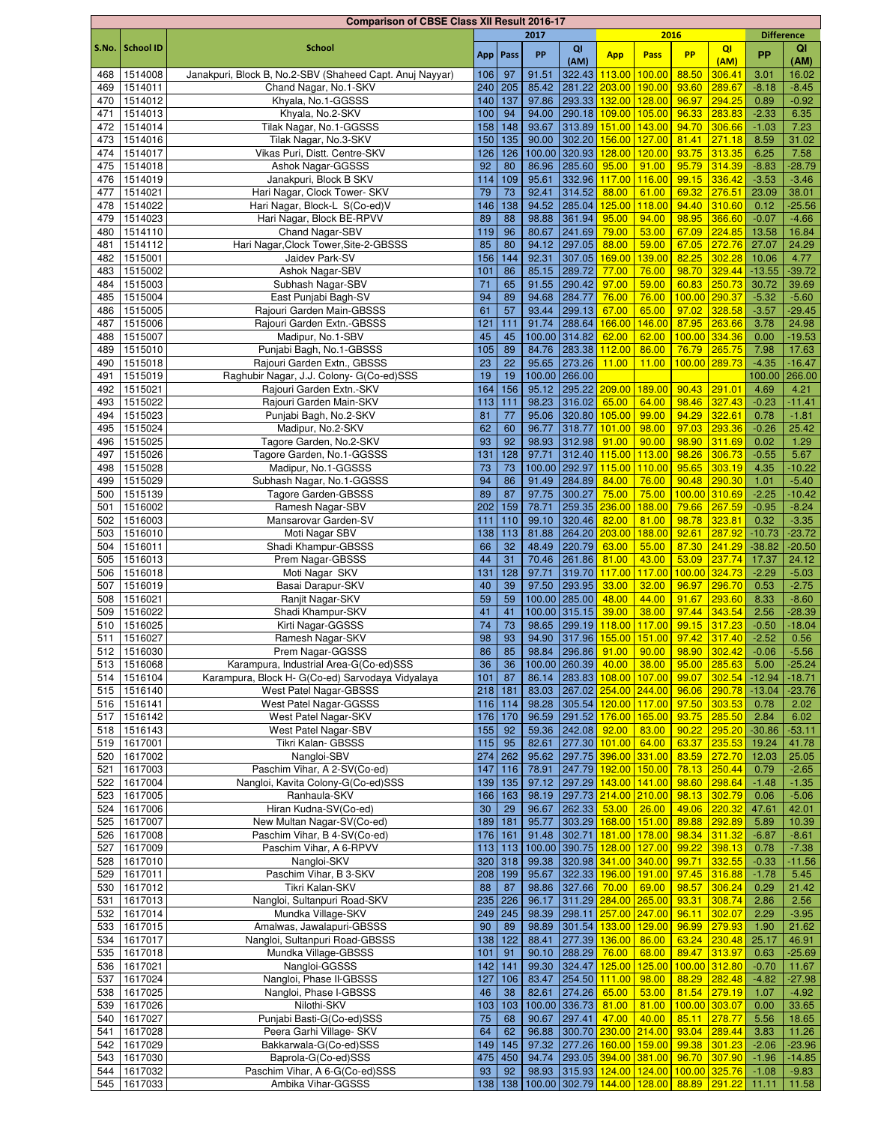|            |                    | <b>Comparison of CBSE Class XII Result 2016-17</b>       |           |                 |                |                                       |                 |                             |                               |                        |                    |                      |
|------------|--------------------|----------------------------------------------------------|-----------|-----------------|----------------|---------------------------------------|-----------------|-----------------------------|-------------------------------|------------------------|--------------------|----------------------|
|            |                    |                                                          |           |                 | 2017           |                                       |                 | 2016                        |                               |                        | <b>Difference</b>  |                      |
| S.No.      | <b>School ID</b>   | <b>School</b>                                            |           | App   Pass      | PP             | QI                                    | <b>App</b>      | Pass                        | <b>PP</b>                     | QI                     | <b>PP</b>          | QI                   |
|            |                    |                                                          |           |                 |                | (AM)                                  |                 |                             |                               | (AM)                   |                    | (AM)                 |
| 468        | 1514008            | Janakpuri, Block B, No.2-SBV (Shaheed Capt. Anuj Nayyar) | 106       | 97              | 91.51          | 322.43                                | 113.00          | 100.00                      | 88.50                         | 306.41                 | 3.01               | 16.02                |
| 469        | 1514011            | Chand Nagar, No.1-SKV                                    | 240       | 205             | 85.42          | 281.22                                | 203.00          | 190.00                      | 93.60                         | 289.67                 | $-8.18$            | $-8.45$              |
| 470        | 1514012            | Khyala, No.1-GGSSS                                       | 140       | 137             | 97.86          | 293.33                                | 132.00          | 128.00                      | 96.97                         | 294.25                 | 0.89               | $-0.92$              |
| 471        | 1514013            | Khyala, No.2-SKV                                         | 100       | 94              | 94.00          | 290.18                                | 109.00          | 105.00                      | 96.33                         | 283.83                 | $-2.33$            | 6.35                 |
| 472        | 1514014            | Tilak Nagar, No.1-GGSSS                                  | 158       | 148             | 93.67          | 313.89                                | 151.00          | 143.00                      | 94.70                         | 306.66                 | $-1.03$            | 7.23                 |
| 473        | 1514016            | Tilak Nagar, No.3-SKV                                    | 150       | 135             | 90.00          | 302.20                                | 156.00          | 127.00                      | 81.41                         | 271.18                 | 8.59               | 31.02                |
| 474        | 1514017            | Vikas Puri, Distt. Centre-SKV                            | 126       | 126             | 100.00         | 320.93                                | 128.00          | 120.00                      | 93.75 313.35                  |                        | 6.25               | 7.58                 |
| 475        | 1514018            | Ashok Nagar-GGSSS                                        | 92        | 80              | 86.96          | 285.60<br>332.96                      | 95.00           | 91.00                       | 95.79                         | 314.39                 | $-8.83$            | $-28.79$             |
| 476        | 1514019<br>1514021 | Janakpuri, Block B SKV<br>Hari Nagar, Clock Tower- SKV   | 114<br>79 | 109             | 95.61<br>92.41 | 314.52                                | 117.00          | 116.00<br>61.00             | 99.15 336.42<br>69.32 276.51  |                        | $-3.53$<br>23.09   | $-3.46$<br>38.01     |
| 477<br>478 | 1514022            | Hari Nagar, Block-L S(Co-ed)V                            | 146       | 73<br>138       | 94.52          | 285.04                                | 88.00<br>125.00 | 118.00                      | 94.40 310.60                  |                        | 0.12               | $-25.56$             |
| 479        | 1514023            | Hari Nagar, Block BE-RPVV                                | 89        | 88              | 98.88          | 361.94                                | 95.00           | 94.00                       | 98.95 366.60                  |                        | $-0.07$            | $-4.66$              |
| 480        | 1514110            | Chand Nagar-SBV                                          | 119       | 96              | 80.67          | 241.69                                | 79.00           | 53.00                       | 67.09 224.85                  |                        | 13.58              | 16.84                |
| 481        | 1514112            | Hari Nagar, Clock Tower, Site-2-GBSSS                    | 85        | 80              | 94.12          | 297.05                                | 88.00           | 59.00                       |                               | 67.05 272.76           | 27.07              | 24.29                |
| 482        | 1515001            | Jaidev Park-SV                                           | 156       | 144             | 92.31          | 307.05                                | 169.00          | 139.00                      | 82.25                         | 302.28                 | 10.06              | 4.77                 |
| 483        | 1515002            | Ashok Nagar-SBV                                          | 101       | 86              | 85.15          | 289.72                                | 77.00           | 76.00                       | 98.70                         | 329.44                 | $-13.55$           | $-39.72$             |
| 484        | 1515003            | Subhash Nagar-SBV                                        | 71        | 65              | 91.55          | 290.42                                | 97.00           | 59.00                       | 60.83                         | 250.73                 | 30.72              | 39.69                |
| 485        | 1515004            | East Punjabi Bagh-SV                                     | 94        | 89              | 94.68          | 284.77                                | 76.00           | 76.00                       | 100.00 290.37                 |                        | $-5.32$            | $-5.60$              |
| 486        | 1515005            | Rajouri Garden Main-GBSSS                                | 61        | 57              | 93.44          | 299.13                                | 67.00           | 65.00                       | 97.02                         | 328.58                 | $-3.57$            | $-29.45$             |
| 487        | 1515006            | Rajouri Garden Extn.-GBSSS                               | 121       | 111             | 91.74          | 288.64                                | 166.00          | 146.00                      | 87.95                         | 263.66                 | 3.78               | 24.98                |
| 488        | 1515007            | Madipur, No.1-SBV                                        | 45        | 45              |                | 100.00 314.82                         | 62.00           | 62.00                       | 100.00                        | 334.36                 | 0.00               | $-19.53$             |
| 489        | 1515010            | Punjabi Bagh, No.1-GBSSS                                 | 105       | 89              | 84.76          | 283.38                                | 112.00          | 86.00                       |                               | 76.79 265.75           | 7.98               | 17.63                |
| 490        | 1515018            | Rajouri Garden Extn., GBSSS                              | 23        | 22              | 95.65          | 273.26                                | 11.00           | 11.00                       | 100.00 289.73                 |                        | $-4.35$            | $-16.47$             |
| 491        | 1515019            | Raghubir Nagar, J.J. Colony- G(Co-ed)SSS                 | 19        | 19              |                | 100.00 266.00                         |                 |                             |                               |                        | 100.00             | 266.00               |
| 492        | 1515021            | Rajouri Garden Extn.-SKV                                 | 164       | 156             | 95.12          | 295.22 209.00                         |                 | 189.00                      | 90.43                         | 291.01                 | 4.69               | 4.21                 |
| 493        | 1515022            | Rajouri Garden Main-SKV                                  | 113       | 111             | 98.23          | 316.02                                | 65.00           | 64.00                       | 98.46                         | 327.43                 | $-0.23$            | $-11.41$             |
| 494        | 1515023            | Punjabi Bagh, No.2-SKV                                   | 81        | 77              | 95.06          | 320.80                                | 105.00          | 99.00                       | 94.29                         | 322.61                 | 0.78               | $-1.81$              |
| 495        | 1515024            | Madipur, No.2-SKV                                        | 62        | 60              | 96.77          | 318.77                                | 101.00          | 98.00                       | 97.03                         | 293.36                 | $-0.26$            | 25.42                |
| 496        | 1515025            | Tagore Garden, No.2-SKV                                  | 93        | 92              | 98.93          | 312.98                                | 91.00           | 90.00                       | 98.90                         | 311.69                 | 0.02               | 1.29                 |
| 497        | 1515026            | Tagore Garden, No.1-GGSSS                                | 131       | 128             | 97.71          | 312.40                                | 115.00          | 113.00                      | 98.26                         | 306.73                 | $-0.55$            | 5.67                 |
| 498<br>499 | 1515028<br>1515029 | Madipur, No.1-GGSSS<br>Subhash Nagar, No.1-GGSSS         | 73<br>94  | 73<br>86        | 91.49          | 100.00 292.97<br>284.89               | 115.00<br>84.00 | 110.00<br>76.00             | 95.65<br>90.48                | 303.19<br>290.30       | 4.35<br>1.01       | $-10.22$<br>$-5.40$  |
| 500        | 1515139            | Tagore Garden-GBSSS                                      | 89        | 87              | 97.75          | 300.27                                | 75.00           | 75.00                       | 100.00                        | 310.69                 | $-2.25$            | $-10.42$             |
| 501        | 1516002            | Ramesh Nagar-SBV                                         | 202       | 159             | 78.71          | 259.35                                | 236.00          | 188.00                      | 79.66                         | 267.59                 | $-0.95$            | $-8.24$              |
| 502        | 1516003            | Mansarovar Garden-SV                                     | 111       | 110             | 99.10          | 320.46                                | 82.00           | 81.00                       | 98.78 323.81                  |                        | 0.32               | $-3.35$              |
| 503        | 1516010            | Moti Nagar SBV                                           | 138       | 113             | 81.88          | 264.20                                | 203.00          | 188.00                      | 92.61                         | 287.92                 | $-10.73$           | $-23.72$             |
| 504        | 1516011            | Shadi Khampur-GBSSS                                      | 66        | 32              | 48.49          | 220.79                                | 63.00           | 55.00                       | 87.30 241.29                  |                        | $-38.82$           | $-20.50$             |
| 505        | 1516013            | Prem Nagar-GBSSS                                         | 44        | 31              | 70.46          | 261.86                                | 81.00           | 43.00                       |                               | 53.09 237.74           | 17.37              | 24.12                |
| 506        | 1516018            | Moti Nagar SKV                                           | 131       | 128             | 97.71          | 319.70                                | 117.00          | 117.00                      | 100.00 324.73                 |                        | $-2.29$            | $-5.03$              |
| 507        | 1516019            | Basai Darapur-SKV                                        | 40        | 39              | 97.50          | 293.95                                | 33.00           | 32.00                       | 96.97                         | 296.70                 | 0.53               | $-2.75$              |
| 508        | 1516021            | Ranjit Nagar-SKV                                         | 59        | 59              |                | 100.00 285.00                         | 48.00           | 44.00                       | 91.67                         | 293.60                 | 8.33               | $-8.60$              |
| 509        | 1516022            | Shadi Khampur-SKV                                        | 41        | 41              |                | 100.00 315.15                         | 39.00           | 38.00                       | 97.44 343.54                  |                        | 2.56               | $-28.39$             |
| 510        | 1516025            | Kirti Nagar-GGSSS                                        | 74        | 73              | 98.65          | 299.19                                | 118.00          | 117.00                      | 99.15 317.23                  |                        | $-0.50$            | $-18.04$             |
| 511        | 1516027            | Ramesh Nagar-SKV                                         | 98        | 93              | 94.90          | 317.96                                | 155.00          | 151.00                      | 97.42 317.40                  |                        | $-2.52$            | 0.56                 |
|            | 512 1516030        | Prem Nagar-GGSSS                                         | 86        | 85              |                | 98.84 296.86 91.00 90.00              |                 |                             | 98.90 302.42                  |                        | $-0.06$            | $-5.56$              |
| 513        | 1516068            | Karampura, Industrial Area-G(Co-ed)SSS                   | 36        | 36              |                | 100.00 260.39                         | 40.00           | 38.00                       | $95.00$ 285.63                |                        | 5.00               | $-25.24$             |
| 514        | 1516104            | Karampura, Block H- G(Co-ed) Sarvodaya Vidyalaya         | 101       | 87<br>$218$ 181 | 86.14<br>83.03 | 283.83 108.00<br>267.02 254.00 244.00 |                 | 107.00                      | 99.07                         | 302.54<br>96.06 290.78 | $-12.94$           | $-18.71$<br>$-23.76$ |
| 515<br>516 | 1516140<br>1516141 | West Patel Nagar-GBSSS<br>West Patel Nagar-GGSSS         |           | $116$ 114       | 98.28          | 305.54 120.00 117.00                  |                 |                             | 97.50 303.53                  |                        | $-13.04$<br>0.78   | 2.02                 |
| 517        | 1516142            | West Patel Nagar-SKV                                     | 176       | 170             | 96.59          | 291.52 176.00                         |                 | 165.00                      | 93.75 285.50                  |                        | 2.84               | 6.02                 |
| 518        | 1516143            | West Patel Nagar-SBV                                     | 155       | 92              | 59.36          | 242.08                                | 92.00           | 83.00                       | 90.22 295.20                  |                        | $-30.86$           | $-53.11$             |
| 519        | 1617001            | Tikri Kalan- GBSSS                                       | 115       | 95              | 82.61          | 277.30 101.00                         |                 | 64.00                       | 63.37                         | 235.53                 | 19.24              | 41.78                |
| 520        | 1617002            | Nangloi-SBV                                              | 274       | 262             | 95.62          | 297.75 396.00 331.00                  |                 |                             | 83.59 272.70                  |                        | 12.03              | 25.05                |
| 521        | 1617003            | Paschim Vihar, A 2-SV(Co-ed)                             | 147       | 116             | 78.91          | 247.79 192.00 150.00                  |                 |                             | 78.13 250.44                  |                        | 0.79               | $-2.65$              |
| 522        | 1617004            | Nangloi, Kavita Colony-G(Co-ed)SSS                       | 139       | 135             | 97.12          | 297.29 143.00 141.00                  |                 |                             |                               | 98.60 298.64           | $-1.48$            | $-1.35$              |
| 523        | 1617005            | Ranhaula-SKV                                             | 166       | 163             | 98.19          | 297.73 214.00 210.00                  |                 |                             | 98.13 302.79                  |                        | 0.06               | $-5.06$              |
| 524        | 1617006            | Hiran Kudna-SV(Co-ed)                                    | 30        | 29              | 96.67          | 262.33                                | 53.00           | 26.00                       | 49.06 220.32                  |                        | 47.61              | 42.01                |
| 525        | 1617007            | New Multan Nagar-SV(Co-ed)                               | 189       | 181             | 95.77          | 303.29                                | 168.00          | 151.00                      | 89.88                         | 292.89                 | 5.89               | 10.39                |
| 526        | 1617008            | Paschim Vihar, B 4-SV(Co-ed)                             |           | $176$ 161       | 91.48          | 302.71                                | 181.00 178.00   |                             | 98.34                         | 311.32                 | $-6.87$            | $-8.61$              |
| 527        | 1617009            | Paschim Vihar, A 6-RPVV                                  | 113       | 113             |                | 100.00 390.75 128.00                  |                 | 127.00                      | 99.22                         | 398.13                 | 0.78               | $-7.38$              |
| 528        | 1617010            | Nangloi-SKV                                              |           | $320$ 318       | 99.38          | 320.98 341.00 340.00                  |                 |                             | 99.71                         | 332.55                 | $-0.33$            | $-11.56$             |
| 529        | 1617011            | Paschim Vihar, B 3-SKV                                   |           | 208 199         | 95.67          | 322.33 196.00                         |                 | 191.00                      | 97.45 316.88                  |                        | $-1.78$            | 5.45                 |
| 530<br>531 | 1617012<br>1617013 | Tikri Kalan-SKV<br>Nangloi, Sultanpuri Road-SKV          | 88<br>235 | 87<br>226       | 98.86<br>96.17 | 327.66<br>311.29 284.00 265.00        | 70.00           | 69.00                       | 98.57 306.24                  | 93.31 308.74           | 0.29<br>2.86       | 21.42<br>2.56        |
| 532        | 1617014            | Mundka Village-SKV                                       | 249       | 245             | 98.39          | 298.11 257.00 247.00                  |                 |                             | 96.11                         | 302.07                 | 2.29               | $-3.95$              |
| 533        | 1617015            | Amalwas, Jawalapuri-GBSSS                                | 90        | 89              | 98.89          | 301.54 33.00 129.00                   |                 |                             | 96.99 279.93                  |                        | 1.90               | 21.62                |
| 534        | 1617017            | Nangloi, Sultanpuri Road-GBSSS                           | 138       | 122             | 88.41          | 277.39 136.00                         |                 | 86.00                       |                               | 63.24 230.48           | 25.17              | 46.91                |
| 535        | 1617018            | Mundka Village-GBSSS                                     | 101       | 91              | 90.10          | 288.29                                | 76.00           | 68.00                       | 89.47 313.97                  |                        | 0.63               | $-25.69$             |
| 536        | 1617021            | Nangloi-GGSSS                                            | 142       | 141             | 99.30          | 324.47                                | 125.00          | 125.00                      | 100.00 312.80                 |                        | $-0.70$            | 11.67                |
| 537        | 1617024            | Nangloi, Phase II-GBSSS                                  | 127       | 106             | 83.47          | 254.50                                | 111.00          | 98.00                       | 88.29 282.48                  |                        | $-4.82$            | $-27.98$             |
| 538        | 1617025            | Nangloi, Phase I-GBSSS                                   | 46        | 38              | 82.61          | 274.26                                | 65.00           | 53.00                       | 81.54 279.19                  |                        | 1.07               | $-4.92$              |
| 539        | 1617026            | Nilothi-SKV                                              | 103       | 103             |                | 100.00 336.73                         | 81.00           | 81.00                       | 100.00 303.07                 |                        | 0.00               | 33.65                |
| 540        | 1617027            | Punjabi Basti-G(Co-ed)SSS                                | 75        | 68              | 90.67          | 297.41                                | 47.00           | 40.00                       | 85.11 278.77                  |                        | 5.56               | 18.65                |
| 541        | 1617028            | Peera Garhi Village- SKV                                 | 64        | 62              | 96.88          | 300.70 230.00 214.00                  |                 |                             | $93.04$ 289.44                |                        | 3.83               | 11.26                |
| 542        | 1617029            | Bakkarwala-G(Co-ed)SSS                                   | 149       | 145             | 97.32          | 277.26 160.00 159.00                  |                 |                             | 99.38 301.23                  |                        | $-2.06$            | $-23.96$             |
| 543        | 1617030<br>1617032 | Baprola-G(Co-ed)SSS                                      | 475       | 450             |                | 94.74 293.05 394.00 381.00            |                 | 98.93 315.93 124.00 124.00  | 96.70 307.90<br>100.00 325.76 |                        | $-1.96$<br>$-1.08$ | $-14.85$<br>$-9.83$  |
| 544<br>545 | 1617033            | Paschim Vihar, A 6-G(Co-ed)SSS<br>Ambika Vihar-GGSSS     | 93<br>138 | 92<br>138       |                |                                       |                 | 100.00 302.79 144.00 128.00 | 88.89 291.22                  |                        | 11.11              | 11.58                |
|            |                    |                                                          |           |                 |                |                                       |                 |                             |                               |                        |                    |                      |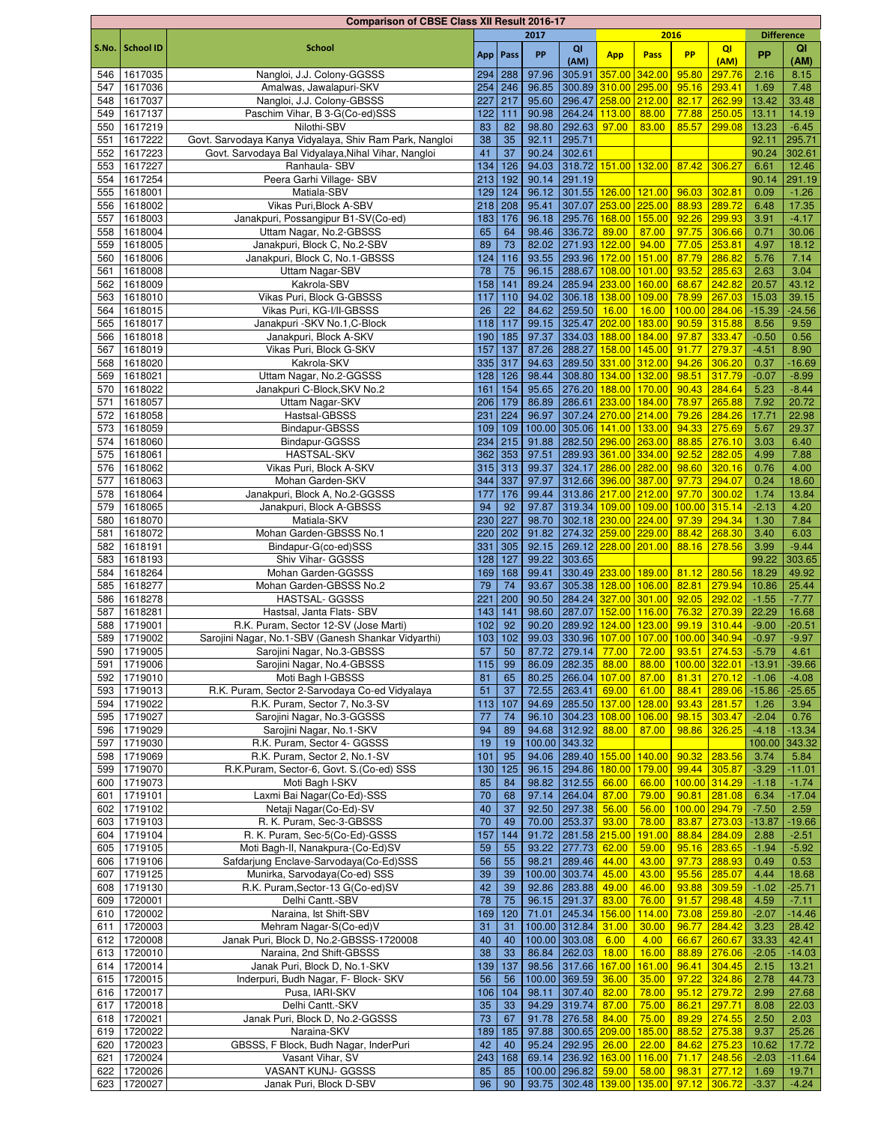|            |                        | <b>Comparison of CBSE Class XII Result 2016-17</b>      |           |            |       |                                                       |                      |        |               |              |                   |                  |
|------------|------------------------|---------------------------------------------------------|-----------|------------|-------|-------------------------------------------------------|----------------------|--------|---------------|--------------|-------------------|------------------|
|            |                        |                                                         |           |            | 2017  |                                                       |                      | 2016   |               |              | <b>Difference</b> |                  |
| S.No.      | <b>School ID</b>       | <b>School</b>                                           |           | App   Pass | PP    | QI                                                    | <b>App</b>           | Pass   | <b>PP</b>     | QI           | <b>PP</b>         | QI               |
|            |                        |                                                         |           |            |       | (AM)                                                  |                      |        |               | (AM)         |                   | (AM)             |
| 546        | 1617035                | Nangloi, J.J. Colony-GGSSS                              | 294       | 288        | 97.96 | 305.91                                                | 357.00 342.00        |        | 95.80         | 297.76       | 2.16              | 8.15             |
| 547        | 1617036                | Amalwas, Jawalapuri-SKV                                 | 254       | 246        | 96.85 | 300.89                                                | 310.00 295.00        |        | 95.16         | 293.41       | 1.69              | 7.48             |
| 548        | 1617037                | Nangloi, J.J. Colony-GBSSS                              | 227       | 217        | 95.60 | 296.47                                                | 258.00 212.00        |        | 82.17         | 262.99       | 13.42             | 33.48            |
| 549        | 1617137                | Paschim Vihar, B 3-G(Co-ed)SSS                          | 122       | 111        | 90.98 | 264.24                                                | 113.00               | 88.00  | 77.88         | 250.05       | 13.11             | 14.19            |
| 550        | 1617219                | Nilothi-SBV                                             | 83        | 82         | 98.80 | 292.63                                                | 97.00                | 83.00  | 85.57         | 299.08       | 13.23             | $-6.45$          |
| 551        | 1617222                | Govt. Sarvodaya Kanya Vidyalaya, Shiv Ram Park, Nangloi | 38        | 35         | 92.11 | 295.71                                                |                      |        |               |              | 92.11             | 295.71           |
| 552        | 1617223                | Govt. Sarvodaya Bal Vidyalaya, Nihal Vihar, Nangloi     | 41        | 37         | 90.24 | 302.61                                                |                      |        |               |              | 90.24             | 302.61           |
| 553        | 1617227                | Ranhaula- SBV                                           | 134       | 126        | 94.03 | 318.72                                                | 151.00 132.00        |        | 87.42         | 306.27       | 6.61              | 12.46            |
| 554        | 1617254                | Peera Garhi Village- SBV                                | 213       | 192        | 90.14 | 291.19                                                |                      |        |               |              | 90.14             | 291.19           |
| 555        | 1618001                | Matiala-SBV                                             | 129       | 124        | 96.12 | 301.55 126.00 121.00                                  |                      |        | 96.03         | 302.81       | 0.09              | $-1.26$          |
| 556        | 1618002                | Vikas Puri, Block A-SBV                                 | 218       | 208        | 95.41 | 307.07 253.00 225.00                                  |                      |        | 88.93         | 289.72       | 6.48              | 17.35            |
| 557        | 1618003                | Janakpuri, Possangipur B1-SV(Co-ed)                     | 183       | 176        | 96.18 | 295.76 168.00                                         |                      | 155.00 | 92.26 299.93  |              | 3.91              | $-4.17$          |
| 558        | 1618004                | Uttam Nagar, No.2-GBSSS                                 | 65        | 64         | 98.46 | 336.72                                                | 89.00                | 87.00  | 97.75 306.66  |              | 0.71              | 30.06            |
| 559        | 1618005                | Janakpuri, Block C, No.2-SBV                            | 89        | 73         | 82.02 | 271.93 122.00                                         |                      | 94.00  | 77.05 253.81  |              | 4.97              | 18.12            |
| 560        | 1618006                | Janakpuri, Block C, No.1-GBSSS                          | 124       | 116        | 93.55 | 293.96 172.00                                         |                      | 151.00 | 87.79         | 286.82       | 5.76              | 7.14             |
| 561        | 1618008                | Uttam Nagar-SBV                                         | 78        | 75         | 96.15 | 288.67 108.00 101.00                                  |                      |        | 93.52         | 285.63       | 2.63              | 3.04             |
| 562        | 1618009                | Kakrola-SBV                                             | 158       | 141        | 89.24 | 285.94 233.00 160.00                                  |                      |        | 68.67         | 242.82       | 20.57             | 43.12            |
| 563        | 1618010                | Vikas Puri, Block G-GBSSS                               | 117       | 110        | 94.02 | 306.18 138.00 109.00                                  |                      |        | 78.99         | 267.03       | 15.03             | 39.15            |
| 564        | 1618015                | Vikas Puri, KG-I/II-GBSSS                               | 26        | 22         | 84.62 | 259.50                                                | 16.00                | 16.00  | 100.00        | 284.06       | $-15.39$          | $-24.56$         |
| 565        | 1618017                | Janakpuri - SKV No.1, C-Block                           | 118       | 117        | 99.15 | 325.47                                                | 202.00               | 183.00 | 90.59         | 315.88       | 8.56              | 9.59             |
| 566        | 1618018                | Janakpuri, Block A-SKV                                  | 190       | 185        | 97.37 | 334.03                                                | 188.00               | 184.00 | 97.87         | 333.47       | $-0.50$           | 0.56             |
| 567        | 1618019                | Vikas Puri, Block G-SKV                                 | 157       | 137        | 87.26 | 288.27                                                | 158.00               | 145.00 | 91.77         | 279.37       | $-4.51$           | 8.90             |
| 568        | 1618020                | Kakrola-SKV                                             | 335       | 317        | 94.63 | 289.50 331.00 312.00                                  |                      |        | 94.26         | 306.20       | 0.37              | $-16.69$         |
| 569        | 1618021                | Uttam Nagar, No.2-GGSSS                                 | 128       | 126        | 98.44 | 308.80 134.00 132.00                                  |                      |        | 98.51         | 317.79       | $-0.07$           | $-8.99$          |
| 570        | 1618022                | Janakpuri C-Block, SKV No.2                             | 161       | 154        | 95.65 | 276.20 188.00                                         |                      | 170.00 | 90.43         | 284.64       | 5.23              | $-8.44$          |
| 571        | 1618057                | Uttam Nagar-SKV                                         | 206       | 179        | 86.89 | 286.61                                                | 233.00               | 184.00 | 78.97         | 265.88       | 7.92              | 20.72            |
| 572        | 1618058                | Hastsal-GBSSS                                           | 231       | 224        | 96.97 |                                                       | 307.24 270.00 214.00 |        | 79.26         | 284.26       | 17.71             | 22.98            |
| 573        | 1618059                | Bindapur-GBSSS                                          | 109       | 109        |       | 100.00 305.06 141.00 133.00                           |                      |        | 94.33         | 275.69       | 5.67              | 29.37            |
| 574        | 1618060                | Bindapur-GGSSS                                          | 234       | 215        | 91.88 | 282.50 296.00 263.00                                  |                      |        | 88.85         | 276.10       | 3.03              | 6.40             |
| 575        | 1618061                | <b>HASTSAL-SKV</b>                                      | 362       | 353        | 97.51 | 289.93 361.00 334.00                                  |                      |        | 92.52         | 282.05       | 4.99              | 7.88             |
| 576        | 1618062                | Vikas Puri, Block A-SKV                                 | 315       | 313        | 99.37 | 324.17 286.00 282.00                                  |                      |        | 98.60         | 320.16       | 0.76              | 4.00             |
| 577        | 1618063                | Mohan Garden-SKV                                        | 344       | 337        | 97.97 | 312.66 396.00 387.00                                  |                      |        | 97.73         | 294.07       | 0.24              | 18.60            |
| 578        | 1618064                | Janakpuri, Block A, No.2-GGSSS                          | 177       | 176        | 99.44 | 313.86 217.00 212.00                                  |                      |        | 97.70         | 300.02       | 1.74              | 13.84            |
| 579        | 1618065                | Janakpuri, Block A-GBSSS                                | 94        | 92         | 97.87 | 319.34 109.00 109.00                                  |                      |        | 100.00 315.14 |              | $-2.13$           | 4.20             |
| 580        | 1618070                | Matiala-SKV                                             | 230       | 227        | 98.70 | 302.18 230.00 224.00                                  |                      |        | 97.39         | 294.34       | 1.30              | 7.84             |
| 581        | 1618072                | Mohan Garden-GBSSS No.1                                 | 220       | 202        | 91.82 | 274.32 259.00 229.00                                  |                      |        | 88.42         | 268.30       | 3.40              | 6.03             |
| 582        | 1618191                | Bindapur-G(co-ed)SSS                                    | 331       | 305        | 92.15 | 269.12 228.00 201.00                                  |                      |        | 88.16         | 278.56       | 3.99              | $-9.44$          |
| 583        | 1618193                | Shiv Vihar- GGSSS                                       | 128       | 127        | 99.22 | 303.65                                                |                      |        |               |              | 99.22             | 303.65           |
| 584        | 1618264                | Mohan Garden-GGSSS                                      | 169       | 168        | 99.41 | 330.49 233.00 189.00                                  |                      |        | 81.12         | 280.56       | 18.29             | 49.92            |
|            | 1618277                | Mohan Garden-GBSSS No.2                                 |           |            | 93.67 |                                                       | 305.38 128.00        | 106.00 | 82.81         | 279.94       | 10.86             | 25.44            |
| 585<br>586 | 1618278                | <b>HASTSAL- GGSSS</b>                                   | 79<br>221 | 74<br>200  | 90.50 |                                                       | 284.24 327.00 301.00 |        | 92.05         | 292.02       | $-1.55$           | $-7.77$          |
| 587        | 1618281                | Hastsal, Janta Flats- SBV                               | 143       | 141        | 98.60 | 287.07                                                | 152.00 116.00        |        | 76.32         | 270.39       | 22.29             | 16.68            |
|            | 1719001                | R.K. Puram, Sector 12-SV (Jose Marti)                   | 102       | 92         | 90.20 |                                                       |                      |        | 99.19 310.44  |              | $-9.00$           | $-20.51$         |
| 588<br>589 | 1719002                | Sarojini Nagar, No.1-SBV (Ganesh Shankar Vidyarthi)     | 103       | 102        | 99.03 | 289.92<br>330.96 107.00 107.00                        | 124.00 123.00        |        | 100.00 340.94 |              | $-0.97$           | $-9.97$          |
|            |                        |                                                         | 57        | 50         |       |                                                       |                      |        |               |              | $-5.79$           |                  |
|            | 590 1719005<br>1719006 | Sarojini Nagar, No.3-GBSSS                              |           |            |       | 87.72 279.14 77.00 72.00 93.51 274.53<br>86.09 282.35 |                      |        | 100.00 322.01 |              |                   | 4.61<br>$-39.66$ |
| 591        |                        | Sarojini Nagar, No.4-GBSSS                              | 115       | 99         |       |                                                       | 88.00                | 88.00  |               |              | $-13.91$          |                  |
| 592        | 1719010                | Moti Bagh I-GBSSS                                       | 81        | 65         | 80.25 | 266.04 107.00                                         |                      | 87.00  | 81.31 270.12  |              | $-1.06$           | $-4.08$          |
| 593        | 1719013                | R.K. Puram, Sector 2-Sarvodaya Co-ed Vidyalaya          | 51        | 37         | 72.55 | 263.41                                                | 69.00                | 61.00  | 88.41         | 289.06       | $-15.86$          | $-25.65$         |
|            | 594 1719022            | R.K. Puram, Sector 7, No.3-SV                           | 113       | 107        |       | 94.69 285.50 137.00                                   |                      | 128.00 | 93.43 281.57  |              | 1.26              | 3.94             |
| 595        | 1719027                | Sarojini Nagar, No.3-GGSSS                              | 77        | 74         | 96.10 | $304.23$ 108.00                                       |                      | 106.00 | 98.15 303.47  |              | $-2.04$           | 0.76             |
|            | 596 1719029            | Sarojini Nagar, No.1-SKV                                | 94        | 89         |       | 94.68 312.92                                          | 88.00                | 87.00  | 98.86 326.25  |              | $-4.18$           | $-13.34$         |
| 597        | 1719030                | R.K. Puram, Sector 4- GGSSS                             | 19        | 19         |       | 100.00 343.32                                         |                      |        |               |              | 100.00            | 343.32           |
| 598        | 1719069                | R.K. Puram, Sector 2, No.1-SV                           | 101       | 95         | 94.06 | 289.40                                                | 155.00               | 140.00 | 90.32         | 283.56       | 3.74              | 5.84             |
| 599        | 1719070                | R.K.Puram, Sector-6, Govt. S.(Co-ed) SSS                | 130       | 125        | 96.15 | 294.86 180.00                                         |                      | 179.00 | 99.44 305.87  |              | $-3.29$           | $-11.01$         |
|            | 600 1719073            | Moti Bagh I-SKV                                         | 85        | 84         |       | 98.82 312.55                                          | 66.00                | 66.00  | 100.00 314.29 |              | $-1.18$           | $-1.74$          |
|            | 601 1719101            | Laxmi Bai Nagar(Co-Ed)-SSS                              | 70        | 68         |       | 97.14 264.04                                          | 87.00                | 79.00  | 90.81         | 281.08       | 6.34              | $-17.04$         |
| 602        | 1719102                | Netaji Nagar(Co-Ed)-SV                                  | 40        | 37         | 92.50 | 297.38                                                | 56.00                | 56.00  | 100.00 294.79 |              | $-7.50$           | 2.59             |
| 603        | 1719103                | R. K. Puram, Sec-3-GBSSS                                | 70        | 49         | 70.00 | 253.37                                                | 93.00                | 78.00  | 83.87         | 273.03       | $-13.87$          | $-19.66$         |
| 604        | 1719104                | R. K. Puram, Sec-5(Co-Ed)-GSSS                          | 157       | 144        | 91.72 | 281.58 215.00                                         |                      | 191.00 | 88.84         | 284.09       | 2.88              | $-2.51$          |
| 605        | 1719105                | Moti Bagh-II, Nanakpura-(Co-Ed)SV                       | 59        | 55         | 93.22 | 277.73                                                | 62.00                | 59.00  | 95.16 283.65  |              | $-1.94$           | $-5.92$          |
| 606        | 1719106                | Safdarjung Enclave-Sarvodaya(Co-Ed)SSS                  | 56        | 55         | 98.21 | 289.46                                                | 44.00                | 43.00  | 97.73 288.93  |              | 0.49              | 0.53             |
| 607        | 1719125                | Munirka, Sarvodaya(Co-ed) SSS                           | 39        | 39         |       | 100.00 303.74                                         | 45.00                | 43.00  | 95.56 285.07  |              | 4.44              | 18.68            |
|            | 608 1719130            | R.K. Puram, Sector-13 G(Co-ed)SV                        | 42        | 39         |       | 92.86 283.88                                          | 49.00                | 46.00  | 93.88 309.59  |              | $-1.02$           | $-25.71$         |
|            | 609 1720001            | Delhi Cantt.-SBV                                        | 78        | 75         |       | 96.15 291.37                                          | 83.00                | 76.00  | 91.57 298.48  |              | 4.59              | $-7.11$          |
| 610        | 1720002                | Naraina, Ist Shift-SBV                                  | 169       | 120        | 71.01 | 245.34                                                | 156.00               | 114.00 | 73.08 259.80  |              | $-2.07$           | $-14.46$         |
| 611        | 1720003                | Mehram Nagar-S(Co-ed)V                                  | 31        | 31         |       | 100.00 312.84                                         | 31.00                | 30.00  | 96.77         | 284.42       | 3.23              | 28.42            |
|            | 612 1720008            | Janak Puri, Block D, No.2-GBSSS-1720008                 | 40        | 40         |       | 100.00 303.08                                         | 6.00                 | 4.00   | 66.67         | 260.67       | 33.33             | 42.41            |
|            | 613 1720010            | Naraina, 2nd Shift-GBSSS                                | 38        | $33\,$     |       | 86.84 262.03                                          | 18.00                | 16.00  |               | 88.89 276.06 | $-2.05$           | $-14.03$         |
| 614        | 1720014                | Janak Puri, Block D, No.1-SKV                           | 139       | 137        | 98.56 | 317.66                                                | 167.00               | 161.00 | 96.41         | 304.45       | 2.15              | 13.21            |
| 615        | 1720015                | Inderpuri, Budh Nagar, F- Block- SKV                    | 56        | 56         |       | 100.00 369.59                                         | 36.00                | 35.00  | 97.22         | 324.86       | 2.78              | 44.73            |
| 616        | 1720017                | Pusa, IARI-SKV                                          | 106       | 104        | 98.11 | 307.40                                                | 82.00                | 78.00  | 95.12         | 279.72       | 2.99              | 27.68            |
| 617        | 1720018                | Delhi Cantt.-SKV                                        | 35        | $33\,$     | 94.29 | 319.74                                                | 87.00                | 75.00  | 86.21         | 297.71       | 8.08              | 22.03            |
|            | 618 1720021            | Janak Puri, Block D, No.2-GGSSS                         | $73\,$    | 67         | 91.78 | 276.58                                                | 84.00                | 75.00  | 89.29 274.55  |              | 2.50              | 2.03             |
| 619        | 1720022                | Naraina-SKV                                             | 189       | 185        |       | 97.88 300.65 209.00                                   |                      | 185.00 | 88.52 275.38  |              | 9.37              | 25.26            |
|            | 620 1720023            | GBSSS, F Block, Budh Nagar, InderPuri                   | 42        | 40         |       | 95.24 292.95                                          | 26.00                | 22.00  | 84.62 275.23  |              | 10.62             | 17.72            |
|            | 621 1720024            | Vasant Vihar, SV                                        | 243       | 168        |       | 69.14 236.92 163.00                                   |                      | 116.00 | 71.17 248.56  |              | $-2.03$           | $-11.64$         |
|            | 622 1720026            | VASANT KUNJ- GGSSS                                      | 85        | 85         |       | 100.00 296.82                                         | $59.00$ 58.00        |        |               | 98.31 277.12 | 1.69              | 19.71            |
|            | 623 1720027            | Janak Puri, Block D-SBV                                 | 96        | 90         |       | 93.75 302.48 139.00 135.00 97.12 306.72               |                      |        |               |              | $-3.37$           | $-4.24$          |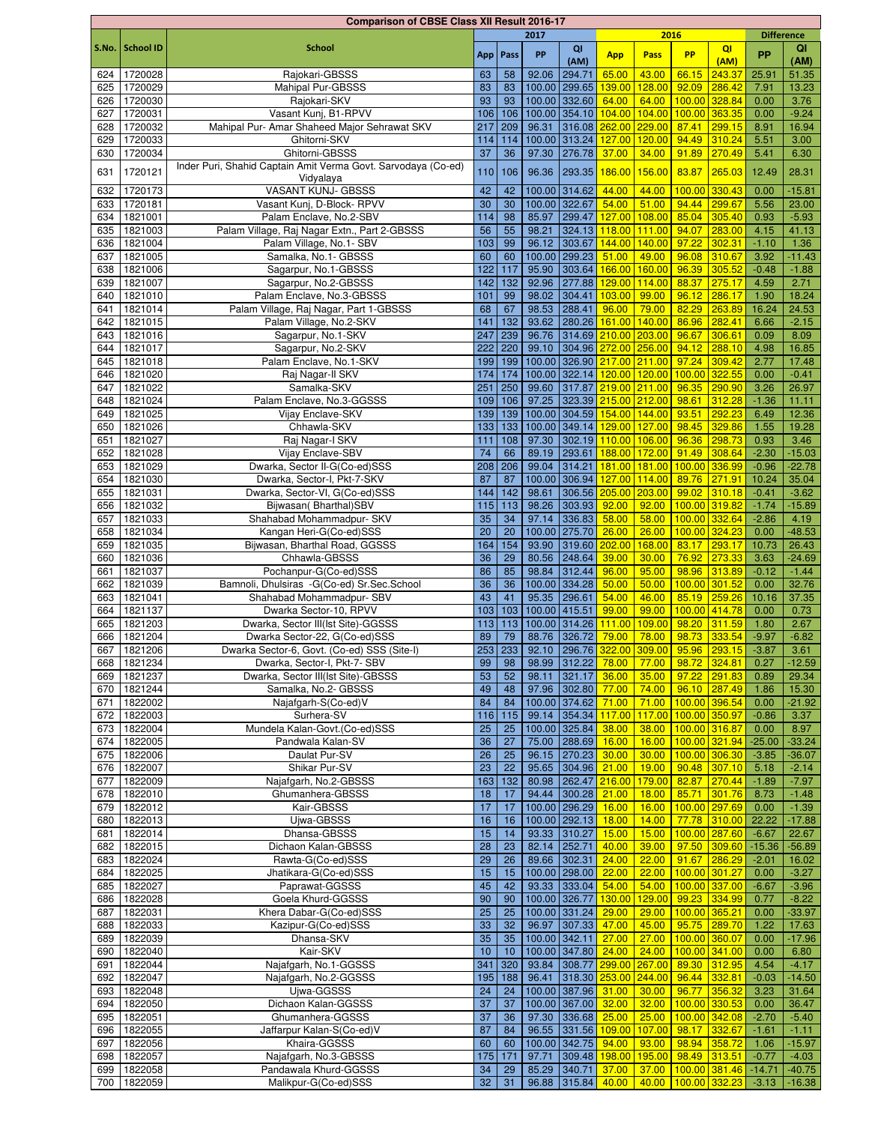|       |                  | <b>Comparison of CBSE Class XII Result 2016-17</b>            |     |            |        |               |                                        |        |               |               |                   |          |
|-------|------------------|---------------------------------------------------------------|-----|------------|--------|---------------|----------------------------------------|--------|---------------|---------------|-------------------|----------|
|       |                  |                                                               |     |            | 2017   |               |                                        | 2016   |               |               | <b>Difference</b> |          |
| S.No. | <b>School ID</b> | <b>School</b>                                                 |     | App   Pass | PP     | QI            | <b>App</b>                             | Pass   | <b>PP</b>     | QI            | <b>PP</b>         | QI       |
|       |                  |                                                               |     |            |        | (AM)          |                                        |        |               | (AM)          |                   | (AM)     |
| 624   | 1720028          | Rajokari-GBSSS                                                | 63  | 58         | 92.06  | 294.71        | 65.00                                  | 43.00  | 66.15         | 243.37        | 25.91             | 51.35    |
| 625   | 1720029          | Mahipal Pur-GBSSS                                             | 83  | 83         |        | 100.00 299.65 | 139.00                                 | 128.00 | 92.09         | 286.42        | 7.91              | 13.23    |
| 626   | 1720030          | Rajokari-SKV                                                  | 93  | 93         |        | 100.00 332.60 | 64.00                                  | 64.00  | 100.00        | 328.84        | 0.00              | 3.76     |
| 627   | 1720031          | Vasant Kunj, B1-RPVV                                          | 106 | 106        |        | 100.00 354.10 | 104.00 104.00                          |        | 100.00        | 363.35        | 0.00              | $-9.24$  |
| 628   | 1720032          | Mahipal Pur- Amar Shaheed Major Sehrawat SKV                  | 217 | 209        | 96.31  |               | 316.08 262.00                          | 229.00 | 87.41         | 299.15        | 8.91              | 16.94    |
| 629   | 1720033          | Ghitorni-SKV                                                  | 114 | 114        |        | 100.00 313.24 | 127.00                                 | 120.00 | 94.49         | 310.24        | 5.51              | 3.00     |
| 630   | 1720034          | Ghitorni-GBSSS                                                | 37  | 36         | 97.30  | 276.78        | 37.00                                  | 34.00  | 91.89         | 270.49        | 5.41              | 6.30     |
| 631   | 1720121          | Inder Puri, Shahid Captain Amit Verma Govt. Sarvodaya (Co-ed) | 110 | 106        | 96.36  | 293.35        | 186.00                                 | 156.00 | 83.87         | 265.03        | 12.49             | 28.31    |
|       |                  | Vidyalaya                                                     |     |            |        |               |                                        |        |               |               |                   |          |
| 632   | 1720173          | <b>VASANT KUNJ- GBSSS</b>                                     | 42  | 42         |        | 100.00 314.62 | 44.00                                  | 44.00  | 100.00        | 330.43        | 0.00              | $-15.81$ |
| 633   | 1720181          | Vasant Kunj, D-Block- RPVV                                    | 30  | 30         |        | 100.00 322.67 | 54.00                                  | 51.00  | 94.44         | 299.67        | 5.56              | 23.00    |
| 634   | 1821001          | Palam Enclave, No.2-SBV                                       | 114 | 98         | 85.97  | 299.47        | 127.00                                 | 108.00 | 85.04         | 305.40        | 0.93              | $-5.93$  |
| 635   | 1821003          | Palam Village, Raj Nagar Extn., Part 2-GBSSS                  | 56  | 55         | 98.21  |               | 324.13 118.00 111.00                   |        | 94.07         | 283.00        | 4.15              | 41.13    |
| 636   | 1821004          | Palam Village, No.1- SBV                                      | 103 | 99         | 96.12  | 303.67        | 144.00 140.00                          |        | 97.22         | 302.31        | $-1.10$           | 1.36     |
| 637   | 1821005          | Samalka, No.1- GBSSS                                          | 60  | 60         |        | 100.00 299.23 | 51.00                                  | 49.00  | 96.08         | 310.67        | 3.92              | $-11.43$ |
| 638   | 1821006          | Sagarpur, No.1-GBSSS                                          | 122 | 117        | 95.90  |               | 303.64 166.00 160.00                   |        | 96.39         | 305.52        | $-0.48$           | $-1.88$  |
| 639   | 1821007          | Sagarpur, No.2-GBSSS                                          | 142 | 132        | 92.96  | 277.88        | 129.00 114.00                          |        | 88.37         | 275.17        | 4.59              | 2.71     |
| 640   | 1821010          | Palam Enclave, No.3-GBSSS                                     | 101 | 99         | 98.02  |               | 304.41 103.00 99.00                    |        | 96.12         | 286.17        | 1.90              | 18.24    |
| 641   | 1821014          | Palam Village, Raj Nagar, Part 1-GBSSS                        | 68  | 67         | 98.53  | 288.41        | 96.00                                  | 79.00  | 82.29         | 263.89        | 16.24             | 24.53    |
| 642   | 1821015          | Palam Village, No.2-SKV                                       | 141 | 132        | 93.62  |               | 280.26 161.00 140.00                   |        | 86.96         | 282.41        | 6.66              | $-2.15$  |
| 643   | 1821016          | Sagarpur, No.1-SKV                                            | 247 | 239        | 96.76  |               | 314.69 210.00 203.00                   |        | 96.67         | 306.61        | 0.09              | 8.09     |
| 644   | 1821017          | Sagarpur, No.2-SKV                                            | 222 | 220        | 99.10  |               | 304.96 272.00 256.00                   |        | 94.12         | 288.10        | 4.98              | 16.85    |
|       | 1821018          |                                                               | 199 |            |        |               | 100.00 326.90 217.00 211.00            |        | 97.24         | 309.42        | 2.77              | 17.48    |
| 645   |                  | Palam Enclave, No.1-SKV                                       |     | 199        |        |               |                                        |        |               |               |                   |          |
| 646   | 1821020          | Raj Nagar-II SKV                                              | 174 | 174        |        |               | 100.00 322.14 120.00 120.00            |        | 100.00        | 322.55        | 0.00              | $-0.41$  |
| 647   | 1821022          | Samalka-SKV                                                   | 251 | 250        | 99.60  |               | 317.87 219.00 211.00                   |        | 96.35         | 290.90        | 3.26              | 26.97    |
| 648   | 1821024          | Palam Enclave, No.3-GGSSS                                     | 109 | 106        | 97.25  |               | 323.39 215.00 212.00                   |        | 98.61         | 312.28        | $-1.36$           | 11.11    |
| 649   | 1821025          | Vijay Enclave-SKV                                             | 139 | 139        |        |               | 100.00 304.59 154.00 144.00            |        | 93.51         | 292.23        | 6.49              | 12.36    |
| 650   | 1821026          | Chhawla-SKV                                                   | 133 | 133        |        |               | 100.00 349.14 129.00 127.00            |        | 98.45         | 329.86        | 1.55              | 19.28    |
| 651   | 1821027          | Raj Nagar-I SKV                                               | 111 | 108        | 97.30  |               | 302.19 110.00 106.00                   |        | 96.36         | 298.73        | 0.93              | 3.46     |
| 652   | 1821028          | Vijay Enclave-SBV                                             | 74  | 66         | 89.19  | 293.61        | 188.00 172.00                          |        | 91.49         | 308.64        | $-2.30$           | $-15.03$ |
| 653   | 1821029          | Dwarka, Sector II-G(Co-ed)SSS                                 | 208 | 206        | 99.04  | 314.21        | 181.00 181.00                          |        | 100.00        | 336.99        | $-0.96$           | $-22.78$ |
| 654   | 1821030          | Dwarka, Sector-I, Pkt-7-SKV                                   | 87  | 87         |        |               | 100.00 306.94 127.00 114.00            |        | 89.76         | 271.91        | 10.24             | 35.04    |
| 655   | 1821031          | Dwarka, Sector-VI, G(Co-ed)SSS                                | 144 | 142        | 98.61  |               | 306.56 205.00 203.00                   |        | 99.02         | 310.18        | $-0.41$           | $-3.62$  |
| 656   | 1821032          | Bijwasan(Bharthal)SBV                                         | 115 | 113        | 98.26  | 303.93        | 92.00                                  | 92.00  | 100.00 319.82 |               | $-1.74$           | $-15.89$ |
| 657   | 1821033          | Shahabad Mohammadpur- SKV                                     | 35  | 34         | 97.14  | 336.83        | 58.00                                  | 58.00  | 100.00        | 332.64        | $-2.86$           | 4.19     |
| 658   | 1821034          | Kangan Heri-G(Co-ed)SSS                                       | 20  | 20         | 100.00 | 275.70        | 26.00                                  | 26.00  | 100.00        | 324.23        | 0.00              | $-48.53$ |
| 659   | 1821035          | Bijwasan, Bharthal Road, GGSSS                                | 164 | 154        | 93.90  | 319.60 202.00 |                                        | 168.00 | 83.17         | 293.17        | 10.73             | 26.43    |
| 660   | 1821036          | Chhawla-GBSSS                                                 | 36  | 29         | 80.56  | 248.64        | 39.00                                  | 30.00  | 76.92         | 273.33        | 3.63              | $-24.69$ |
| 661   | 1821037          | Pochanpur-G(Co-ed)SSS                                         | 86  | 85         | 98.84  | 312.44        | 96.00                                  | 95.00  | 98.96         | 313.89        | $-0.12$           | $-1.44$  |
| 662   | 1821039          | Bamnoli, Dhulsiras -G(Co-ed) Sr.Sec.School                    | 36  | 36         | 100.00 | 334.28        | 50.00                                  | 50.00  | 100.00        | 301.52        | 0.00              | 32.76    |
| 663   | 1821041          | Shahabad Mohammadpur- SBV                                     | 43  | 41         | 95.35  | 296.61        | 54.00                                  | 46.00  | 85.19         | 259.26        | 10.16             | 37.35    |
| 664   | 1821137          | Dwarka Sector-10, RPVV                                        | 103 | 103        | 100.00 | 415.51        | 99.00                                  | 99.00  | 100.00        | 414.78        | 0.00              | 0.73     |
| 665   | 1821203          | Dwarka, Sector III(Ist Site)-GGSSS                            | 113 | 113        |        | 100.00 314.26 | 111.00                                 | 109.00 | 98.20         | 311.59        | 1.80              | 2.67     |
| 666   | 1821204          | Dwarka Sector-22, G(Co-ed)SSS                                 | 89  | 79         | 88.76  | 326.72        | 79.00                                  | 78.00  | 98.73         | 333.54        | $-9.97$           | $-6.82$  |
| 667   | 1821206          | Dwarka Sector-6, Govt. (Co-ed) SSS (Site-I)                   |     | $253$ 233  |        |               | 92.10 296.76 322.00 309.00 95.96       |        |               | 293.15        | $-3.87$           | 3.61     |
| 668   | 1821234          | Dwarka, Sector-I, Pkt-7- SBV                                  | 99  | 98         | 98.99  | 312.22        | 78.00                                  | 77.00  |               | 98.72 324.81  | 0.27              | $-12.59$ |
| 669   | 1821237          | Dwarka, Sector III(Ist Site)-GBSSS                            | 53  | 52         | 98.11  | 321.17        | 36.00                                  | 35.00  | 97.22         | 291.83        | 0.89              | 29.34    |
| 670 l | 1821244          | Samalka, No.2- GBSSS                                          | 49  | 48         | 97.96  | 302.80        | 77.00                                  | 74.00  | 96.10         | 287.49        | 1.86              | 15.30    |
| 671   | 1822002          | Najafgarh-S(Co-ed)V                                           | 84  | 84         |        | 100.00 374.62 | 71.00                                  | 71.00  |               |               | 0.00              | $-21.92$ |
|       |                  |                                                               |     |            |        | 354.34        |                                        |        | 100.00        | 396.54        |                   |          |
| 672   | 1822003          | Surhera-SV                                                    | 116 | 115        | 99.14  |               | 117.00                                 | 117.00 | 100.00 350.97 |               | $-0.86$           | 3.37     |
| 673   | 1822004          | Mundela Kalan-Govt.(Co-ed)SSS                                 | 25  | 25         |        | 100.00 325.84 | 38.00                                  | 38.00  | 100.00 316.87 |               | 0.00              | 8.97     |
| 674   | 1822005          | Pandwala Kalan-SV                                             | 36  | 27         | 75.00  | 288.69        | 16.00                                  | 16.00  | 100.00 321.94 |               | $-25.00$          | $-33.24$ |
| 675   | 1822006          | Daulat Pur-SV                                                 | 26  | 25         | 96.15  | 270.23        | 30.00                                  | 30.00  | 100.00 306.30 |               | $-3.85$           | $-36.07$ |
| 676   | 1822007          | Shikar Pur-SV                                                 | 23  | 22         | 95.65  | 304.96        | 21.00                                  | 19.00  | 90.48         | 307.10        | 5.18              | $-2.14$  |
| 677   | 1822009          | Najafgarh, No.2-GBSSS                                         | 163 | 132        | 80.98  |               | 262.47 216.00 179.00                   |        | 82.87         | 270.44        | $-1.89$           | $-7.97$  |
| 678   | 1822010          | Ghumanhera-GBSSS                                              | 18  | 17         | 94.44  | 300.28        | 21.00                                  | 18.00  | 85.71         | 301.76        | 8.73              | $-1.48$  |
| 679   | 1822012          | Kair-GBSSS                                                    | 17  | 17         |        | 100.00 296.29 | 16.00                                  | 16.00  | 100.00 297.69 |               | 0.00              | $-1.39$  |
| 680   | 1822013          | Ujwa-GBSSS                                                    | 16  | 16         |        | 100.00 292.13 | 18.00                                  | 14.00  | 77.78         | 310.00        | 22.22             | $-17.88$ |
| 681   | 1822014          | Dhansa-GBSSS                                                  | 15  | 14         | 93.33  | 310.27        | 15.00                                  | 15.00  |               | 100.00 287.60 | $-6.67$           | 22.67    |
| 682   | 1822015          | Dichaon Kalan-GBSSS                                           | 28  | 23         | 82.14  | 252.71        | 40.00                                  | 39.00  | 97.50         | 309.60        | $-15.36$          | $-56.89$ |
| 683 I | 1822024          | Rawta-G(Co-ed)SSS                                             | 29  | 26         | 89.66  | 302.31        | 24.00                                  | 22.00  | 91.67         | 286.29        | $-2.01$           | 16.02    |
| 684   | 1822025          | Jhatikara-G(Co-ed)SSS                                         | 15  | 15         |        | 100.00 298.00 | 22.00                                  | 22.00  | 100.00        | 301.27        | 0.00              | $-3.27$  |
| 685   | 1822027          | Paprawat-GGSSS                                                | 45  | 42         | 93.33  | 333.04        | 54.00                                  | 54.00  | 100.00 337.00 |               | $-6.67$           | $-3.96$  |
| 686   | 1822028          | Goela Khurd-GGSSS                                             | 90  | 90         |        | 100.00 326.77 | 130.00 129.00                          |        | 99.23         | 334.99        | 0.77              | $-8.22$  |
| 687   | 1822031          | Khera Dabar-G(Co-ed)SSS                                       | 25  | 25         |        | 100.00 331.24 | 29.00                                  | 29.00  | 100.00 365.21 |               | 0.00              | $-33.97$ |
| 688   | 1822033          | Kazipur-G(Co-ed)SSS                                           | 33  | 32         | 96.97  | 307.33        | 47.00                                  | 45.00  | 95.75         | 289.70        | 1.22              | 17.63    |
| 689   | 1822039          | Dhansa-SKV                                                    | 35  | 35         |        | 100.00 342.11 | 27.00                                  | 27.00  | 100.00 360.07 |               | 0.00              | $-17.96$ |
| 690 l | 1822040          | Kair-SKV                                                      | 10  | 10         |        | 100.00 347.80 | 24.00                                  | 24.00  | 100.00 341.00 |               | 0.00              | 6.80     |
| 691   | 1822044          | Najafgarh, No.1-GGSSS                                         | 341 | 320        | 93.84  | 308.77        | 299.00 267.00                          |        | 89.30         | 312.95        | 4.54              | $-4.17$  |
| 692   | 1822047          | Najafgarh, No.2-GGSSS                                         | 195 | 188        | 96.41  |               | 318.30 <mark>253.00 244.00</mark>      |        | 96.44         | 332.81        | $-0.03$           | $-14.50$ |
| 693   | 1822048          | Ujwa-GGSSS                                                    | 24  | 24         |        | 100.00 387.96 | 31.00                                  | 30.00  | 96.77         | 356.32        | 3.23              | 31.64    |
| 694   | 1822050          | Dichaon Kalan-GGSSS                                           | 37  | 37         |        | 100.00 367.00 | 32.00                                  | 32.00  | 100.00 330.53 |               | 0.00              | 36.47    |
|       |                  | Ghumanhera-GGSSS                                              |     |            |        |               |                                        |        |               |               |                   |          |
| 695   | 1822051          |                                                               | 37  | 36         | 97.30  | 336.68        | 25.00                                  | 25.00  | 100.00 342.08 |               | $-2.70$           | $-5.40$  |
| 696   | 1822055          | Jaffarpur Kalan-S(Co-ed)V                                     | 87  | 84         | 96.55  |               | 331.56 109.00                          | 107.00 | 98.17         | 332.67        | $-1.61$           | $-1.11$  |
| 697   | 1822056          | Khaira-GGSSS                                                  | 60  | 60         |        | 100.00 342.75 | 94.00                                  | 93.00  | 98.94         | 358.72        | 1.06              | $-15.97$ |
| 698   | 1822057          | Najafgarh, No.3-GBSSS                                         | 175 | 171        | 97.71  |               | 309.48 198.00 195.00                   |        | 98.49         | 313.51        | $-0.77$           | $-4.03$  |
| 699   | 1822058          | Pandawala Khurd-GGSSS                                         | 34  | 29         | 85.29  | 340.71 37.00  |                                        | 37.00  |               | 100.00 381.46 | $-14.71$          | $-40.75$ |
| 700   | 1822059          | Malikpur-G(Co-ed)SSS                                          | 32  | 31         |        |               | 96.88 315.84 40.00 40.00 100.00 332.23 |        |               |               | $-3.13$           | $-16.38$ |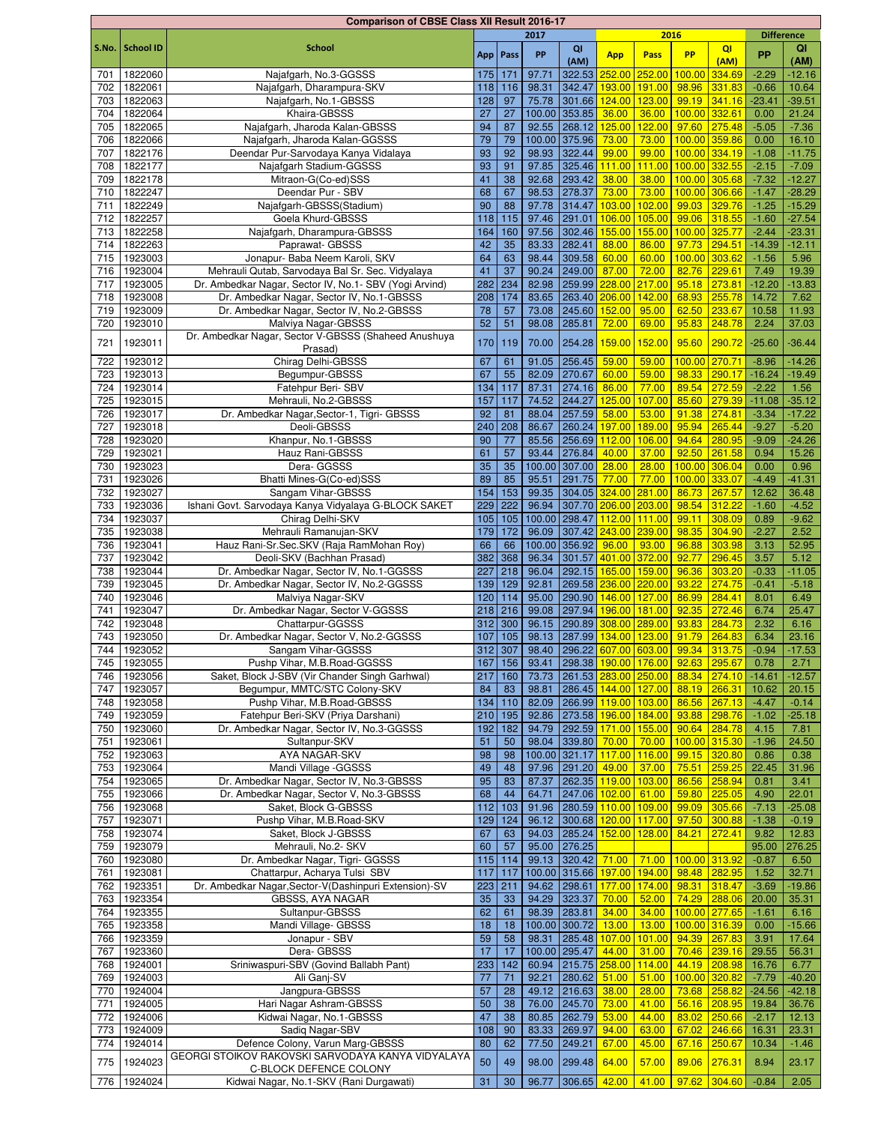|       |                  | <b>Comparison of CBSE Class XII Result 2016-17</b>     |     |            |        |                            |               |        |               |                |                   |          |
|-------|------------------|--------------------------------------------------------|-----|------------|--------|----------------------------|---------------|--------|---------------|----------------|-------------------|----------|
|       |                  |                                                        |     |            | 2017   |                            |               |        | 2016          |                | <b>Difference</b> |          |
| S.No. | <b>School ID</b> | <b>School</b>                                          |     | App   Pass | PP     | QI                         | <b>App</b>    | Pass   | <b>PP</b>     | QI             | <b>PP</b>         | QI       |
|       |                  |                                                        |     |            |        | (AM)                       |               |        |               | (AM)           |                   | (AM)     |
| 701   | 1822060          | Najafgarh, No.3-GGSSS                                  | 175 | 171        | 97.71  | 322.53                     | 252.00        | 252.00 | 100.00        | 334.69         | $-2.29$           | $-12.16$ |
| 702   | 1822061          | Najafgarh, Dharampura-SKV                              | 118 | 116        | 98.31  | 342.47                     | 193.00        | 191.00 | 98.96         | 331.83         | $-0.66$           | 10.64    |
| 703   | 1822063          | Najafgarh, No.1-GBSSS                                  | 128 | 97         | 75.78  | 301.66                     | 124.00        | 123.00 | 99.19         | 341.16         | $-23.41$          | $-39.51$ |
| 704   | 1822064          | Khaira-GBSSS                                           | 27  | 27         |        | 100.00 353.85              | 36.00         | 36.00  | 100.00 332.61 |                | 0.00              | 21.24    |
| 705   | 1822065          | Najafgarh, Jharoda Kalan-GBSSS                         | 94  | 87         | 92.55  | 268.12                     | 125.00        | 122.00 |               | 97.60 275.48   | $-5.05$           | $-7.36$  |
| 706   | 1822066          | Najafgarh, Jharoda Kalan-GGSSS                         | 79  | 79         |        | 100.00 375.96              | 73.00         | 73.00  | 100.00        | 359.86         | 0.00              | 16.10    |
| 707   | 1822176          | Deendar Pur-Sarvodaya Kanya Vidalaya                   | 93  | 92         | 98.93  | 322.44                     | 99.00         | 99.00  | 100.00        | 334.19         | $-1.08$           | $-11.75$ |
| 708   | 1822177          | Najafgarh Stadium-GGSSS                                | 93  | 91         | 97.85  | 325.46                     | 111.00        | 111.00 | 100.00        | 332.55         | $-2.15$           | $-7.09$  |
| 709   | 1822178          | Mitraon-G(Co-ed)SSS                                    | 41  | 38         | 92.68  | 293.42                     | 38.00         | 38.00  | 100.00 305.68 |                | $-7.32$           | $-12.27$ |
| 710   | 1822247          | Deendar Pur - SBV                                      | 68  | 67         | 98.53  | 278.37                     | 73.00         | 73.00  |               | 100.00 306.66  | $-1.47$           | $-28.29$ |
| 711   | 1822249          | Najafgarh-GBSSS(Stadium)                               | 90  | 88         | 97.78  | 314.47                     | 103.00        | 102.00 | 99.03         | 329.76         | $-1.25$           | $-15.29$ |
| 712   | 1822257          | Goela Khurd-GBSSS                                      | 118 | 115        | 97.46  | 291.01                     | 106.00        | 105.00 |               | 99.06 318.55   | $-1.60$           | $-27.54$ |
| 713   | 1822258          | Najafgarh, Dharampura-GBSSS                            | 164 | 160        | 97.56  | 302.46                     | 155.00        | 155.00 | 100.00 325.77 |                | $-2.44$           | $-23.31$ |
| 714   | 1822263          | Paprawat- GBSSS                                        | 42  | 35         | 83.33  | 282.41                     | 88.00         | 86.00  |               | 97.73 294.51   | $-14.39$          | $-12.11$ |
| 715   | 1923003          | Jonapur- Baba Neem Karoli, SKV                         | 64  | 63         | 98.44  | 309.58                     | 60.00         | 60.00  | 100.00        | 303.62         | $-1.56$           | 5.96     |
| 716   | 1923004          | Mehrauli Qutab, Sarvodaya Bal Sr. Sec. Vidyalaya       | 41  | 37         | 90.24  | 249.00                     | 87.00         | 72.00  | 82.76         | 229.61         | 7.49              | 19.39    |
| 717   | 1923005          | Dr. Ambedkar Nagar, Sector IV, No.1- SBV (Yogi Arvind) | 282 | 234        | 82.98  | 259.99                     | 228.00        | 217.00 |               | 95.18 273.81   | $-12.20$          | $-13.83$ |
| 718   | 1923008          | Dr. Ambedkar Nagar, Sector IV, No.1-GBSSS              | 208 | 174        | 83.65  | 263.40                     | 206.00        | 142.00 | 68.93         | 255.78         | 14.72             | 7.62     |
| 719   | 1923009          | Dr. Ambedkar Nagar, Sector IV, No.2-GBSSS              | 78  | 57         | 73.08  | 245.60                     | 152.00        | 95.00  | 62.50         | 233.67         | 10.58             | 11.93    |
| 720   | 1923010          | Malviya Nagar-GBSSS                                    | 52  | 51         | 98.08  | 285.81                     | 72.00         | 69.00  | 95.83         | 248.78         | 2.24              | 37.03    |
| 721   | 1923011          | Dr. Ambedkar Nagar, Sector V-GBSSS (Shaheed Anushuya   | 170 | 119        | 70.00  | 254.28                     | 159.00        | 152.00 | 95.60         | 290.72         | $-25.60$          | $-36.44$ |
|       |                  | Prasad)                                                |     |            |        |                            |               |        |               |                |                   |          |
| 722   | 1923012          | Chirag Delhi-GBSSS                                     | 67  | 61         | 91.05  | 256.45                     | 59.00         | 59.00  |               | 100.00 270.71  | $-8.96$           | $-14.26$ |
| 723   | 1923013          | Begumpur-GBSSS                                         | 67  | 55         | 82.09  | 270.67                     | 60.00         | 59.00  | 98.33         | 290.17         | $-16.24$          | $-19.49$ |
| 724   | 1923014          | Fatehpur Beri- SBV                                     | 134 | 117        | 87.31  | 274.16                     | 86.00         | 77.00  | 89.54         | 272.59         | $-2.22$           | 1.56     |
| 725   | 1923015          | Mehrauli, No.2-GBSSS                                   | 157 | 117        | 74.52  | 244.27                     | 125.00        | 107.00 | 85.60         | 279.39         | $-11.08$          | $-35.12$ |
| 726   | 1923017          | Dr. Ambedkar Nagar, Sector-1, Tigri- GBSSS             | 92  | 81         | 88.04  | 257.59                     | 58.00         | 53.00  | 91.38         | 274.81         | $-3.34$           | $-17.22$ |
| 727   | 1923018          | Deoli-GBSSS                                            | 240 | 208        | 86.67  | 260.24                     | 197.00        | 189.00 | 95.94         | 265.44         | $-9.27$           | $-5.20$  |
| 728   | 1923020          | Khanpur, No.1-GBSSS                                    | 90  | 77         | 85.56  | 256.69                     | 112.00        | 106.00 | 94.64         | 280.95         | $-9.09$           | $-24.26$ |
| 729   | 1923021          | Hauz Rani-GBSSS                                        | 61  | 57         | 93.44  | 276.84                     | 40.00         | 37.00  | 92.50         | 261.58         | 0.94              | 15.26    |
| 730   | 1923023          | Dera- GGSSS                                            | 35  | 35         | 100.00 | 307.00                     | 28.00         | 28.00  | 100.00        | 306.04         | 0.00              | 0.96     |
| 731   | 1923026          | Bhatti Mines-G(Co-ed)SSS                               | 89  | 85         | 95.51  | 291.75                     | 77.00         | 77.00  | 100.00        | 333.07         | $-4.49$           | $-41.31$ |
| 732   | 1923027          | Sangam Vihar-GBSSS                                     | 154 | 153        | 99.35  | 304.05                     | 324.00        | 281.00 | 86.73         | 267.57         | 12.62             | 36.48    |
| 733   | 1923036          | Ishani Govt. Sarvodaya Kanya Vidyalaya G-BLOCK SAKET   | 229 | 222        | 96.94  | 307.70                     | 206.00        | 203.00 | 98.54         | 312.22         | $-1.60$           | $-4.52$  |
| 734   | 1923037          | Chirag Delhi-SKV                                       | 105 | 105        |        | 100.00 298.47              | 112.00        | 111.00 | 99.11         | 308.09         | 0.89              | $-9.62$  |
| 735   | 1923038          | Mehrauli Ramanujan-SKV                                 | 179 | 172        | 96.09  | 307.42                     | 243.00        | 239.00 | 98.35         | 304.90         | $-2.27$           | 2.52     |
| 736   | 1923041          | Hauz Rani-Sr.Sec.SKV (Raja RamMohan Roy)               | 66  | 66         |        | 100.00 356.92              | 96.00         | 93.00  | 96.88         | 303.98         | 3.13              | 52.95    |
| 737   | 1923042          | Deoli-SKV (Bachhan Prasad)                             | 382 | 368        | 96.34  | 301.57                     | 401.00        | 372.00 | 92.77         | 296.45         | 3.57              | 5.12     |
| 738   | 1923044          | Dr. Ambedkar Nagar, Sector IV, No.1-GGSSS              | 227 | 218        | 96.04  | 292.15 165.00              |               | 159.00 | 96.36         | 303.20         | $-0.33$           | $-11.05$ |
| 739   | 1923045          | Dr. Ambedkar Nagar, Sector IV, No.2-GGSSS              | 139 | 129        | 92.81  | 269.58 236.00              |               | 220.00 | 93.22         | 274.75         | $-0.41$           | $-5.18$  |
| 740   | 1923046          | Malviya Nagar-SKV                                      | 120 | 114        | 95.00  | 290.90                     | 146.00        | 127.00 | 86.99         | 284.41         | 8.01              | 6.49     |
| 741   | 1923047          | Dr. Ambedkar Nagar, Sector V-GGSSS                     | 218 | 216        | 99.08  | 297.94                     | 196.00        | 181.00 | 92.35         | 272.46         | 6.74              | 25.47    |
| 742   | 1923048          | Chattarpur-GGSSS                                       | 312 | 300        | 96.15  | 290.89                     | 308.00        | 289.00 | 93.83         | 284.73         | 2.32              | 6.16     |
| 743   | 1923050          | Dr. Ambedkar Nagar, Sector V, No.2-GGSSS               | 107 | 105        | 98.13  | 287.99                     | 134.00 123.00 |        |               | 91.79 264.83   | 6.34              | 23.16    |
| 744   | 1923052          | Sangam Vihar-GGSSS                                     | 312 | 307        |        | 98.40 296.22 607.00 603.00 |               |        |               | 99.34 313.75   | $-0.94$           | $-17.53$ |
| 745   | 1923055          | Pushp Vihar, M.B.Road-GGSSS                            | 167 | 156        |        | 93.41 298.38 190.00 176.00 |               |        |               | 92.63 295.67   | 0.78              | 2.71     |
| 746   | 1923056          | Saket, Block J-SBV (Vir Chander Singh Garhwal)         | 217 | 160        | 73.73  | 261.53 283.00 250.00       |               |        |               | 88.34 274.10   | $-14.61$          | $-12.57$ |
| 747   | 1923057          | Begumpur, MMTC/STC Colony-SKV                          | 84  | 83         | 98.81  | 286.45 144.00 127.00       |               |        |               | 88.19 266.31   | 10.62             | 20.15    |
| 748   | 1923058          | Pushp Vihar, M.B.Road-GBSSS                            | 134 | 110        | 82.09  | 266.99 119.00              |               | 103.00 | 86.56         | 267.13         | $-4.47$           | $-0.14$  |
| 749   | 1923059          | Fatehpur Beri-SKV (Priya Darshani)                     | 210 | 195        | 92.86  | 273.58 196.00              |               | 184.00 | 93.88         | 298.76         | $-1.02$           | $-25.18$ |
| 750   | 1923060          | Dr. Ambedkar Nagar, Sector IV, No.3-GGSSS              | 192 | 182        | 94.79  | 292.59 171.00 155.00       |               |        | 90.64         | 284.78         | 4.15              | 7.81     |
| 751   | 1923061          | Sultanpur-SKV                                          | 51  | 50         | 98.04  | 339.80                     | 70.00         | 70.00  | 100.00 315.30 |                | $-1.96$           | 24.50    |
| 752   | 1923063          | AYA NAGAR-SKV                                          | 98  | 98         |        | 100.00 321.17 117.00       |               | 116.00 |               | 99.15 320.80   | 0.86              | 0.38     |
| 753   | 1923064          | Mandi Village - GGSSS                                  | 49  | 48         | 97.96  | 291.20                     | 49.00         | 37.00  |               | 75.51 259.25   | 22.45             | 31.96    |
| 754   | 1923065          | Dr. Ambedkar Nagar, Sector IV, No.3-GBSSS              | 95  | 83         | 87.37  | 262.35 119.00              |               | 103.00 |               | 86.56 258.94   | 0.81              | 3.41     |
| 755   | 1923066          | Dr. Ambedkar Nagar, Sector V, No.3-GBSSS               | 68  | 44         | 64.71  | 247.06 102.00              |               | 61.00  |               | 59.80 225.05   | 4.90              | 22.01    |
| 756   | 1923068          | Saket, Block G-GBSSS                                   | 112 | 103        | 91.96  | 280.59 110.00 109.00       |               |        |               | 99.09 305.66   | $-7.13$           | $-25.08$ |
| 757   | 1923071          | Pushp Vihar, M.B.Road-SKV                              | 129 | 124        | 96.12  | 300.68 120.00 117.00       |               |        |               | $97.50$ 300.88 | $-1.38$           | $-0.19$  |
| 758   | 1923074          | Saket, Block J-GBSSS                                   | 67  | 63         | 94.03  | 285.24 152.00 128.00       |               |        | 84.21         | 272.41         | 9.82              | 12.83    |
| 759   | 1923079          | Mehrauli, No.2- SKV                                    | 60  | 57         | 95.00  | 276.25                     |               |        |               |                | 95.00             | 276.25   |
| 760   | 1923080          | Dr. Ambedkar Nagar, Tigri- GGSSS                       | 115 | 114        | 99.13  | 320.42                     | 71.00         | 71.00  | 100.00 313.92 |                | $-0.87$           | 6.50     |
| 761   | 1923081          | Chattarpur, Acharya Tulsi SBV                          | 117 | 117        |        | 100.00 315.66              | 197.00        | 194.00 |               | 98.48 282.95   | 1.52              | 32.71    |
| 762   | 1923351          | Dr. Ambedkar Nagar, Sector-V(Dashinpuri Extension)-SV  | 223 | 211        | 94.62  | 298.61                     | 177.00        | 174.00 |               | 98.31 318.47   | $-3.69$           | $-19.86$ |
| 763   | 1923354          | GBSSS, AYA NAGAR                                       | 35  | 33         | 94.29  | 323.37                     | 70.00         | 52.00  |               | 74.29 288.06   | 20.00             | 35.31    |
| 764   | 1923355          | Sultanpur-GBSSS                                        | 62  | 61         | 98.39  | 283.81                     | 34.00         | 34.00  | 100.00 277.65 |                | $-1.61$           | 6.16     |
| 765   | 1923358          | Mandi Village- GBSSS                                   | 18  | 18         |        | 100.00 300.72              | 13.00         | 13.00  |               | 100.00 316.39  | 0.00              | $-15.66$ |
| 766   | 1923359          | Jonapur - SBV                                          | 59  | 58         | 98.31  | 285.48                     | 107.00        | 101.00 |               | 94.39 267.83   | 3.91              | 17.64    |
| 767   | 1923360          | Dera- GBSSS                                            | 17  | 17         |        | 100.00 295.47              | 44.00         | 31.00  |               | 70.46 239.16   | 29.55             | 56.31    |
| 768   | 1924001          | Sriniwaspuri-SBV (Govind Ballabh Pant)                 | 233 | 142        |        | 60.94 215.75 258.00        |               | 114.00 |               | 44.19 208.98   | 16.76             | 6.77     |
| 769   | 1924003          | Ali Ganj-SV                                            | 77  | 71         | 92.21  | 280.62                     | 51.00         | 51.00  |               | 100.00 320.82  | $-7.79$           | $-40.20$ |
| 770   | 1924004          | Jangpura-GBSSS                                         | 57  | 28         | 49.12  | 216.63                     | 38.00         | 28.00  |               | 73.68 258.82   | $-24.56$          | $-42.18$ |
| 771   | 1924005          | Hari Nagar Ashram-GBSSS                                | 50  | 38         | 76.00  | 245.70                     | 73.00         | 41.00  |               | 56.16 208.95   | 19.84             | 36.76    |
| 772   | 1924006          | Kidwai Nagar, No.1-GBSSS                               | 47  | 38         | 80.85  | 262.79                     | 53.00         | 44.00  | 83.02         | 250.66         | $-2.17$           | 12.13    |
| 773   | 1924009          | Sadiq Nagar-SBV                                        | 108 | 90         | 83.33  | 269.97                     | 94.00         | 63.00  | 67.02         | 246.66         | 16.31             | 23.31    |
| 774   | 1924014          | Defence Colony, Varun Marg-GBSSS                       | 80  | 62         | 77.50  | 249.21                     | 67.00         | 45.00  |               | 67.16 250.67   | 10.34             | $-1.46$  |
| 775   | 1924023          | GEORGI STOIKOV RAKOVSKI SARVODAYA KANYA VIDYALAYA      | 50  | 49         | 98.00  | 299.48                     | 64.00         | 57.00  | 89.06 276.31  |                | 8.94              | 23.17    |
|       |                  | C-BLOCK DEFENCE COLONY                                 |     |            |        |                            |               |        |               |                |                   |          |
| 776   | 1924024          | Kidwai Nagar, No.1-SKV (Rani Durgawati)                | 31  | 30         | 96.77  | 306.65                     | 42.00         | 41.00  | 97.62 304.60  |                | $-0.84$           | 2.05     |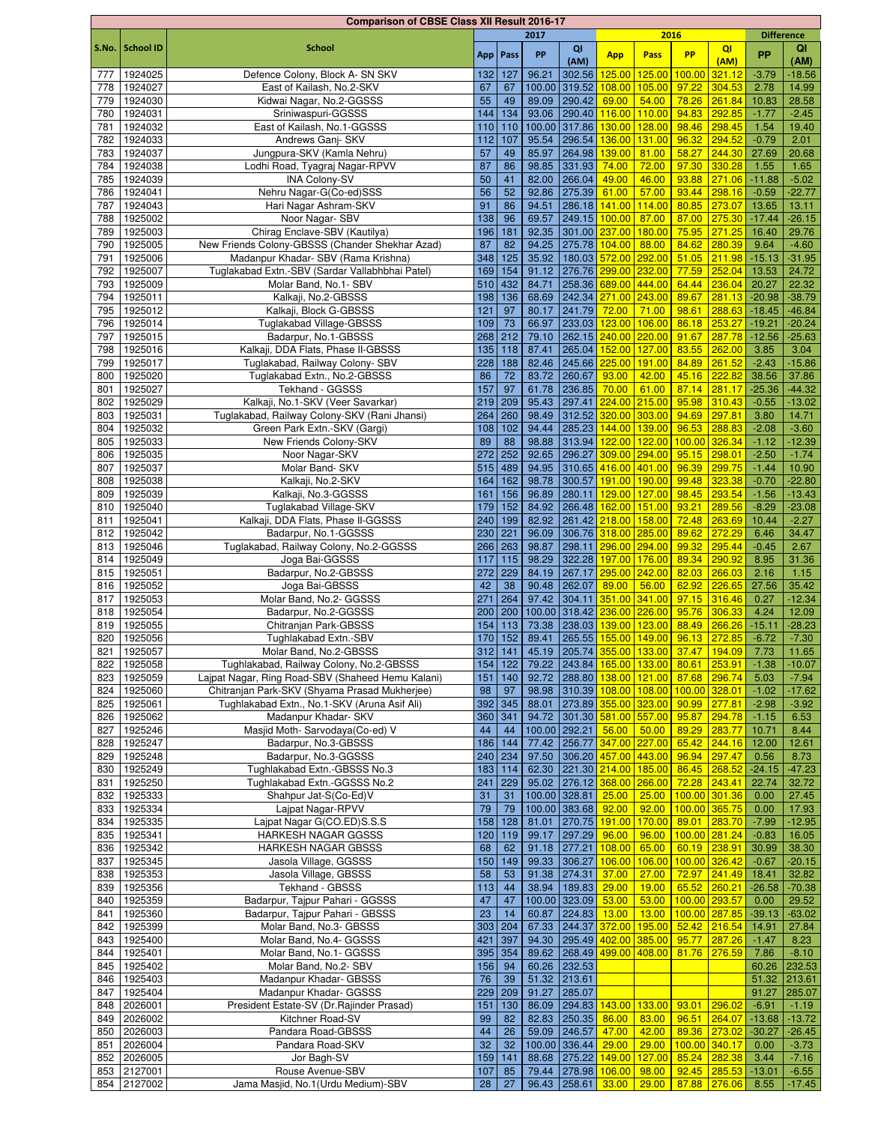|            |                    | <b>Comparison of CBSE Class XII Result 2016-17</b>           |           |           |        |                                   |                      |                                         |                        |                  |                   |                |
|------------|--------------------|--------------------------------------------------------------|-----------|-----------|--------|-----------------------------------|----------------------|-----------------------------------------|------------------------|------------------|-------------------|----------------|
|            |                    |                                                              |           |           | 2017   |                                   |                      | 2016                                    |                        |                  | <b>Difference</b> |                |
| S.No.      | <b>School ID</b>   | <b>School</b>                                                |           | App Pass  | PP     | QI                                | <b>App</b>           | Pass                                    | <b>PP</b>              | QI               | <b>PP</b>         | QI             |
|            |                    |                                                              |           |           | 96.21  | (AM)<br>302.56                    | 125.00               | 125.00                                  |                        | (AM)             | $-3.79$           | (AM)           |
| 777        | 1924025<br>1924027 | Defence Colony, Block A- SN SKV<br>East of Kailash, No.2-SKV | 132<br>67 | 127<br>67 |        | 100.00 319.52                     | 108.00               | 105.00                                  | 100.00<br>97.22        | 321.12<br>304.53 | 2.78              | $-18.56$       |
| 778<br>779 | 1924030            | Kidwai Nagar, No.2-GGSSS                                     | 55        | 49        | 89.09  | 290.42                            | 69.00                | 54.00                                   | 78.26                  | 261.84           | 10.83             | 14.99<br>28.58 |
| 780        | 1924031            | Sriniwaspuri-GGSSS                                           | 144       | 134       | 93.06  | 290.40                            | 116.00 110.00        |                                         | 94.83                  | 292.85           | $-1.77$           | $-2.45$        |
| 781        | 1924032            | East of Kailash, No.1-GGSSS                                  | 110       | 110       | 100.00 | 317.86 130.00 128.00              |                      |                                         | 98.46                  | 298.45           | 1.54              | 19.40          |
| 782        | 1924033            | Andrews Ganj- SKV                                            | 112       | 107       | 95.54  |                                   | 296.54 136.00        | 131.00                                  | 96.32                  | 294.52           | $-0.79$           | 2.01           |
| 783        | 1924037            | Jungpura-SKV (Kamla Nehru)                                   | 57        | 49        | 85.97  | 264.98                            | 139.00               | 81.00                                   | 58.27                  | 244.30           | 27.69             | 20.68          |
| 784        | 1924038            | Lodhi Road, Tyagraj Nagar-RPVV                               | 87        | 86        | 98.85  | 331.93                            | 74.00                | 72.00                                   | 97.30                  | 330.28           | 1.55              | 1.65           |
| 785        | 1924039            | <b>INA Colony-SV</b>                                         | 50        | 41        | 82.00  | 266.04                            | 49.00                | 46.00                                   | 93.88                  | 271.06           | $-11.88$          | $-5.02$        |
| 786        | 1924041            | Nehru Nagar-G(Co-ed)SSS                                      | 56        | 52        | 92.86  | 275.39                            | 61.00                | 57.00                                   | 93.44                  | 298.16           | $-0.59$           | $-22.77$       |
| 787        | 1924043            | Hari Nagar Ashram-SKV                                        | 91        | 86        | 94.51  |                                   | 286.18 141.00 114.00 |                                         | 80.85                  | 273.07           | 13.65             | 13.11          |
| 788        | 1925002            | Noor Nagar-SBV                                               | 138       | 96        | 69.57  |                                   | 249.15 100.00        | 87.00                                   | 87.00                  | 275.30           | $-17.44$          | $-26.15$       |
| 789        | 1925003            | Chirag Enclave-SBV (Kautilya)                                | 196       | 181       | 92.35  |                                   | 301.00 237.00 180.00 |                                         | 75.95                  | 271.25           | 16.40             | 29.76          |
| 790        | 1925005            | New Friends Colony-GBSSS (Chander Shekhar Azad)              | 87        | 82        | 94.25  |                                   | 275.78 104.00        | 88.00                                   | 84.62                  | 280.39           | 9.64              | $-4.60$        |
| 791        | 1925006            | Madanpur Khadar- SBV (Rama Krishna)                          | 348       | 125       | 35.92  |                                   | 180.03 572.00 292.00 |                                         | 51.05                  | 211.98           | $-15.13$          | $-31.95$       |
| 792        | 1925007            | Tuglakabad Extn.-SBV (Sardar Vallabhbhai Patel)              | 169       | 154       | 91.12  |                                   | 276.76 299.00 232.00 |                                         | 77.59                  | 252.04           | 13.53             | 24.72          |
| 793        | 1925009            | Molar Band, No.1- SBV                                        | 510       | 432       | 84.71  |                                   | 258.36 689.00 444.00 |                                         | 64.44                  | 236.04           | 20.27             | 22.32          |
| 794        | 1925011            | Kalkaji, No.2-GBSSS                                          | 198       | 136       | 68.69  |                                   | 242.34 271.00 243.00 |                                         | 89.67                  | 281.13           | $-20.98$          | $-38.79$       |
| 795        | 1925012            | Kalkaji, Block G-GBSSS                                       | 121       | 97        | 80.17  | 241.79                            | 72.00                | 71.00                                   | 98.61                  | 288.63           | $-18.45$          | $-46.84$       |
| 796        | 1925014            | <b>Tuglakabad Village-GBSSS</b>                              | 109       | 73        | 66.97  | 233.03                            | 123.00 106.00        |                                         | 86.18                  | 253.27           | $-19.21$          | $-20.24$       |
| 797        | 1925015            | Badarpur, No.1-GBSSS                                         | 268       | 212       | 79.10  |                                   | 262.15 240.00 220.00 |                                         | 91.67                  | 287.78           | $-12.56$          | $-25.63$       |
| 798        | 1925016            | Kalkaji, DDA Flats, Phase II-GBSSS                           | 135       | 118       | 87.41  | 265.04                            | 152.00 127.00        |                                         | 83.55                  | 262.00           | 3.85              | 3.04           |
| 799        | 1925017            | Tuglakabad, Railway Colony- SBV                              | 228       | 188       | 82.46  |                                   | 245.66 225.00 191.00 |                                         | 84.89                  | 261.52           | $-2.43$           | $-15.86$       |
| 800        | 1925020            | Tuglakabad Extn., No.2-GBSSS                                 | 86        | 72        | 83.72  | 260.67                            | 93.00                | 42.00                                   | 45.16                  | 222.82           | 38.56             | 37.86          |
| 801        | 1925027            | Tekhand - GGSSS                                              | 157       | 97        | 61.78  | 236.85                            | 70.00                | 61.00                                   | 87.14                  | 281.17           | $-25.36$          | $-44.32$       |
| 802        | 1925029            | Kalkaji, No.1-SKV (Veer Savarkar)                            | 219       | 209       | 95.43  | 297.41                            | 224.00 215.00        |                                         | 95.98                  | 310.43           | $-0.55$           | $-13.02$       |
| 803        | 1925031            | Tuglakabad, Railway Colony-SKV (Rani Jhansi)                 | 264       | 260       | 98.49  |                                   | 312.52 320.00 303.00 |                                         | 94.69                  | 297.81           | 3.80              | 14.71          |
| 804        | 1925032            | Green Park Extn.-SKV (Gargi)                                 | 108       | 102       | 94.44  |                                   | 285.23 144.00 139.00 |                                         | 96.53                  | 288.83           | $-2.08$           | $-3.60$        |
| 805        | 1925033            | New Friends Colony-SKV                                       | 89        | 88        | 98.88  |                                   | 313.94 122.00 122.00 |                                         | 100.00                 | 326.34           | $-1.12$           | $-12.39$       |
| 806        | 1925035            | Noor Nagar-SKV                                               | 272       | 252       | 92.65  |                                   | 296.27 309.00 294.00 |                                         | 95.15                  | 298.01           | $-2.50$           | $-1.74$        |
| 807        | 1925037            | Molar Band- SKV                                              | 515       | 489       | 94.95  |                                   | 310.65 416.00 401.00 |                                         | 96.39                  | 299.75           | $-1.44$           | 10.90          |
| 808        | 1925038            | Kalkaji, No.2-SKV                                            | 164       | 162       | 98.78  |                                   | 300.57 191.00 190.00 |                                         | 99.48                  | 323.38           | $-0.70$           | $-22.80$       |
| 809        | 1925039            | Kalkaji, No.3-GGSSS                                          | 161       | 156       | 96.89  | 280.11                            | 129.00 127.00        |                                         | 98.45                  | 293.54           | $-1.56$           | $-13.43$       |
| 810        | 1925040            | Tuglakabad Village-SKV                                       | 179       | 152       | 84.92  |                                   | 266.48 162.00 151.00 |                                         | 93.21                  | 289.56           | $-8.29$           | $-23.08$       |
| 811        | 1925041            | Kalkaji, DDA Flats, Phase II-GGSSS                           | 240       | 199       | 82.92  |                                   | 261.42 218.00 158.00 |                                         | 72.48                  | 263.69           | 10.44             | $-2.27$        |
| 812        | 1925042            | Badarpur, No.1-GGSSS                                         | 230       | 221       | 96.09  |                                   | 306.76 318.00 285.00 |                                         | 89.62                  | 272.29           | 6.46              | 34.47          |
| 813        | 1925046            | Tuglakabad, Railway Colony, No.2-GGSSS                       | 266       | 263       | 98.87  |                                   | 298.11 296.00 294.00 |                                         | 99.32                  | 295.44           | $-0.45$           | 2.67           |
| 814        | 1925049            | Joga Bai-GGSSS                                               | 117       | 115       | 98.29  | 322.28                            | 197.00 176.00        |                                         | 89.34                  | 290.92           | 8.95              | 31.36          |
| 815        | 1925051            | Badarpur, No.2-GBSSS                                         | 272       | 229       | 84.19  |                                   | 267.17 295.00 242.00 |                                         | 82.03                  | 266.03           | 2.16              | 1.15           |
| 816        | 1925052            | Joga Bai-GBSSS                                               | 42        | 38        | 90.48  | 262.07                            | 89.00                | 56.00                                   | 62.92                  | 226.65           | 27.56             | 35.42          |
| 817        | 1925053            | Molar Band, No.2- GGSSS                                      | 271       | 264       | 97.42  |                                   | 304.11 351.00 341.00 |                                         | 97.15                  | 316.46           | 0.27              | $-12.34$       |
| 818        | 1925054            | Badarpur, No.2-GGSSS                                         | 200       | 200       |        | 100.00 318.42 236.00 226.00       |                      |                                         | 95.76                  | 306.33           | 4.24              | 12.09          |
| 819        | 1925055            | Chitranjan Park-GBSSS                                        | 154       | 113       | 73.38  | 238.03                            | 139.00 123.00        |                                         | 88.49                  | 266.26           | $-15.11$          | $-28.23$       |
| 820        | 1925056            | Tughlakabad Extn.-SBV                                        | 170       | 152       | 89.41  | 265.55 <mark>155.00 149.00</mark> |                      |                                         | 96.13                  | 272.85           | $-6.72$           | $-7.30$        |
| 821        | 1925057            | Molar Band, No.2-GBSSS                                       |           | $312$ 141 |        |                                   |                      | 45.19 205.74 355.00 133.00 37.47 194.09 |                        |                  | 7.73              | 11.65          |
| 822        | 1925058            | Tughlakabad, Railway Colony, No.2-GBSSS                      | 154       | 122       | 79.22  | 243.84 165.00 133.00              |                      |                                         | 80.61                  | 253.91           | $-1.38$           | $-10.07$       |
| 823        | 1925059            | Lajpat Nagar, Ring Road-SBV (Shaheed Hemu Kalani)            | 151       | 140       | 92.72  | 288.80 138.00 121.00              |                      |                                         | 87.68                  | 296.74           | 5.03              | $-7.94$        |
| 824        | 1925060            | Chitranjan Park-SKV (Shyama Prasad Mukherjee)                | 98        | 97        | 98.98  | 310.39 108.00 108.00              |                      |                                         | 100.00 328.01          |                  | $-1.02$           | $-17.62$       |
| 825        | 1925061            | Tughlakabad Extn., No.1-SKV (Aruna Asif Ali)                 | 392       | 345       | 88.01  |                                   |                      | 273.89 355.00 323.00                    | 90.99                  | 277.81           | $-2.98$           | $-3.92$        |
| 826        | 1925062            | Madanpur Khadar- SKV                                         |           | 360 341   | 94.72  | 301.30 581.00 557.00              |                      |                                         | 95.87                  | 294.78           | $-1.15$           | 6.53           |
| 827        | 1925246            | Masjid Moth-Sarvodaya(Co-ed) V                               | 44        | 44        |        | 100.00 292.21                     | $56.00$ 50.00        |                                         | 89.29                  | 283.77           | 10.71             | 8.44           |
| 828        | 1925247            | Badarpur, No.3-GBSSS                                         | 186       | 144       | 77.42  |                                   | 256.77 347.00 227.00 |                                         | 65.42                  | 244.16           | 12.00             | 12.61          |
| 829        | 1925248            | Badarpur, No.3-GGSSS                                         | 240       | 234       | 97.50  | 306.20 457.00 443.00              |                      |                                         | 96.94                  | 297.47           | 0.56              | 8.73           |
| 830        | 1925249            | Tughlakabad Extn.-GBSSS No.3                                 | 183       | 114       | 62.30  | 221.30 214.00 185.00              |                      |                                         | 86.45                  | 268.52           | $-24.15$          | $-47.23$       |
| 831        | 1925250            | Tughlakabad Extn.-GGSSS No.2                                 | 241       | 229       | 95.02  | 276.12 368.00 266.00              |                      |                                         | 72.28                  | 243.41           | 22.74             | 32.72          |
| 832        | 1925333            | Shahpur Jat-S(Co-Ed)V                                        | 31        | 31        |        | 100.00 328.81                     | 25.00                | 25.00                                   | 100.00                 | 301.36           | 0.00              | 27.45          |
| 833        | 1925334            | Lajpat Nagar-RPVV                                            | 79        | 79<br>128 | 81.01  | 100.00 383.68                     | 92.00                | 92.00                                   | 100.00                 | 365.75           | 0.00              | 17.93          |
| 834        | 1925335<br>1925341 | Lajpat Nagar G(CO.ED)S.S.S                                   | 158       | 119       | 99.17  | 270.75 191.00<br>297.29           | 96.00                | 170.00<br>96.00                         | 89.01<br>100.00 281.24 | 283.70           | $-7.99$           | $-12.95$       |
| 835<br>836 | 1925342            | HARKESH NAGAR GGSSS<br>HARKESH NAGAR GBSSS                   | 120       | 62        | 91.18  | 277.21                            | 108.00               | 65.00                                   | 60.19                  | 238.91           | $-0.83$<br>30.99  | 16.05<br>38.30 |
| 837        | 1925345            | Jasola Village, GGSSS                                        | 68<br>150 | 149       | 99.33  | 306.27                            | 106.00 106.00        |                                         | 100.00 326.42          |                  | $-0.67$           | $-20.15$       |
| 838        | 1925353            | Jasola Village, GBSSS                                        | 58        | 53        | 91.38  | 274.31                            | 37.00                | 27.00                                   | 72.97                  | 241.49           | 18.41             | 32.82          |
| 839        | 1925356            | Tekhand - GBSSS                                              | 113       | 44        | 38.94  | 189.83                            | 29.00                | 19.00                                   | 65.52                  | 260.21           | $-26.58$          | $-70.38$       |
| 840        | 1925359            | Badarpur, Tajpur Pahari - GGSSS                              | 47        | 47        |        | 100.00 323.09                     | 53.00                | 53.00                                   | 100.00 293.57          |                  | 0.00              | 29.52          |
| 841        | 1925360            | Badarpur, Tajpur Pahari - GBSSS                              | 23        | 14        | 60.87  | 224.83                            | 13.00                | 13.00                                   | 100.00                 | 287.85           | $-39.13$          | $-63.02$       |
| 842        | 1925399            | Molar Band, No.3- GBSSS                                      | 303       | 204       | 67.33  | 244.37 372.00 195.00              |                      |                                         | 52.42                  | 216.54           | 14.91             | 27.84          |
| 843        | 1925400            | Molar Band, No.4- GGSSS                                      | 421       | 397       | 94.30  | 295.49 402.00 385.00              |                      |                                         | 95.77                  | 287.26           | $-1.47$           | 8.23           |
| 844        | 1925401            | Molar Band, No.1- GGSSS                                      | 395       | 354       | 89.62  | 268.49 499.00 408.00              |                      |                                         | 81.76 276.59           |                  | 7.86              | $-8.10$        |
| 845        | 1925402            | Molar Band, No.2- SBV                                        | 156       | 94        | 60.26  | 232.53                            |                      |                                         |                        |                  | 60.26             | 232.53         |
| 846        | 1925403            | Madanpur Khadar- GBSSS                                       | 76        | 39        | 51.32  | 213.61                            |                      |                                         |                        |                  | 51.32             | 213.61         |
| 847        | 1925404            | Madanpur Khadar- GGSSS                                       | 229       | 209       | 91.27  | 285.07                            |                      |                                         |                        |                  | 91.27             | 285.07         |
| 848        | 2026001            | President Estate-SV (Dr. Rajinder Prasad)                    | 151       | 130       | 86.09  |                                   | 294.83 143.00 133.00 |                                         | 93.01                  | 296.02           | $-6.91$           | $-1.19$        |
|            | 849 2026002        | Kitchner Road-SV                                             | 99        | 82        | 82.83  | 250.35                            | 86.00                | 83.00                                   | 96.51                  | 264.07           | $-13.68$          | $-13.72$       |
| 850        | 2026003            | Pandara Road-GBSSS                                           | 44        | 26        | 59.09  | 246.57                            | 47.00                | 42.00                                   | 89.36                  | 273.02           | $-30.27$          | $-26.45$       |
| 851        | 2026004            | Pandara Road-SKV                                             | 32        | 32        |        | 100.00 336.44                     | 29.00                | 29.00                                   | 100.00 340.17          |                  | 0.00              | $-3.73$        |
| 852        | 2026005            | Jor Bagh-SV                                                  | 159       | 141       | 88.68  | 275.22                            | 149.00 127.00        |                                         | 85.24                  | 282.38           | 3.44              | $-7.16$        |
|            | 853 2127001        | Rouse Avenue-SBV                                             | 107       | 85        | 79.44  | 278.98 106.00 98.00               |                      |                                         |                        | 92.45 285.53     | $-13.01$          | $-6.55$        |
|            | 854 2127002        | Jama Masjid, No.1 (Urdu Medium)-SBV                          | 28        | 27        | 96.43  | 258.61 33.00 29.00                |                      |                                         |                        | 87.88 276.06     | 8.55              | $-17.45$       |